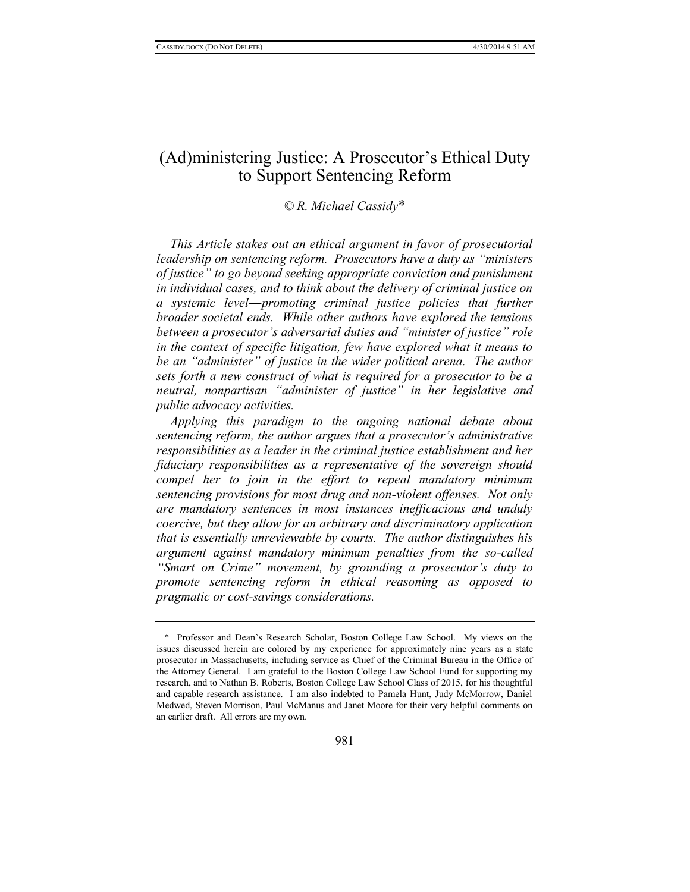# (Ad)ministering Justice: A Prosecutor's Ethical Duty to Support Sentencing Reform

#### *© R. Michael Cassidy*\*

*This Article stakes out an ethical argument in favor of prosecutorial leadership on sentencing reform. Prosecutors have a duty as "ministers of justice" to go beyond seeking appropriate conviction and punishment in individual cases, and to think about the delivery of criminal justice on a systemic level*―*promoting criminal justice policies that further broader societal ends. While other authors have explored the tensions between a prosecutor's adversarial duties and "minister of justice" role in the context of specific litigation, few have explored what it means to be an "administer" of justice in the wider political arena. The author sets forth a new construct of what is required for a prosecutor to be a neutral, nonpartisan "administer of justice" in her legislative and public advocacy activities.* 

*Applying this paradigm to the ongoing national debate about sentencing reform, the author argues that a prosecutor's administrative responsibilities as a leader in the criminal justice establishment and her fiduciary responsibilities as a representative of the sovereign should compel her to join in the effort to repeal mandatory minimum sentencing provisions for most drug and non-violent offenses. Not only are mandatory sentences in most instances inefficacious and unduly coercive, but they allow for an arbitrary and discriminatory application that is essentially unreviewable by courts. The author distinguishes his argument against mandatory minimum penalties from the so-called "Smart on Crime" movement, by grounding a prosecutor's duty to promote sentencing reform in ethical reasoning as opposed to pragmatic or cost-savings considerations.* 

<sup>\*</sup> Professor and Dean's Research Scholar, Boston College Law School. My views on the issues discussed herein are colored by my experience for approximately nine years as a state prosecutor in Massachusetts, including service as Chief of the Criminal Bureau in the Office of the Attorney General. I am grateful to the Boston College Law School Fund for supporting my research, and to Nathan B. Roberts, Boston College Law School Class of 2015, for his thoughtful and capable research assistance. I am also indebted to Pamela Hunt, Judy McMorrow, Daniel Medwed, Steven Morrison, Paul McManus and Janet Moore for their very helpful comments on an earlier draft. All errors are my own.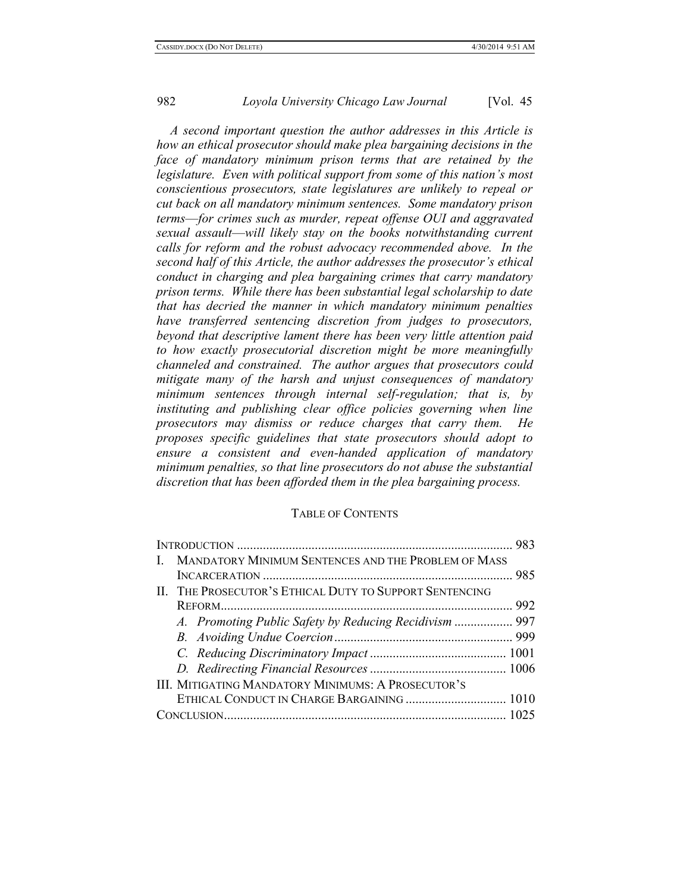*A second important question the author addresses in this Article is how an ethical prosecutor should make plea bargaining decisions in the face of mandatory minimum prison terms that are retained by the legislature. Even with political support from some of this nation's most conscientious prosecutors, state legislatures are unlikely to repeal or cut back on all mandatory minimum sentences. Some mandatory prison terms*—*for crimes such as murder, repeat offense OUI and aggravated sexual assault*—*will likely stay on the books notwithstanding current calls for reform and the robust advocacy recommended above. In the second half of this Article, the author addresses the prosecutor's ethical conduct in charging and plea bargaining crimes that carry mandatory prison terms. While there has been substantial legal scholarship to date that has decried the manner in which mandatory minimum penalties have transferred sentencing discretion from judges to prosecutors, beyond that descriptive lament there has been very little attention paid to how exactly prosecutorial discretion might be more meaningfully channeled and constrained. The author argues that prosecutors could mitigate many of the harsh and unjust consequences of mandatory minimum sentences through internal self-regulation; that is, by instituting and publishing clear office policies governing when line prosecutors may dismiss or reduce charges that carry them. He proposes specific guidelines that state prosecutors should adopt to ensure a consistent and even-handed application of mandatory minimum penalties, so that line prosecutors do not abuse the substantial discretion that has been afforded them in the plea bargaining process.*

## TABLE OF CONTENTS

| MANDATORY MINIMUM SENTENCES AND THE PROBLEM OF MASS<br>$\mathbf{I}$ |  |
|---------------------------------------------------------------------|--|
|                                                                     |  |
| II. THE PROSECUTOR'S ETHICAL DUTY TO SUPPORT SENTENCING             |  |
|                                                                     |  |
| A. Promoting Public Safety by Reducing Recidivism  997              |  |
|                                                                     |  |
|                                                                     |  |
|                                                                     |  |
| III. MITIGATING MANDATORY MINIMUMS: A PROSECUTOR'S                  |  |
|                                                                     |  |
|                                                                     |  |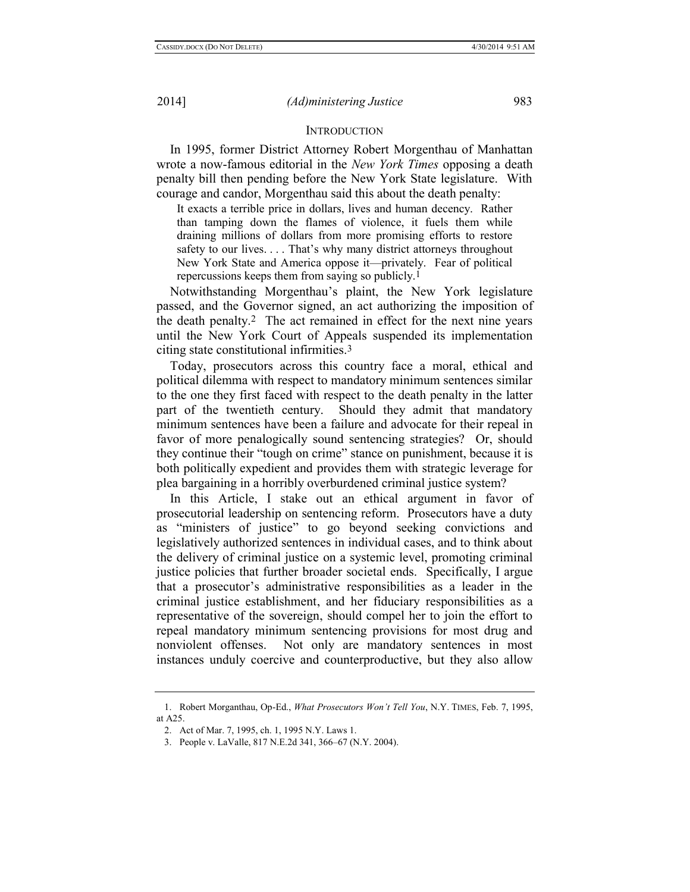#### **INTRODUCTION**

In 1995, former District Attorney Robert Morgenthau of Manhattan wrote a now-famous editorial in the *New York Times* opposing a death penalty bill then pending before the New York State legislature. With courage and candor, Morgenthau said this about the death penalty:

It exacts a terrible price in dollars, lives and human decency. Rather than tamping down the flames of violence, it fuels them while draining millions of dollars from more promising efforts to restore safety to our lives. . . . That's why many district attorneys throughout New York State and America oppose it—privately. Fear of political repercussions keeps them from saying so publicly.1

Notwithstanding Morgenthau's plaint, the New York legislature passed, and the Governor signed, an act authorizing the imposition of the death penalty.2 The act remained in effect for the next nine years until the New York Court of Appeals suspended its implementation citing state constitutional infirmities.3

Today, prosecutors across this country face a moral, ethical and political dilemma with respect to mandatory minimum sentences similar to the one they first faced with respect to the death penalty in the latter part of the twentieth century. Should they admit that mandatory minimum sentences have been a failure and advocate for their repeal in favor of more penalogically sound sentencing strategies? Or, should they continue their "tough on crime" stance on punishment, because it is both politically expedient and provides them with strategic leverage for plea bargaining in a horribly overburdened criminal justice system?

In this Article, I stake out an ethical argument in favor of prosecutorial leadership on sentencing reform. Prosecutors have a duty as "ministers of justice" to go beyond seeking convictions and legislatively authorized sentences in individual cases, and to think about the delivery of criminal justice on a systemic level, promoting criminal justice policies that further broader societal ends. Specifically, I argue that a prosecutor's administrative responsibilities as a leader in the criminal justice establishment, and her fiduciary responsibilities as a representative of the sovereign, should compel her to join the effort to repeal mandatory minimum sentencing provisions for most drug and nonviolent offenses. Not only are mandatory sentences in most instances unduly coercive and counterproductive, but they also allow

<sup>1.</sup> Robert Morganthau, Op-Ed., *What Prosecutors Won't Tell You*, N.Y. TIMES, Feb. 7, 1995, at A25.

<sup>2.</sup> Act of Mar. 7, 1995, ch. 1, 1995 N.Y. Laws 1.

<sup>3.</sup> People v. LaValle, 817 N.E.2d 341, 366–67 (N.Y. 2004).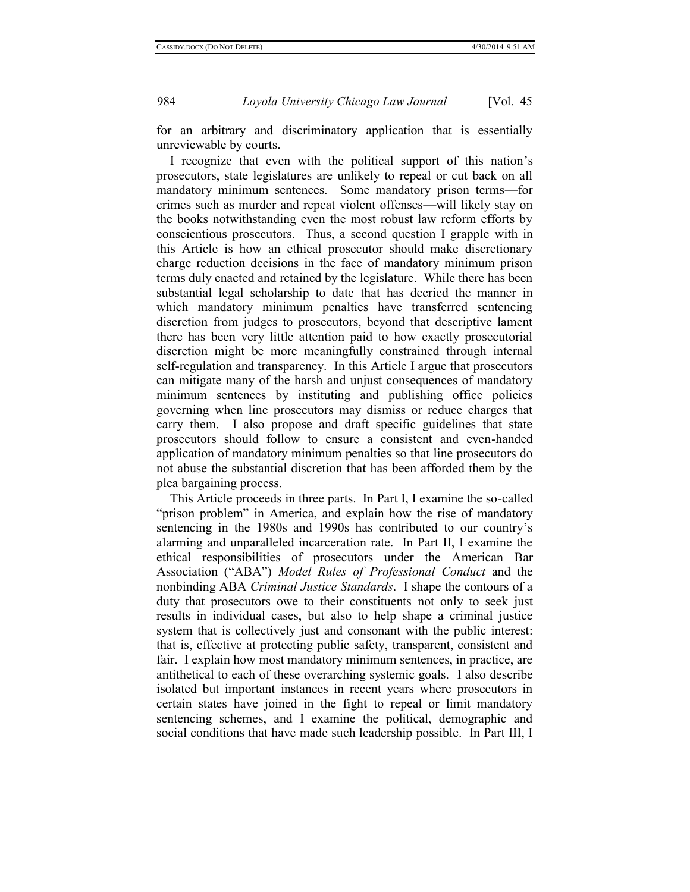for an arbitrary and discriminatory application that is essentially unreviewable by courts.

I recognize that even with the political support of this nation's prosecutors, state legislatures are unlikely to repeal or cut back on all mandatory minimum sentences. Some mandatory prison terms—for crimes such as murder and repeat violent offenses—will likely stay on the books notwithstanding even the most robust law reform efforts by conscientious prosecutors. Thus, a second question I grapple with in this Article is how an ethical prosecutor should make discretionary charge reduction decisions in the face of mandatory minimum prison terms duly enacted and retained by the legislature. While there has been substantial legal scholarship to date that has decried the manner in which mandatory minimum penalties have transferred sentencing discretion from judges to prosecutors, beyond that descriptive lament there has been very little attention paid to how exactly prosecutorial discretion might be more meaningfully constrained through internal self-regulation and transparency. In this Article I argue that prosecutors can mitigate many of the harsh and unjust consequences of mandatory minimum sentences by instituting and publishing office policies governing when line prosecutors may dismiss or reduce charges that carry them. I also propose and draft specific guidelines that state prosecutors should follow to ensure a consistent and even-handed application of mandatory minimum penalties so that line prosecutors do not abuse the substantial discretion that has been afforded them by the plea bargaining process.

This Article proceeds in three parts. In Part I, I examine the so-called "prison problem" in America, and explain how the rise of mandatory sentencing in the 1980s and 1990s has contributed to our country's alarming and unparalleled incarceration rate. In Part II, I examine the ethical responsibilities of prosecutors under the American Bar Association ("ABA") *Model Rules of Professional Conduct* and the nonbinding ABA *Criminal Justice Standards*. I shape the contours of a duty that prosecutors owe to their constituents not only to seek just results in individual cases, but also to help shape a criminal justice system that is collectively just and consonant with the public interest: that is, effective at protecting public safety, transparent, consistent and fair. I explain how most mandatory minimum sentences, in practice, are antithetical to each of these overarching systemic goals. I also describe isolated but important instances in recent years where prosecutors in certain states have joined in the fight to repeal or limit mandatory sentencing schemes, and I examine the political, demographic and social conditions that have made such leadership possible. In Part III, I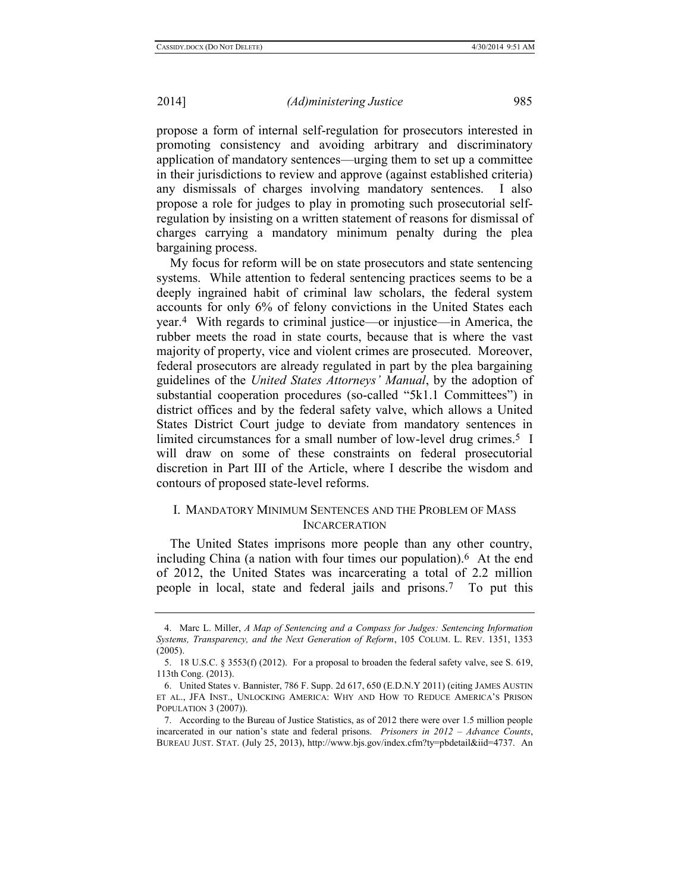propose a form of internal self-regulation for prosecutors interested in promoting consistency and avoiding arbitrary and discriminatory application of mandatory sentences—urging them to set up a committee in their jurisdictions to review and approve (against established criteria) any dismissals of charges involving mandatory sentences. I also propose a role for judges to play in promoting such prosecutorial selfregulation by insisting on a written statement of reasons for dismissal of charges carrying a mandatory minimum penalty during the plea bargaining process.

My focus for reform will be on state prosecutors and state sentencing systems. While attention to federal sentencing practices seems to be a deeply ingrained habit of criminal law scholars, the federal system accounts for only 6% of felony convictions in the United States each year.4 With regards to criminal justice—or injustice—in America, the rubber meets the road in state courts, because that is where the vast majority of property, vice and violent crimes are prosecuted. Moreover, federal prosecutors are already regulated in part by the plea bargaining guidelines of the *United States Attorneys' Manual*, by the adoption of substantial cooperation procedures (so-called "5k1.1 Committees") in district offices and by the federal safety valve, which allows a United States District Court judge to deviate from mandatory sentences in limited circumstances for a small number of low-level drug crimes.<sup>5</sup> I will draw on some of these constraints on federal prosecutorial discretion in Part III of the Article, where I describe the wisdom and contours of proposed state-level reforms.

# I. MANDATORY MINIMUM SENTENCES AND THE PROBLEM OF MASS **INCARCERATION**

The United States imprisons more people than any other country, including China (a nation with four times our population).6 At the end of 2012, the United States was incarcerating a total of 2.2 million people in local, state and federal jails and prisons.7 To put this

<sup>4.</sup> Marc L. Miller, *A Map of Sentencing and a Compass for Judges: Sentencing Information Systems, Transparency, and the Next Generation of Reform*, 105 COLUM. L. REV. 1351, 1353  $(2005)$ 

<sup>5.</sup> 18 U.S.C. § 3553(f) (2012). For a proposal to broaden the federal safety valve, see S. 619, 113th Cong. (2013).

<sup>6.</sup> United States v. Bannister, 786 F. Supp. 2d 617, 650 (E.D.N.Y 2011) (citing JAMES AUSTIN ET AL., JFA INST., UNLOCKING AMERICA: WHY AND HOW TO REDUCE AMERICA'S PRISON POPULATION 3 (2007)).

<sup>7.</sup> According to the Bureau of Justice Statistics, as of 2012 there were over 1.5 million people incarcerated in our nation's state and federal prisons. *Prisoners in 2012 – Advance Counts*, BUREAU JUST. STAT. (July 25, 2013), http://www.bjs.gov/index.cfm?ty=pbdetail&iid=4737. An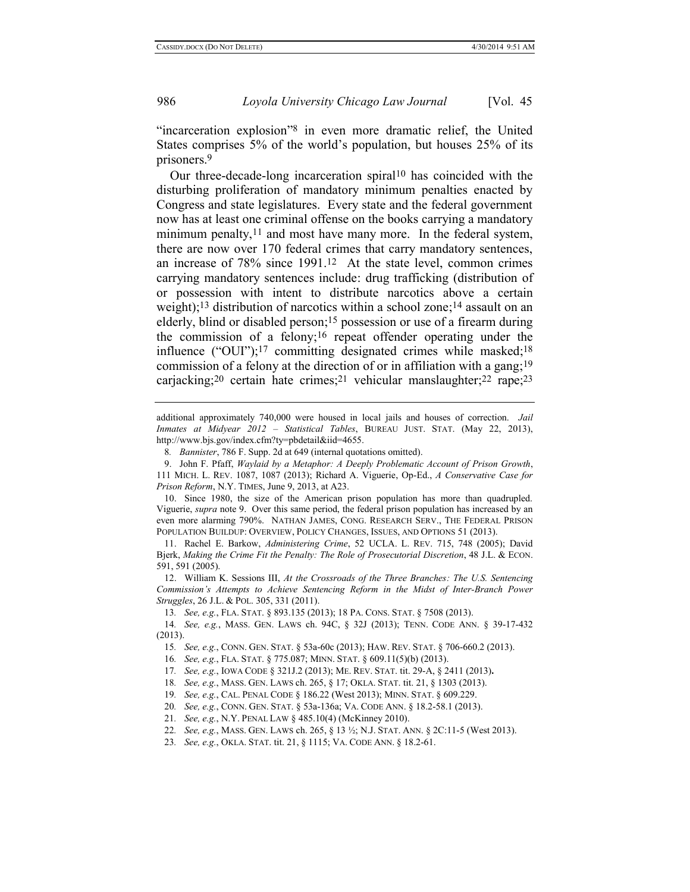"incarceration explosion"8 in even more dramatic relief, the United States comprises 5% of the world's population, but houses 25% of its prisoners.9

<span id="page-5-1"></span><span id="page-5-0"></span>Our three-decade-long incarceration spiral10 has coincided with the disturbing proliferation of mandatory minimum penalties enacted by Congress and state legislatures. Every state and the federal government now has at least one criminal offense on the books carrying a mandatory minimum penalty,  $11$  and most have many more. In the federal system, there are now over 170 federal crimes that carry mandatory sentences, an increase of 78% since 1991.12 At the state level, common crimes carrying mandatory sentences include: drug trafficking (distribution of or possession with intent to distribute narcotics above a certain weight);<sup>13</sup> distribution of narcotics within a school zone;<sup>14</sup> assault on an elderly, blind or disabled person; 15 possession or use of a firearm during the commission of a felony; 16 repeat offender operating under the influence ("OUI");<sup>17</sup> committing designated crimes while masked;<sup>18</sup> commission of a felony at the direction of or in affiliation with a gang; 19 carjacking; 20 certain hate crimes; 21 vehicular manslaughter; 22 rape; 23

10. Since 1980, the size of the American prison population has more than quadrupled. Viguerie, *supra* note [9.](#page-5-0) Over this same period, the federal prison population has increased by an even more alarming 790%. NATHAN JAMES, CONG. RESEARCH SERV., THE FEDERAL PRISON POPULATION BUILDUP: OVERVIEW, POLICY CHANGES, ISSUES, AND OPTIONS 51 (2013).

11. Rachel E. Barkow, *Administering Crime*, 52 UCLA. L. REV. 715, 748 (2005); David Bjerk, *Making the Crime Fit the Penalty: The Role of Prosecutorial Discretion*, 48 J.L. & ECON. 591, 591 (2005).

12. William K. Sessions III, *At the Crossroads of the Three Branches: The U.S. Sentencing Commission's Attempts to Achieve Sentencing Reform in the Midst of Inter-Branch Power Struggles*, 26 J.L. & POL. 305, 331 (2011).

13*. See, e.g.*, FLA. STAT. § 893.135 (2013); 18 PA. CONS. STAT. § 7508 (2013).

14*. See, e.g.*, MASS. GEN. LAWS ch. 94C, § 32J (2013); TENN. CODE ANN. § 39-17-432 (2013).

15*. See, e.g.*, CONN. GEN. STAT. § 53a-60c (2013); HAW. REV. STAT. § 706-660.2 (2013).

16*. See, e.g.*, FLA. STAT. § 775.087; MINN. STAT. § 609.11(5)(b) (2013).

17*. See, e.g.*, IOWA CODE § 321J.2 (2013); ME. REV. STAT. tit. 29-A, § 2411 (2013)**.**

18*. See, e.g.*, MASS. GEN. LAWS ch. 265, § 17; OKLA. STAT. tit. 21, § 1303 (2013).

19*. See, e.g.*, CAL. PENAL CODE § 186.22 (West 2013); MINN. STAT. § 609.229.

20*. See, e.g.*, CONN. GEN. STAT. § 53a-136a; VA. CODE ANN. § 18.2-58.1 (2013).

21*. See, e.g.*, N.Y. PENAL LAW § 485.10(4) (McKinney 2010).

22*. See, e.g.*, MASS. GEN. LAWS ch. 265, § 13 ½; N.J. STAT. ANN. § 2C:11-5 (West 2013).

23*. See, e.g.*, OKLA. STAT. tit. 21, § 1115; VA. CODE ANN. § 18.2-61.

additional approximately 740,000 were housed in local jails and houses of correction. *Jail Inmates at Midyear 2012 – Statistical Tables*, BUREAU JUST. STAT. (May 22, 2013), http://www.bjs.gov/index.cfm?ty=pbdetail&iid=4655.

<sup>8</sup>*. Bannister*, 786 F. Supp. 2d at 649 (internal quotations omitted).

<sup>9.</sup> John F. Pfaff, *Waylaid by a Metaphor: A Deeply Problematic Account of Prison Growth*, 111 MICH. L. REV. 1087, 1087 (2013); Richard A. Viguerie, Op-Ed., *A Conservative Case for Prison Reform*, N.Y. TIMES, June 9, 2013, at A23.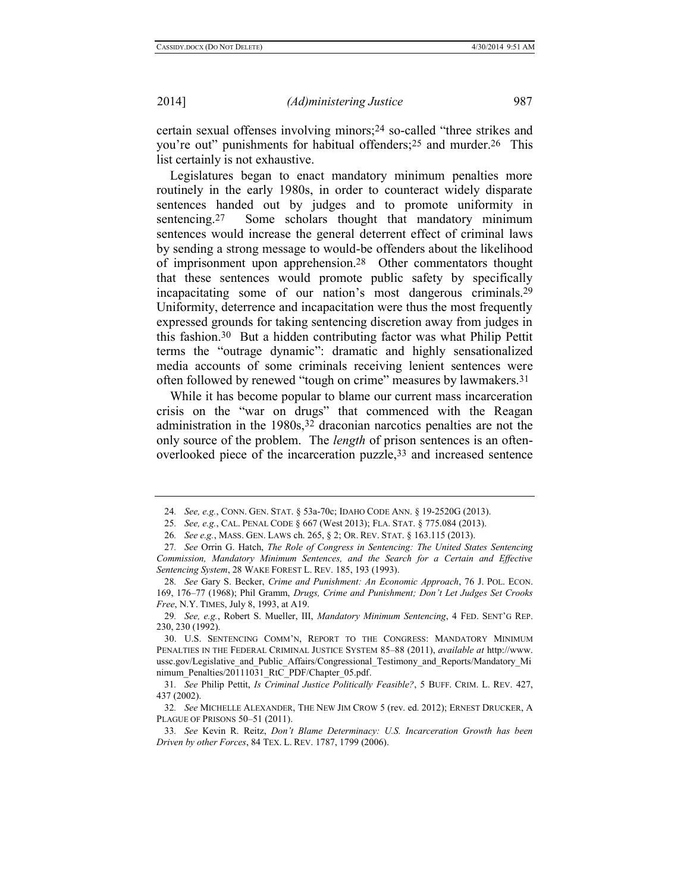certain sexual offenses involving minors;24 so-called "three strikes and you're out" punishments for habitual offenders; 25 and murder.26 This list certainly is not exhaustive.

Legislatures began to enact mandatory minimum penalties more routinely in the early 1980s, in order to counteract widely disparate sentences handed out by judges and to promote uniformity in sentencing.<sup>27</sup> Some scholars thought that mandatory minimum sentences would increase the general deterrent effect of criminal laws by sending a strong message to would-be offenders about the likelihood of imprisonment upon apprehension.28 Other commentators thought that these sentences would promote public safety by specifically incapacitating some of our nation's most dangerous criminals.29 Uniformity, deterrence and incapacitation were thus the most frequently expressed grounds for taking sentencing discretion away from judges in this fashion.30 But a hidden contributing factor was what Philip Pettit terms the "outrage dynamic": dramatic and highly sensationalized media accounts of some criminals receiving lenient sentences were often followed by renewed "tough on crime" measures by lawmakers.31

<span id="page-6-0"></span>While it has become popular to blame our current mass incarceration crisis on the "war on drugs" that commenced with the Reagan administration in the 1980s,32 draconian narcotics penalties are not the only source of the problem. The *length* of prison sentences is an oftenoverlooked piece of the incarceration puzzle,33 and increased sentence

<sup>24</sup>*. See, e.g.*, CONN. GEN. STAT. § 53a-70c; IDAHO CODE ANN. § 19-2520G (2013).

<sup>25</sup>*. See, e.g.*, CAL. PENAL CODE § 667 (West 2013); FLA. STAT. § 775.084 (2013).

<sup>26</sup>*. See e.g.*, MASS. GEN. LAWS ch. 265, § 2; OR. REV. STAT. § 163.115 (2013).

<sup>27</sup>*. See* Orrin G. Hatch, *The Role of Congress in Sentencing: The United States Sentencing Commission, Mandatory Minimum Sentences, and the Search for a Certain and Effective Sentencing System*, 28 WAKE FOREST L. REV. 185, 193 (1993).

<sup>28</sup>*. See* Gary S. Becker, *Crime and Punishment: An Economic Approach*, 76 J. POL. ECON. 169, 176–77 (1968); Phil Gramm, *Drugs, Crime and Punishment; Don't Let Judges Set Crooks Free*, N.Y. TIMES, July 8, 1993, at A19.

<sup>29</sup>*. See, e.g.*, Robert S. Mueller, III, *Mandatory Minimum Sentencing*, 4 FED. SENT'G REP. 230, 230 (1992).

<sup>30.</sup> U.S. SENTENCING COMM'N, REPORT TO THE CONGRESS: MANDATORY MINIMUM PENALTIES IN THE FEDERAL CRIMINAL JUSTICE SYSTEM 85–88 (2011), *available at* http://www. ussc.gov/Legislative and Public Affairs/Congressional Testimony and Reports/Mandatory Mi nimum\_Penalties/20111031\_RtC\_PDF/Chapter\_05.pdf.

<sup>31</sup>*. See* Philip Pettit, *Is Criminal Justice Politically Feasible?*, 5 BUFF. CRIM. L. REV. 427, 437 (2002).

<sup>32</sup>*. See* MICHELLE ALEXANDER, THE NEW JIM CROW 5 (rev. ed. 2012); ERNEST DRUCKER, A PLAGUE OF PRISONS 50-51 (2011).

<sup>33</sup>*. See* Kevin R. Reitz, *Don't Blame Determinacy: U.S. Incarceration Growth has been Driven by other Forces*, 84 TEX. L. REV. 1787, 1799 (2006).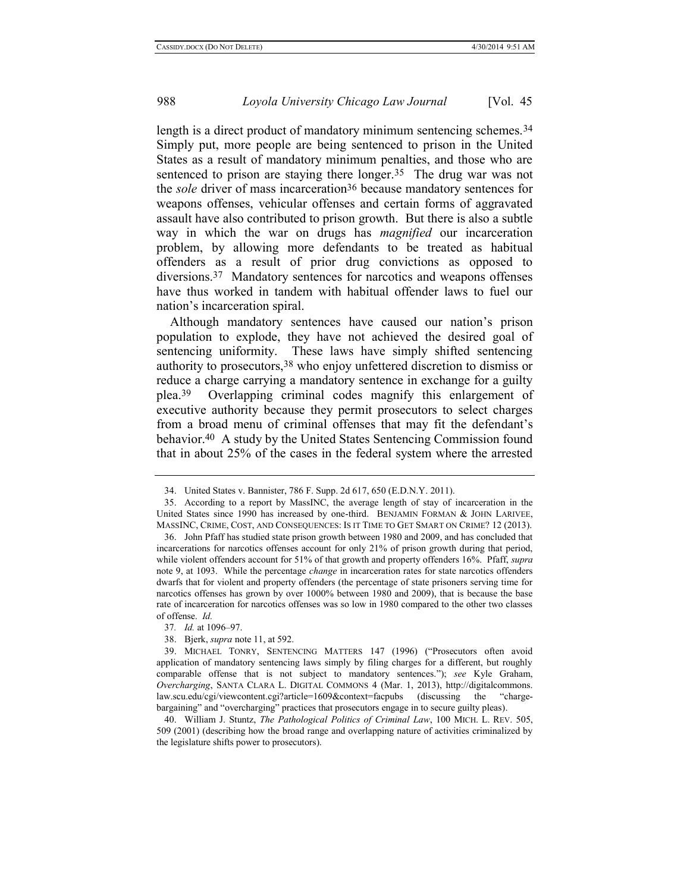<span id="page-7-1"></span>length is a direct product of mandatory minimum sentencing schemes.<sup>34</sup> Simply put, more people are being sentenced to prison in the United States as a result of mandatory minimum penalties, and those who are sentenced to prison are staying there longer.<sup>35</sup> The drug war was not the *sole* driver of mass incarceration36 because mandatory sentences for weapons offenses, vehicular offenses and certain forms of aggravated assault have also contributed to prison growth.But there is also a subtle way in which the war on drugs has *magnified* our incarceration problem, by allowing more defendants to be treated as habitual offenders as a result of prior drug convictions as opposed to diversions.37 Mandatory sentences for narcotics and weapons offenses have thus worked in tandem with habitual offender laws to fuel our nation's incarceration spiral.

Although mandatory sentences have caused our nation's prison population to explode, they have not achieved the desired goal of sentencing uniformity. These laws have simply shifted sentencing authority to prosecutors,38 who enjoy unfettered discretion to dismiss or reduce a charge carrying a mandatory sentence in exchange for a guilty plea.39 Overlapping criminal codes magnify this enlargement of executive authority because they permit prosecutors to select charges from a broad menu of criminal offenses that may fit the defendant's behavior.40 A study by the United States Sentencing Commission found that in about 25% of the cases in the federal system where the arrested

<span id="page-7-0"></span><sup>34.</sup> United States v. Bannister, 786 F. Supp. 2d 617, 650 (E.D.N.Y. 2011).

<sup>35.</sup> According to a report by MassINC, the average length of stay of incarceration in the United States since 1990 has increased by one-third. BENJAMIN FORMAN & JOHN LARIVEE, MASSINC, CRIME, COST, AND CONSEQUENCES: IS IT TIME TO GET SMART ON CRIME? 12 (2013).

<sup>36.</sup> John Pfaff has studied state prison growth between 1980 and 2009, and has concluded that incarcerations for narcotics offenses account for only 21% of prison growth during that period, while violent offenders account for 51% of that growth and property offenders 16%. Pfaff, *supra* note [9,](#page-5-0) at 1093. While the percentage *change* in incarceration rates for state narcotics offenders dwarfs that for violent and property offenders (the percentage of state prisoners serving time for narcotics offenses has grown by over 1000% between 1980 and 2009), that is because the base rate of incarceration for narcotics offenses was so low in 1980 compared to the other two classes of offense. *Id.*

<sup>37</sup>*. Id.* at 1096–97.

<sup>38.</sup> Bjerk, *supra* not[e 11,](#page-5-1) at 592.

<sup>39.</sup> MICHAEL TONRY, SENTENCING MATTERS 147 (1996) ("Prosecutors often avoid application of mandatory sentencing laws simply by filing charges for a different, but roughly comparable offense that is not subject to mandatory sentences."); *see* Kyle Graham, *Overcharging*, SANTA CLARA L. DIGITAL COMMONS 4 (Mar. 1, 2013), http://digitalcommons. law.scu.edu/cgi/viewcontent.cgi?article=1609&context=facpubs (discussing the "chargebargaining" and "overcharging" practices that prosecutors engage in to secure guilty pleas).

<sup>40.</sup> William J. Stuntz, *The Pathological Politics of Criminal Law*, 100 MICH. L. REV. 505, 509 (2001) (describing how the broad range and overlapping nature of activities criminalized by the legislature shifts power to prosecutors).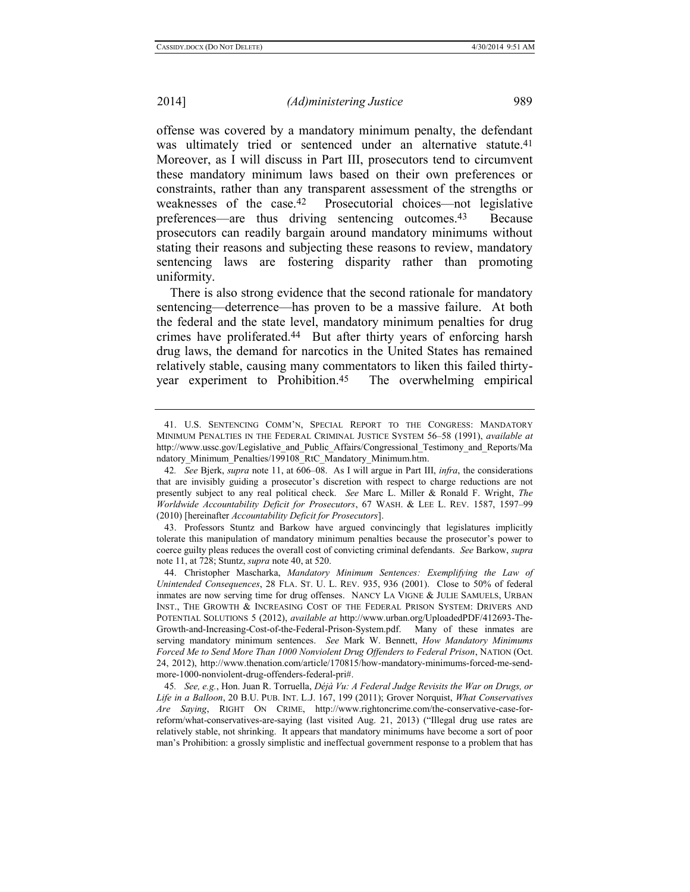<span id="page-8-1"></span>offense was covered by a mandatory minimum penalty, the defendant was ultimately tried or sentenced under an alternative statute.<sup>41</sup> Moreover, as I will discuss in Part III, prosecutors tend to circumvent these mandatory minimum laws based on their own preferences or constraints, rather than any transparent assessment of the strengths or weaknesses of the case.42 Prosecutorial choices—not legislative preferences—are thus driving sentencing outcomes.43 Because prosecutors can readily bargain around mandatory minimums without stating their reasons and subjecting these reasons to review, mandatory sentencing laws are fostering disparity rather than promoting uniformity.

There is also strong evidence that the second rationale for mandatory sentencing—deterrence—has proven to be a massive failure. At both the federal and the state level, mandatory minimum penalties for drug crimes have proliferated.<sup>44</sup> But after thirty years of enforcing harsh drug laws, the demand for narcotics in the United States has remained relatively stable, causing many commentators to liken this failed thirtyyear experiment to Prohibition.45 The overwhelming empirical

43. Professors Stuntz and Barkow have argued convincingly that legislatures implicitly tolerate this manipulation of mandatory minimum penalties because the prosecutor's power to coerce guilty pleas reduces the overall cost of convicting criminal defendants. *See* Barkow, *supra* note [11,](#page-5-1) at 728; Stuntz, *supra* not[e 40,](#page-7-0) at 520.

44. Christopher Mascharka, *Mandatory Minimum Sentences: Exemplifying the Law of Unintended Consequences*, 28 FLA. ST. U. L. REV. 935, 936 (2001). Close to 50% of federal inmates are now serving time for drug offenses. NANCY LA VIGNE & JULIE SAMUELS, URBAN INST., THE GROWTH & INCREASING COST OF THE FEDERAL PRISON SYSTEM: DRIVERS AND POTENTIAL SOLUTIONS 5 (2012), *available at* [http://www.urban.org/UploadedPDF/412693-The-](http://www.urban.org/UploadedPDF/412693-The-Growth-and-Increasing-Cost-of-the-Federal-Prison-System.pdf)[Growth-and-Increasing-Cost-of-the-Federal-Prison-System.pdf.](http://www.urban.org/UploadedPDF/412693-The-Growth-and-Increasing-Cost-of-the-Federal-Prison-System.pdf) Many of these inmates are serving mandatory minimum sentences. *See* Mark W. Bennett, *How Mandatory Minimums Forced Me to Send More Than 1000 Nonviolent Drug Offenders to Federal Prison*, NATION (Oct. 24, 2012), http://www.thenation.com/article/170815/how-mandatory-minimums-forced-me-sendmore-1000-nonviolent-drug-offenders-federal-pri#.

45*. See, e.g.*, Hon. Juan R. Torruella, *Déjà Vu: A Federal Judge Revisits the War on Drugs, or Life in a Balloon*, 20 B.U. PUB. INT. L.J. 167, 199 (2011); Grover Norquist, *What Conservatives Are Saying*, RIGHT ON CRIME, [http://www.rightoncrime.com/the-conservative-case-for](http://www.rightoncrime.com/the-conservative-case-for-reform/what-conservatives-are-saying)[reform/what-conservatives-are-saying](http://www.rightoncrime.com/the-conservative-case-for-reform/what-conservatives-are-saying) (last visited Aug. 21, 2013) ("Illegal drug use rates are relatively stable, not shrinking. It appears that mandatory minimums have become a sort of poor man's Prohibition: a grossly simplistic and ineffectual government response to a problem that has

<span id="page-8-0"></span><sup>41.</sup> U.S. SENTENCING COMM'N, SPECIAL REPORT TO THE CONGRESS: MANDATORY MINIMUM PENALTIES IN THE FEDERAL CRIMINAL JUSTICE SYSTEM 56–58 (1991), *available at*  http://www.ussc.gov/Legislative and Public Affairs/Congressional Testimony and Reports/Ma ndatory\_Minimum\_Penalties/199108\_RtC\_Mandatory\_Minimum.htm.

<sup>42</sup>*. See* Bjerk, *supra* note [11,](#page-5-1) at 606–08. As I will argue in Part III, *infra*, the considerations that are invisibly guiding a prosecutor's discretion with respect to charge reductions are not presently subject to any real political check. *See* Marc L. Miller & Ronald F. Wright, *The Worldwide Accountability Deficit for Prosecutors*, 67 WASH. & LEE L. REV. 1587, 1597–99 (2010) [hereinafter *Accountability Deficit for Prosecutors*].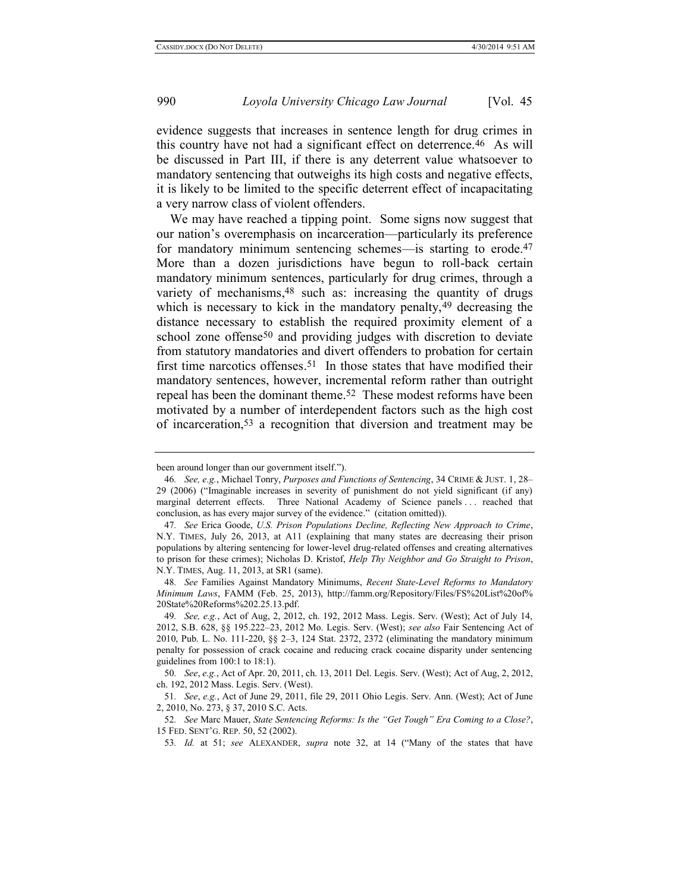evidence suggests that increases in sentence length for drug crimes in this country have not had a significant effect on deterrence.46 As will be discussed in Part III, if there is any deterrent value whatsoever to mandatory sentencing that outweighs its high costs and negative effects, it is likely to be limited to the specific deterrent effect of incapacitating a very narrow class of violent offenders.

<span id="page-9-1"></span>We may have reached a tipping point. Some signs now suggest that our nation's overemphasis on incarceration—particularly its preference for mandatory minimum sentencing schemes—is starting to erode.<sup>47</sup> More than a dozen jurisdictions have begun to roll-back certain mandatory minimum sentences, particularly for drug crimes, through a variety of mechanisms,<sup>48</sup> such as: increasing the quantity of drugs which is necessary to kick in the mandatory penalty, <sup>49</sup> decreasing the distance necessary to establish the required proximity element of a school zone offense<sup>50</sup> and providing judges with discretion to deviate from statutory mandatories and divert offenders to probation for certain first time narcotics offenses.<sup>51</sup> In those states that have modified their mandatory sentences, however, incremental reform rather than outright repeal has been the dominant theme.52 These modest reforms have been motivated by a number of interdependent factors such as the high cost of incarceration,53 a recognition that diversion and treatment may be

<span id="page-9-0"></span>been around longer than our government itself.").

<sup>46</sup>*. See, e.g.*, Michael Tonry, *Purposes and Functions of Sentencing*, 34 CRIME & JUST. 1, 28– 29 (2006) ("Imaginable increases in severity of punishment do not yield significant (if any) marginal deterrent effects. Three National Academy of Science panels . . . reached that conclusion, as has every major survey of the evidence." (citation omitted)).

<sup>47</sup>*. See* Erica Goode, *U.S. Prison Populations Decline, Reflecting New Approach to Crime*, N.Y. TIMES, July 26, 2013, at A11 (explaining that many states are decreasing their prison populations by altering sentencing for lower-level drug-related offenses and creating alternatives to prison for these crimes); Nicholas D. Kristof, *Help Thy Neighbor and Go Straight to Prison*, N.Y. TIMES, Aug. 11, 2013, at SR1 (same).

<sup>48</sup>*. See* Families Against Mandatory Minimums, *Recent State-Level Reforms to Mandatory Minimum Laws*, FAMM (Feb. 25, 2013), http://famm.org/Repository/Files/FS%20List%20of% 20State%20Reforms%202.25.13.pdf.

<sup>49</sup>*. See, e.g.*, Act of Aug, 2, 2012, ch. 192, 2012 Mass. Legis. Serv. (West); Act of July 14, 2012, S.B. 628, §§ 195.222–23, 2012 Mo. Legis. Serv. (West); *see also* Fair Sentencing Act of 2010, Pub. L. No. 111-220, §§ 2–3, 124 Stat. 2372, 2372 (eliminating the mandatory minimum penalty for possession of crack cocaine and reducing crack cocaine disparity under sentencing guidelines from 100:1 to 18:1).

<sup>50</sup>*. See*, *e.g.*, Act of Apr. 20, 2011, ch. 13, 2011 Del. Legis. Serv. (West); Act of Aug, 2, 2012, ch. 192, 2012 Mass. Legis. Serv. (West).

<sup>51</sup>*. See*, *e.g.*, Act of June 29, 2011, file 29, 2011 Ohio Legis. Serv. Ann. (West); Act of June 2, 2010, No. 273, § 37, 2010 S.C. Acts.

<sup>52</sup>*. See* Marc Mauer, *State Sentencing Reforms: Is the "Get Tough" Era Coming to a Close?*, 15 FED. SENT'G. REP. 50, 52 (2002).

<sup>53</sup>*. Id.* at 51; *see* ALEXANDER, *supra* note [32,](#page-6-0) at 14 ("Many of the states that have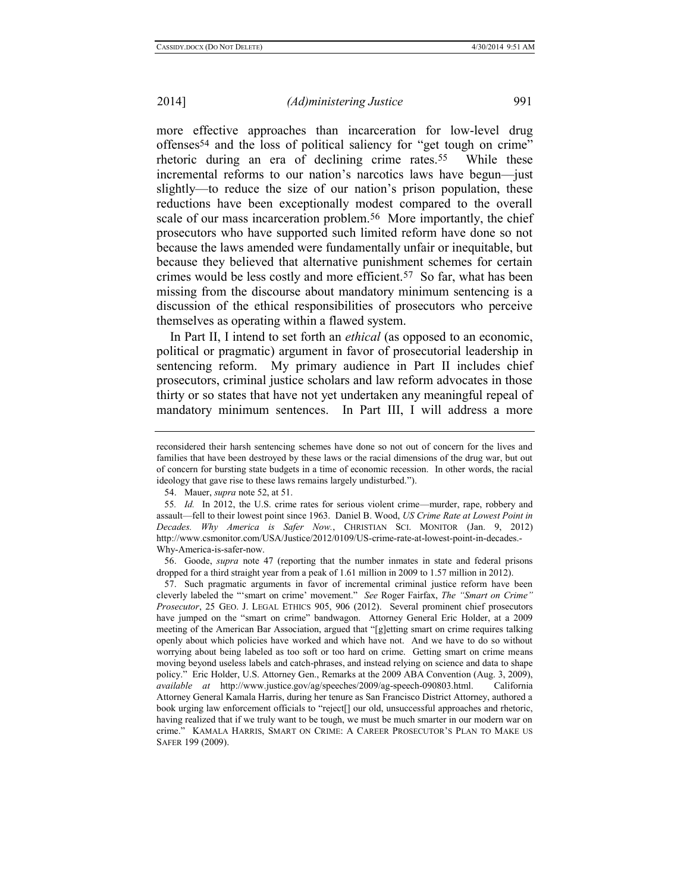more effective approaches than incarceration for low-level drug offenses54 and the loss of political saliency for "get tough on crime" rhetoric during an era of declining crime rates.55 While these incremental reforms to our nation's narcotics laws have begun—just slightly—to reduce the size of our nation's prison population, these reductions have been exceptionally modest compared to the overall scale of our mass incarceration problem.<sup>56</sup> More importantly, the chief prosecutors who have supported such limited reform have done so not because the laws amended were fundamentally unfair or inequitable, but because they believed that alternative punishment schemes for certain crimes would be less costly and more efficient.57 So far, what has been missing from the discourse about mandatory minimum sentencing is a discussion of the ethical responsibilities of prosecutors who perceive themselves as operating within a flawed system.

In Part II, I intend to set forth an *ethical* (as opposed to an economic, political or pragmatic) argument in favor of prosecutorial leadership in sentencing reform. My primary audience in Part II includes chief prosecutors, criminal justice scholars and law reform advocates in those thirty or so states that have not yet undertaken any meaningful repeal of mandatory minimum sentences. In Part III, I will address a more

reconsidered their harsh sentencing schemes have done so not out of concern for the lives and families that have been destroyed by these laws or the racial dimensions of the drug war, but out of concern for bursting state budgets in a time of economic recession. In other words, the racial ideology that gave rise to these laws remains largely undisturbed.").

<sup>54.</sup> Mauer, *supra* not[e 52,](#page-9-0) at 51.

<sup>55</sup>*. Id.* In 2012, the U.S. crime rates for serious violent crime—murder, rape, robbery and assault—fell to their lowest point since 1963. Daniel B. Wood, *US Crime Rate at Lowest Point in Decades. Why America is Safer Now.*, CHRISTIAN SCI. MONITOR (Jan. 9, 2012) http://www.csmonitor.com/USA/Justice/2012/0109/US-crime-rate-at-lowest-point-in-decades.- Why-America-is-safer-now.

<sup>56.</sup> Goode, *supra* note [47](#page-9-1) (reporting that the number inmates in state and federal prisons dropped for a third straight year from a peak of 1.61 million in 2009 to 1.57 million in 2012).

<sup>57.</sup> Such pragmatic arguments in favor of incremental criminal justice reform have been cleverly labeled the "'smart on crime' movement." *See* Roger Fairfax, *The "Smart on Crime" Prosecutor*, 25 GEO. J. LEGAL ETHICS 905, 906 (2012). Several prominent chief prosecutors have jumped on the "smart on crime" bandwagon. Attorney General Eric Holder, at a 2009 meeting of the American Bar Association, argued that "[g]etting smart on crime requires talking openly about which policies have worked and which have not. And we have to do so without worrying about being labeled as too soft or too hard on crime. Getting smart on crime means moving beyond useless labels and catch-phrases, and instead relying on science and data to shape policy." Eric Holder, U.S. Attorney Gen., Remarks at the 2009 ABA Convention (Aug. 3, 2009), *available at* [http://www.justice.gov/ag/speeches/2009/ag-speech-090803.html.](http://www.justice.gov/ag/speeches/2009/ag-speech-090803.html) California Attorney General Kamala Harris, during her tenure as San Francisco District Attorney, authored a book urging law enforcement officials to "reject[] our old, unsuccessful approaches and rhetoric, having realized that if we truly want to be tough, we must be much smarter in our modern war on crime." KAMALA HARRIS, SMART ON CRIME: A CAREER PROSECUTOR'S PLAN TO MAKE US SAFER 199 (2009).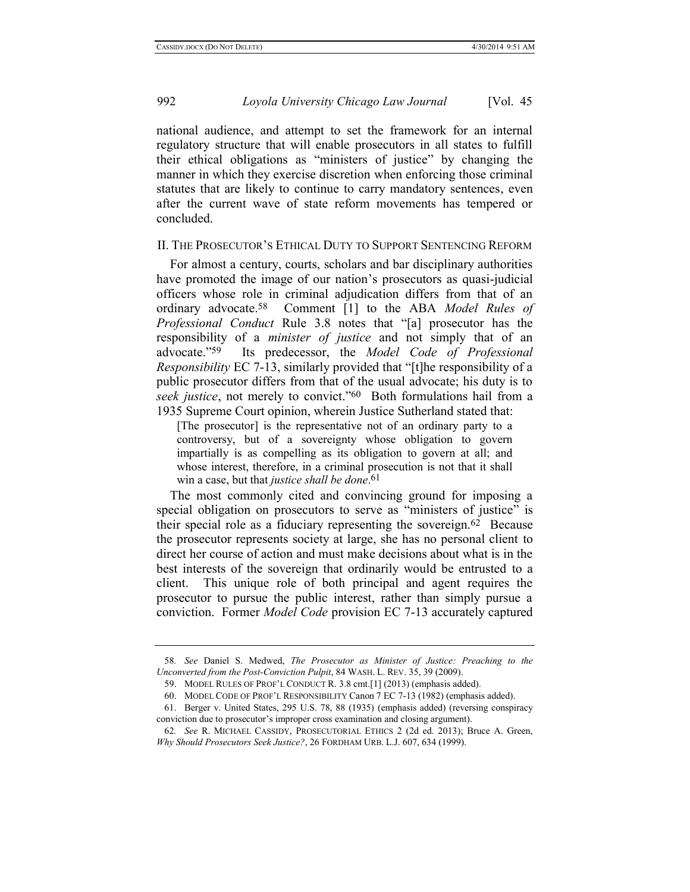national audience, and attempt to set the framework for an internal regulatory structure that will enable prosecutors in all states to fulfill their ethical obligations as "ministers of justice" by changing the manner in which they exercise discretion when enforcing those criminal statutes that are likely to continue to carry mandatory sentences, even after the current wave of state reform movements has tempered or concluded.

# II. THE PROSECUTOR'S ETHICAL DUTY TO SUPPORT SENTENCING REFORM

<span id="page-11-1"></span>For almost a century, courts, scholars and bar disciplinary authorities have promoted the image of our nation's prosecutors as quasi-judicial officers whose role in criminal adjudication differs from that of an ordinary advocate.58 Comment [1] to the ABA *Model Rules of Professional Conduct* Rule 3.8 notes that "[a] prosecutor has the responsibility of a *minister of justice* and not simply that of an advocate."59 Its predecessor, the *Model Code of Professional Responsibility* EC 7-13, similarly provided that "[t]he responsibility of a public prosecutor differs from that of the usual advocate; his duty is to *seek justice*, not merely to convict."60 Both formulations hail from a 1935 Supreme Court opinion, wherein Justice Sutherland stated that:

<span id="page-11-0"></span>[The prosecutor] is the representative not of an ordinary party to a controversy, but of a sovereignty whose obligation to govern impartially is as compelling as its obligation to govern at all; and whose interest, therefore, in a criminal prosecution is not that it shall win a case, but that *justice shall be done*. 61

The most commonly cited and convincing ground for imposing a special obligation on prosecutors to serve as "ministers of justice" is their special role as a fiduciary representing the sovereign.62 Because the prosecutor represents society at large, she has no personal client to direct her course of action and must make decisions about what is in the best interests of the sovereign that ordinarily would be entrusted to a client. This unique role of both principal and agent requires the prosecutor to pursue the public interest, rather than simply pursue a conviction. Former *Model Code* provision EC 7-13 accurately captured

<sup>58</sup>*. See* Daniel S. Medwed, *The Prosecutor as Minister of Justice: Preaching to the Unconverted from the Post-Conviction Pulpit*, 84 WASH. L. REV. 35, 39 (2009).

<sup>59.</sup> MODEL RULES OF PROF'L CONDUCT R. 3.8 cmt.[1] (2013) (emphasis added).

<sup>60.</sup> MODEL CODE OF PROF'L RESPONSIBILITY Canon 7 EC 7-13 (1982) (emphasis added).

<sup>61.</sup> Berger v. United States, 295 U.S. 78, 88 (1935) (emphasis added) (reversing conspiracy conviction due to prosecutor's improper cross examination and closing argument).

<sup>62</sup>*. See* R. MICHAEL CASSIDY, PROSECUTORIAL ETHICS 2 (2d ed. 2013); Bruce A. Green, *Why Should Prosecutors Seek Justice?*, 26 FORDHAM URB. L.J. 607, 634 (1999).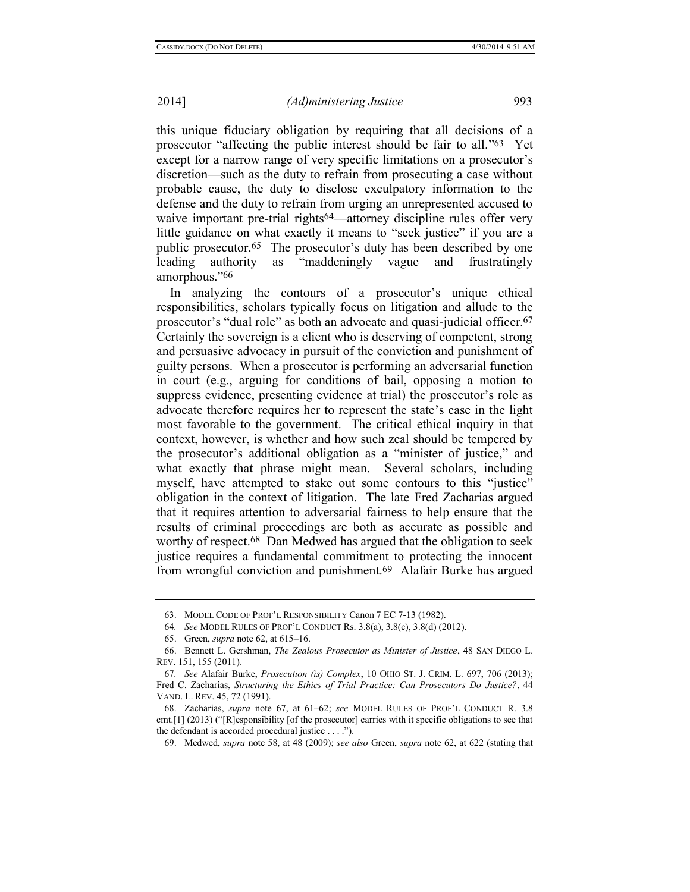this unique fiduciary obligation by requiring that all decisions of a prosecutor "affecting the public interest should be fair to all."63 Yet except for a narrow range of very specific limitations on a prosecutor's discretion—such as the duty to refrain from prosecuting a case without probable cause, the duty to disclose exculpatory information to the defense and the duty to refrain from urging an unrepresented accused to waive important pre-trial rights<sup>64</sup>—attorney discipline rules offer very little guidance on what exactly it means to "seek justice" if you are a public prosecutor.65 The prosecutor's duty has been described by one leading authority as "maddeningly vague and frustratingly amorphous."66

<span id="page-12-0"></span>In analyzing the contours of a prosecutor's unique ethical responsibilities, scholars typically focus on litigation and allude to the prosecutor's "dual role" as both an advocate and quasi-judicial officer.67 Certainly the sovereign is a client who is deserving of competent, strong and persuasive advocacy in pursuit of the conviction and punishment of guilty persons. When a prosecutor is performing an adversarial function in court (e.g., arguing for conditions of bail, opposing a motion to suppress evidence, presenting evidence at trial) the prosecutor's role as advocate therefore requires her to represent the state's case in the light most favorable to the government. The critical ethical inquiry in that context, however, is whether and how such zeal should be tempered by the prosecutor's additional obligation as a "minister of justice," and what exactly that phrase might mean. Several scholars, including myself, have attempted to stake out some contours to this "justice" obligation in the context of litigation. The late Fred Zacharias argued that it requires attention to adversarial fairness to help ensure that the results of criminal proceedings are both as accurate as possible and worthy of respect.68 Dan Medwed has argued that the obligation to seek justice requires a fundamental commitment to protecting the innocent from wrongful conviction and punishment.69 Alafair Burke has argued

<sup>63.</sup> MODEL CODE OF PROF'L RESPONSIBILITY Canon 7 EC 7-13 (1982).

<sup>64</sup>*. See* MODEL RULES OF PROF'L CONDUCT Rs. 3.8(a), 3.8(c), 3.8(d) (2012).

<sup>65.</sup> Green, *supra* note [62,](#page-11-0) at 615–16.

<sup>66.</sup> Bennett L. Gershman, *The Zealous Prosecutor as Minister of Justice*, 48 SAN DIEGO L. REV. 151, 155 (2011).

<sup>67</sup>*. See* Alafair Burke, *Prosecution (is) Complex*, 10 OHIO ST. J. CRIM. L. 697, 706 (2013); Fred C. Zacharias, *Structuring the Ethics of Trial Practice: Can Prosecutors Do Justice?*, 44 VAND. L. REV. 45, 72 (1991).

<sup>68.</sup> Zacharias, *supra* note [67,](#page-12-0) at 61–62; *see* MODEL RULES OF PROF'L CONDUCT R. 3.8 cmt.[1] (2013) ("[R]esponsibility [of the prosecutor] carries with it specific obligations to see that the defendant is accorded procedural justice . . . .").

<sup>69.</sup> Medwed, *supra* not[e 58,](#page-11-1) at 48 (2009); *see also* Green, *supra* note [62,](#page-11-0) at 622 (stating that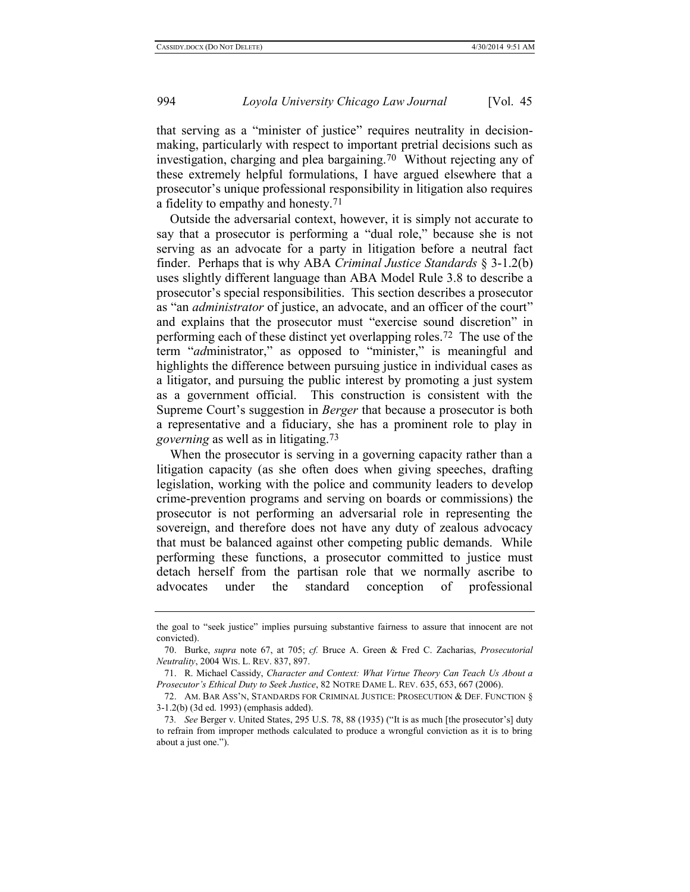<span id="page-13-0"></span>that serving as a "minister of justice" requires neutrality in decisionmaking, particularly with respect to important pretrial decisions such as investigation, charging and plea bargaining.70 Without rejecting any of these extremely helpful formulations, I have argued elsewhere that a prosecutor's unique professional responsibility in litigation also requires a fidelity to empathy and honesty.71

Outside the adversarial context, however, it is simply not accurate to say that a prosecutor is performing a "dual role," because she is not serving as an advocate for a party in litigation before a neutral fact finder. Perhaps that is why ABA *Criminal Justice Standards* § 3-1.2(b) uses slightly different language than ABA Model Rule 3.8 to describe a prosecutor's special responsibilities. This section describes a prosecutor as "an *administrator* of justice, an advocate, and an officer of the court" and explains that the prosecutor must "exercise sound discretion" in performing each of these distinct yet overlapping roles.72 The use of the term "*ad*ministrator," as opposed to "minister," is meaningful and highlights the difference between pursuing justice in individual cases as a litigator, and pursuing the public interest by promoting a just system as a government official. This construction is consistent with the Supreme Court's suggestion in *Berger* that because a prosecutor is both a representative and a fiduciary, she has a prominent role to play in *governing* as well as in litigating.73

When the prosecutor is serving in a governing capacity rather than a litigation capacity (as she often does when giving speeches, drafting legislation, working with the police and community leaders to develop crime-prevention programs and serving on boards or commissions) the prosecutor is not performing an adversarial role in representing the sovereign, and therefore does not have any duty of zealous advocacy that must be balanced against other competing public demands. While performing these functions, a prosecutor committed to justice must detach herself from the partisan role that we normally ascribe to advocates under the standard conception of professional

the goal to "seek justice" implies pursuing substantive fairness to assure that innocent are not convicted).

<sup>70.</sup> Burke, *supra* note [67,](#page-12-0) at 705; *cf.* Bruce A. Green & Fred C. Zacharias, *Prosecutorial Neutrality*, 2004 WIS. L. REV. 837, 897.

<sup>71.</sup> R. Michael Cassidy, *Character and Context: What Virtue Theory Can Teach Us About a Prosecutor's Ethical Duty to Seek Justice*, 82 NOTRE DAME L. REV. 635, 653, 667 (2006).

<sup>72.</sup> AM. BAR ASS'N, STANDARDS FOR CRIMINAL JUSTICE: PROSECUTION & DEF. FUNCTION § 3-1.2(b) (3d ed. 1993) (emphasis added).

<sup>73</sup>*. See* Berger v. United States, 295 U.S. 78, 88 (1935) ("It is as much [the prosecutor's] duty to refrain from improper methods calculated to produce a wrongful conviction as it is to bring about a just one.").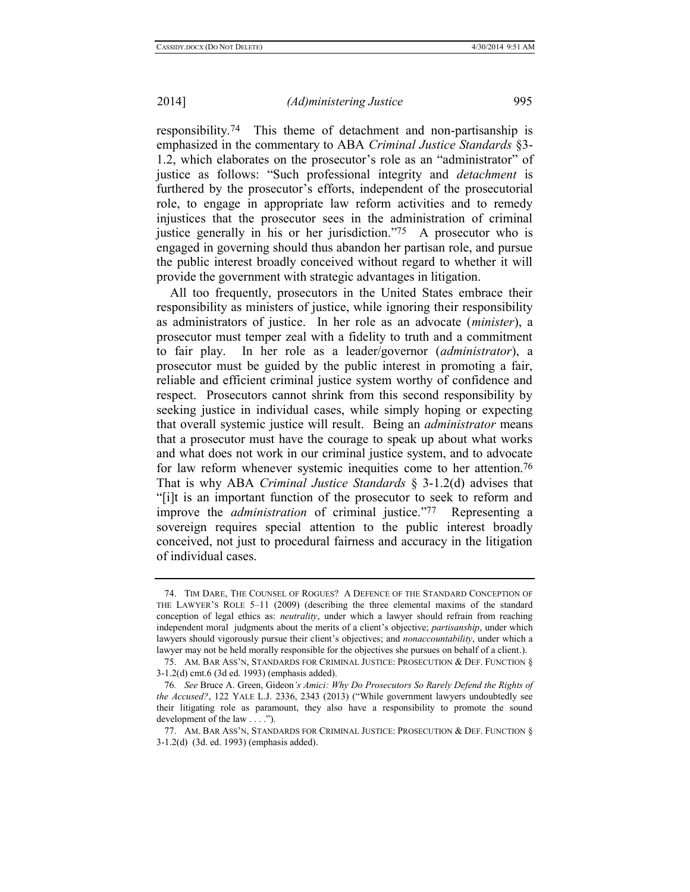responsibility.74 This theme of detachment and non-partisanship is emphasized in the commentary to ABA *Criminal Justice Standards* §3- 1.2, which elaborates on the prosecutor's role as an "administrator" of justice as follows: "Such professional integrity and *detachment* is furthered by the prosecutor's efforts, independent of the prosecutorial role, to engage in appropriate law reform activities and to remedy injustices that the prosecutor sees in the administration of criminal justice generally in his or her jurisdiction."75 A prosecutor who is engaged in governing should thus abandon her partisan role, and pursue the public interest broadly conceived without regard to whether it will provide the government with strategic advantages in litigation.

All too frequently, prosecutors in the United States embrace their responsibility as ministers of justice, while ignoring their responsibility as administrators of justice. In her role as an advocate (*minister*), a prosecutor must temper zeal with a fidelity to truth and a commitment to fair play. In her role as a leader/governor (*administrator*), a prosecutor must be guided by the public interest in promoting a fair, reliable and efficient criminal justice system worthy of confidence and respect. Prosecutors cannot shrink from this second responsibility by seeking justice in individual cases, while simply hoping or expecting that overall systemic justice will result. Being an *administrator* means that a prosecutor must have the courage to speak up about what works and what does not work in our criminal justice system, and to advocate for law reform whenever systemic inequities come to her attention.<sup>76</sup> That is why ABA *Criminal Justice Standards* § 3-1.2(d) advises that "[i]t is an important function of the prosecutor to seek to reform and improve the *administration* of criminal justice."77 Representing a sovereign requires special attention to the public interest broadly conceived, not just to procedural fairness and accuracy in the litigation of individual cases.

<sup>74.</sup> TIM DARE, THE COUNSEL OF ROGUES? A DEFENCE OF THE STANDARD CONCEPTION OF THE LAWYER'S ROLE 5–11 (2009) (describing the three elemental maxims of the standard conception of legal ethics as: *neutrality*, under which a lawyer should refrain from reaching independent moral judgments about the merits of a client's objective; *partisanship*, under which lawyers should vigorously pursue their client's objectives; and *nonaccountability*, under which a lawyer may not be held morally responsible for the objectives she pursues on behalf of a client.).

<sup>75.</sup> AM. BAR ASS'N, STANDARDS FOR CRIMINAL JUSTICE: PROSECUTION & DEF. FUNCTION § 3-1.2(d) cmt.6 (3d ed. 1993) (emphasis added).

<sup>76</sup>*. See* Bruce A. Green, Gideon*'s Amici: Why Do Prosecutors So Rarely Defend the Rights of the Accused?*, 122 YALE L.J. 2336, 2343 (2013) ("While government lawyers undoubtedly see their litigating role as paramount, they also have a responsibility to promote the sound development of the law . . . .").

<sup>77.</sup> AM. BAR ASS'N, STANDARDS FOR CRIMINAL JUSTICE: PROSECUTION & DEF. FUNCTION § 3-1.2(d) (3d. ed. 1993) (emphasis added).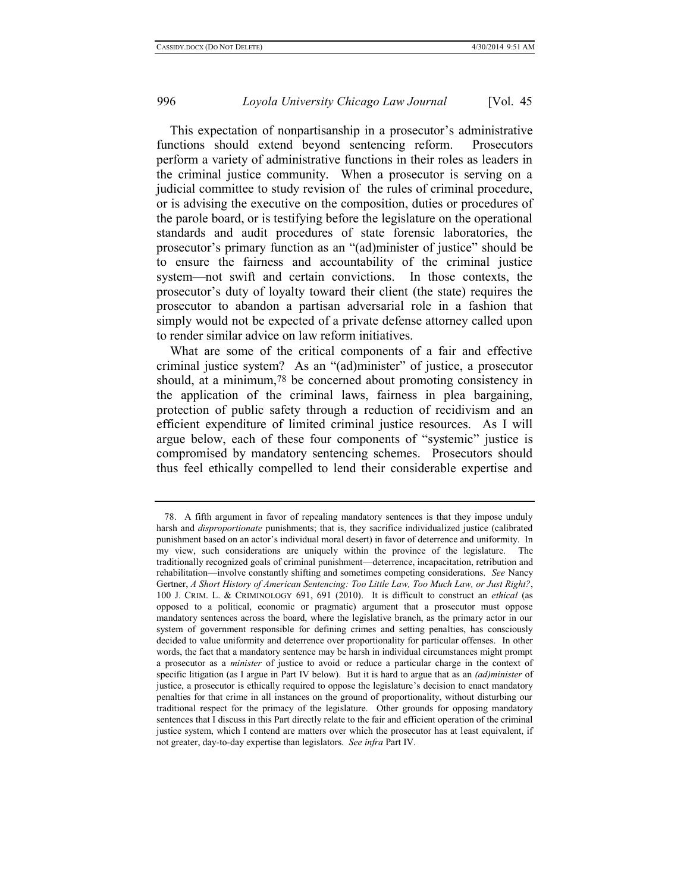This expectation of nonpartisanship in a prosecutor's administrative functions should extend beyond sentencing reform. Prosecutors perform a variety of administrative functions in their roles as leaders in the criminal justice community. When a prosecutor is serving on a judicial committee to study revision of the rules of criminal procedure, or is advising the executive on the composition, duties or procedures of the parole board, or is testifying before the legislature on the operational standards and audit procedures of state forensic laboratories, the prosecutor's primary function as an "(ad)minister of justice" should be to ensure the fairness and accountability of the criminal justice system—not swift and certain convictions. In those contexts, the prosecutor's duty of loyalty toward their client (the state) requires the prosecutor to abandon a partisan adversarial role in a fashion that simply would not be expected of a private defense attorney called upon to render similar advice on law reform initiatives.

<span id="page-15-0"></span>What are some of the critical components of a fair and effective criminal justice system? As an "(ad)minister" of justice, a prosecutor should, at a minimum,<sup>78</sup> be concerned about promoting consistency in the application of the criminal laws, fairness in plea bargaining, protection of public safety through a reduction of recidivism and an efficient expenditure of limited criminal justice resources. As I will argue below, each of these four components of "systemic" justice is compromised by mandatory sentencing schemes. Prosecutors should thus feel ethically compelled to lend their considerable expertise and

<sup>78.</sup> A fifth argument in favor of repealing mandatory sentences is that they impose unduly harsh and *disproportionate* punishments; that is, they sacrifice individualized justice (calibrated punishment based on an actor's individual moral desert) in favor of deterrence and uniformity. In my view, such considerations are uniquely within the province of the legislature. The traditionally recognized goals of criminal punishment—deterrence, incapacitation, retribution and rehabilitation—involve constantly shifting and sometimes competing considerations. *See* Nancy Gertner, *A Short History of American Sentencing: Too Little Law, Too Much Law, or Just Right?*, 100 J. CRIM. L. & CRIMINOLOGY 691, 691 (2010). It is difficult to construct an *ethical* (as opposed to a political, economic or pragmatic) argument that a prosecutor must oppose mandatory sentences across the board, where the legislative branch, as the primary actor in our system of government responsible for defining crimes and setting penalties, has consciously decided to value uniformity and deterrence over proportionality for particular offenses. In other words, the fact that a mandatory sentence may be harsh in individual circumstances might prompt a prosecutor as a *minister* of justice to avoid or reduce a particular charge in the context of specific litigation (as I argue in Part IV below). But it is hard to argue that as an *(ad)minister* of justice, a prosecutor is ethically required to oppose the legislature's decision to enact mandatory penalties for that crime in all instances on the ground of proportionality, without disturbing our traditional respect for the primacy of the legislature. Other grounds for opposing mandatory sentences that I discuss in this Part directly relate to the fair and efficient operation of the criminal justice system, which I contend are matters over which the prosecutor has at least equivalent, if not greater, day-to-day expertise than legislators. *See infra* Part IV.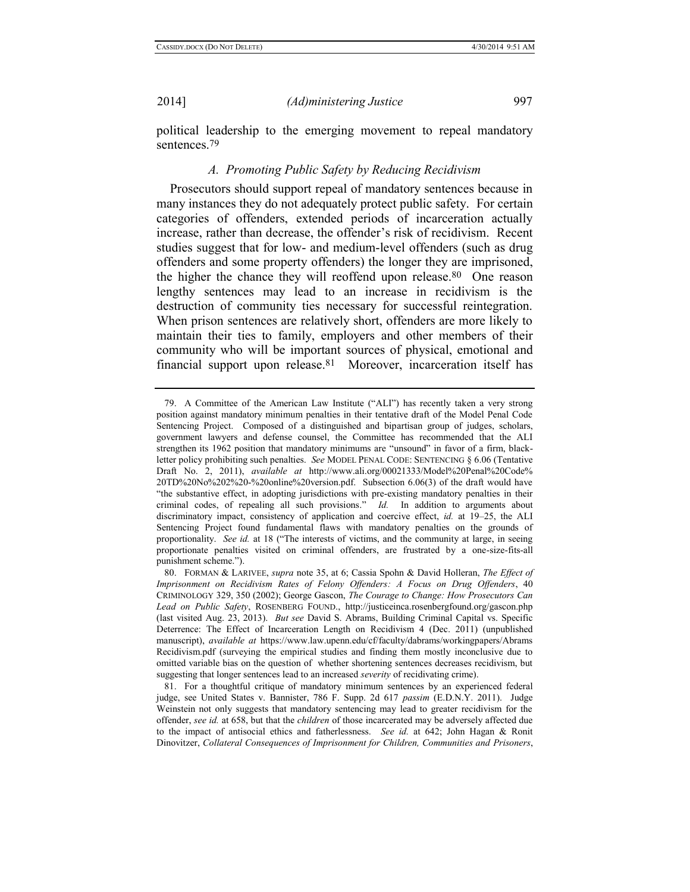political leadership to the emerging movement to repeal mandatory sentences.79

# *A. Promoting Public Safety by Reducing Recidivism*

Prosecutors should support repeal of mandatory sentences because in many instances they do not adequately protect public safety. For certain categories of offenders, extended periods of incarceration actually increase, rather than decrease, the offender's risk of recidivism. Recent studies suggest that for low- and medium-level offenders (such as drug offenders and some property offenders) the longer they are imprisoned, the higher the chance they will reoffend upon release.80 One reason lengthy sentences may lead to an increase in recidivism is the destruction of community ties necessary for successful reintegration. When prison sentences are relatively short, offenders are more likely to maintain their ties to family, employers and other members of their community who will be important sources of physical, emotional and financial support upon release.81 Moreover, incarceration itself has

<sup>79.</sup> A Committee of the American Law Institute ("ALI") has recently taken a very strong position against mandatory minimum penalties in their tentative draft of the Model Penal Code Sentencing Project. Composed of a distinguished and bipartisan group of judges, scholars, government lawyers and defense counsel, the Committee has recommended that the ALI strengthen its 1962 position that mandatory minimums are "unsound" in favor of a firm, blackletter policy prohibiting such penalties. *See* MODEL PENAL CODE: SENTENCING § 6.06 (Tentative Draft No. 2, 2011), *available at* http://www.ali.org/00021333/Model%20Penal%20Code% 20TD%20No%202%20-%20online%20version.pdf. Subsection 6.06(3) of the draft would have "the substantive effect, in adopting jurisdictions with pre-existing mandatory penalties in their criminal codes, of repealing all such provisions." *Id.* In addition to arguments about discriminatory impact, consistency of application and coercive effect, *id.* at 19–25, the ALI Sentencing Project found fundamental flaws with mandatory penalties on the grounds of proportionality. *See id.* at 18 ("The interests of victims, and the community at large, in seeing proportionate penalties visited on criminal offenders, are frustrated by a one-size-fits-all punishment scheme.").

<sup>80.</sup> FORMAN & LARIVEE, *supra* not[e 35,](#page-7-1) at 6; Cassia Spohn & David Holleran, *The Effect of Imprisonment on Recidivism Rates of Felony Offenders: A Focus on Drug Offenders*, 40 CRIMINOLOGY 329, 350 (2002); George Gascon, *The Courage to Change: How Prosecutors Can Lead on Public Safety*, ROSENBERG FOUND.,<http://justiceinca.rosenbergfound.org/gascon.php> (last visited Aug. 23, 2013). *But see* David S. Abrams, Building Criminal Capital vs. Specific Deterrence: The Effect of Incarceration Length on Recidivism 4 (Dec. 2011) (unpublished manuscript), *available at* https://www.law.upenn.edu/cf/faculty/dabrams/workingpapers/Abrams Recidivism.pdf (surveying the empirical studies and finding them mostly inconclusive due to omitted variable bias on the question of whether shortening sentences decreases recidivism, but suggesting that longer sentences lead to an increased *severity* of recidivating crime).

<sup>81.</sup> For a thoughtful critique of mandatory minimum sentences by an experienced federal judge, see United States v. Bannister, 786 F. Supp. 2d 617 *passim* (E.D.N.Y. 2011). Judge Weinstein not only suggests that mandatory sentencing may lead to greater recidivism for the offender, *see id.* at 658, but that the *children* of those incarcerated may be adversely affected due to the impact of antisocial ethics and fatherlessness. *See id.* at 642; John Hagan & Ronit Dinovitzer, *Collateral Consequences of Imprisonment for Children, Communities and Prisoners*,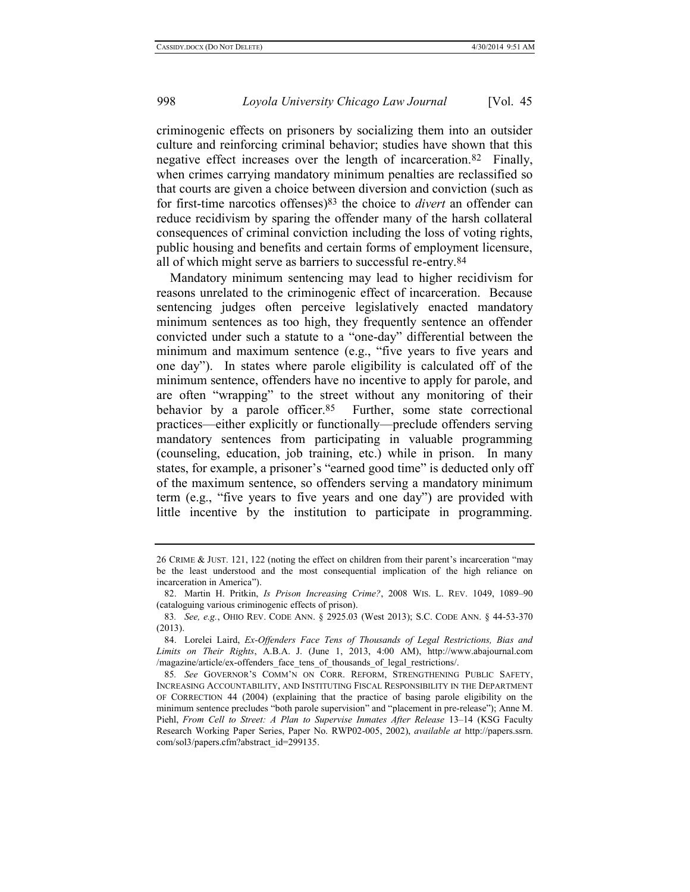criminogenic effects on prisoners by socializing them into an outsider culture and reinforcing criminal behavior; studies have shown that this negative effect increases over the length of incarceration.82 Finally, when crimes carrying mandatory minimum penalties are reclassified so that courts are given a choice between diversion and conviction (such as for first-time narcotics offenses) 83 the choice to *divert* an offender can reduce recidivism by sparing the offender many of the harsh collateral consequences of criminal conviction including the loss of voting rights, public housing and benefits and certain forms of employment licensure, all of which might serve as barriers to successful re-entry.84

<span id="page-17-0"></span>Mandatory minimum sentencing may lead to higher recidivism for reasons unrelated to the criminogenic effect of incarceration. Because sentencing judges often perceive legislatively enacted mandatory minimum sentences as too high, they frequently sentence an offender convicted under such a statute to a "one-day" differential between the minimum and maximum sentence (e.g., "five years to five years and one day"). In states where parole eligibility is calculated off of the minimum sentence, offenders have no incentive to apply for parole, and are often "wrapping" to the street without any monitoring of their behavior by a parole officer.<sup>85</sup> Further, some state correctional practices—either explicitly or functionally—preclude offenders serving mandatory sentences from participating in valuable programming (counseling, education, job training, etc.) while in prison. In many states, for example, a prisoner's "earned good time" is deducted only off of the maximum sentence, so offenders serving a mandatory minimum term (e.g., "five years to five years and one day") are provided with little incentive by the institution to participate in programming.

<sup>26</sup> CRIME & JUST. 121, 122 (noting the effect on children from their parent's incarceration "may be the least understood and the most consequential implication of the high reliance on incarceration in America").

<sup>82.</sup> Martin H. Pritkin, *Is Prison Increasing Crime?*, 2008 WIS. L. REV. 1049, 1089–90 (cataloguing various criminogenic effects of prison).

<sup>83</sup>*. See, e.g.*, OHIO REV. CODE ANN. § 2925.03 (West 2013); S.C. CODE ANN. § 44-53-370 (2013).

<sup>84.</sup> Lorelei Laird, *Ex-Offenders Face Tens of Thousands of Legal Restrictions, Bias and Limits on Their Rights*, A.B.A. J. (June 1, 2013, 4:00 AM), http://www.abajournal.com /magazine/article/ex-offenders face tens of thousands of legal restrictions/.

<sup>85</sup>*. See* GOVERNOR'S COMM'N ON CORR. REFORM, STRENGTHENING PUBLIC SAFETY, INCREASING ACCOUNTABILITY, AND INSTITUTING FISCAL RESPONSIBILITY IN THE DEPARTMENT OF CORRECTION 44 (2004) (explaining that the practice of basing parole eligibility on the minimum sentence precludes "both parole supervision" and "placement in pre-release"); Anne M. Piehl, *From Cell to Street: A Plan to Supervise Inmates After Release* 13–14 (KSG Faculty Research Working Paper Series, Paper No. RWP02-005, 2002), *available at* http://papers.ssrn. com/sol3/papers.cfm?abstract\_id=299135.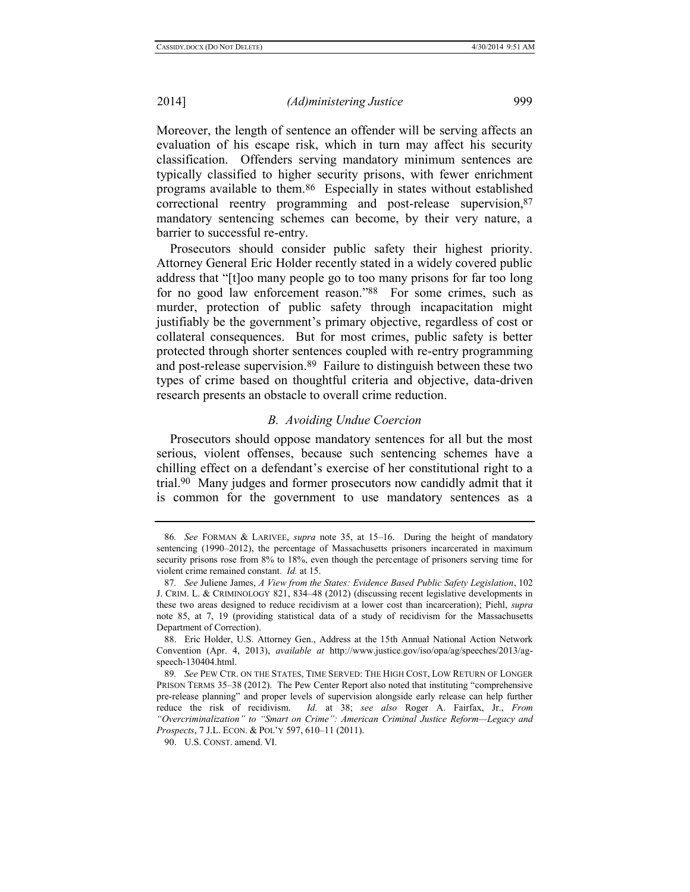Moreover, the length of sentence an offender will be serving affects an evaluation of his escape risk, which in turn may affect his security classification. Offenders serving mandatory minimum sentences are typically classified to higher security prisons, with fewer enrichment programs available to them.86 Especially in states without established correctional reentry programming and post-release supervision,87 mandatory sentencing schemes can become, by their very nature, a barrier to successful re-entry.

Prosecutors should consider public safety their highest priority. Attorney General Eric Holder recently stated in a widely covered public address that "[t]oo many people go to too many prisons for far too long for no good law enforcement reason."88 For some crimes, such as murder, protection of public safety through incapacitation might justifiably be the government's primary objective, regardless of cost or collateral consequences. But for most crimes, public safety is better protected through shorter sentences coupled with re-entry programming and post-release supervision.89 Failure to distinguish between these two types of crime based on thoughtful criteria and objective, data-driven research presents an obstacle to overall crime reduction.

#### <span id="page-18-1"></span><span id="page-18-0"></span>*B. Avoiding Undue Coercion*

Prosecutors should oppose mandatory sentences for all but the most serious, violent offenses, because such sentencing schemes have a chilling effect on a defendant's exercise of her constitutional right to a trial.90 Many judges and former prosecutors now candidly admit that it is common for the government to use mandatory sentences as a

<sup>86</sup>*. See* FORMAN & LARIVEE, *supra* note [35,](#page-7-1) at 15–16. During the height of mandatory sentencing (1990–2012), the percentage of Massachusetts prisoners incarcerated in maximum security prisons rose from 8% to 18%, even though the percentage of prisoners serving time for violent crime remained constant. *Id.* at 15.

<sup>87</sup>*. See* Juliene James, *A View from the States: Evidence Based Public Safety Legislation*, 102 J. CRIM. L. & CRIMINOLOGY 821, 834–48 (2012) (discussing recent legislative developments in these two areas designed to reduce recidivism at a lower cost than incarceration); Piehl, *supra* note [85,](#page-17-0) at 7, 19 (providing statistical data of a study of recidivism for the Massachusetts Department of Correction).

<sup>88.</sup> Eric Holder, U.S. Attorney Gen., Address at the 15th Annual National Action Network Convention (Apr. 4, 2013), *available at* http://www.justice.gov/iso/opa/ag/speeches/2013/agspeech-130404.html.

<sup>89</sup>*. See* PEW CTR. ON THE STATES, TIME SERVED: THE HIGH COST, LOW RETURN OF LONGER PRISON TERMS 35–38 (2012). The Pew Center Report also noted that instituting "comprehensive pre-release planning" and proper levels of supervision alongside early release can help further reduce the risk of recidivism. *Id.* at 38; *see also* Roger A. Fairfax, Jr., *From "Overcriminalization" to "Smart on Crime": American Criminal Justice Reform—Legacy and Prospects*, 7 J.L. ECON. & POL'Y 597, 610–11 (2011).

<sup>90.</sup> U.S. CONST. amend. VI.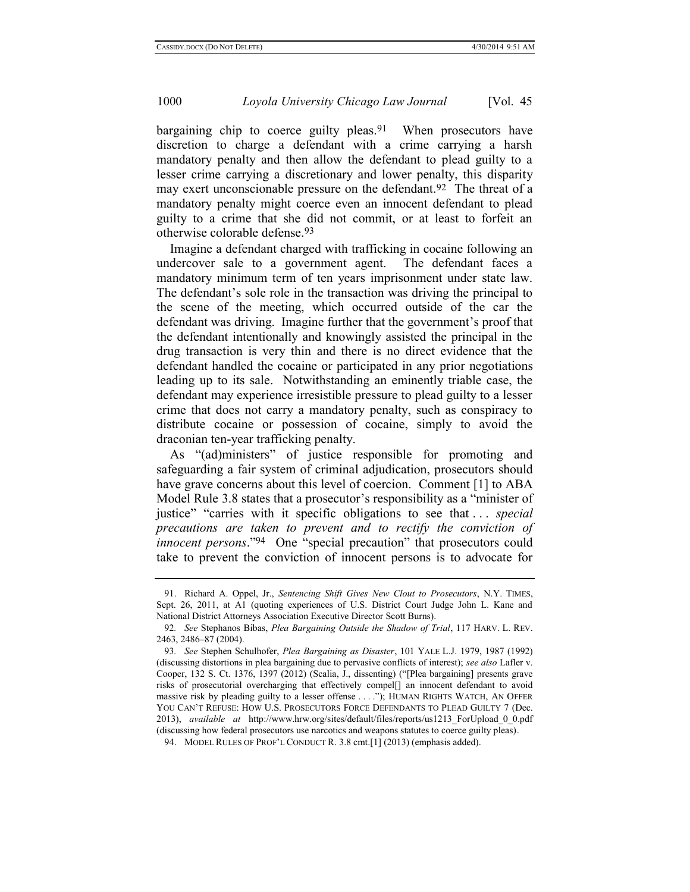<span id="page-19-0"></span>bargaining chip to coerce guilty pleas.<sup>91</sup> When prosecutors have discretion to charge a defendant with a crime carrying a harsh mandatory penalty and then allow the defendant to plead guilty to a lesser crime carrying a discretionary and lower penalty, this disparity may exert unconscionable pressure on the defendant.<sup>92</sup> The threat of a mandatory penalty might coerce even an innocent defendant to plead guilty to a crime that she did not commit, or at least to forfeit an otherwise colorable defense.93

Imagine a defendant charged with trafficking in cocaine following an undercover sale to a government agent. The defendant faces a mandatory minimum term of ten years imprisonment under state law. The defendant's sole role in the transaction was driving the principal to the scene of the meeting, which occurred outside of the car the defendant was driving. Imagine further that the government's proof that the defendant intentionally and knowingly assisted the principal in the drug transaction is very thin and there is no direct evidence that the defendant handled the cocaine or participated in any prior negotiations leading up to its sale. Notwithstanding an eminently triable case, the defendant may experience irresistible pressure to plead guilty to a lesser crime that does not carry a mandatory penalty, such as conspiracy to distribute cocaine or possession of cocaine, simply to avoid the draconian ten-year trafficking penalty.

As "(ad)ministers" of justice responsible for promoting and safeguarding a fair system of criminal adjudication, prosecutors should have grave concerns about this level of coercion. Comment [1] to ABA Model Rule 3.8 states that a prosecutor's responsibility as a "minister of justice" "carries with it specific obligations to see that . . . *special precautions are taken to prevent and to rectify the conviction of innocent persons*."94 One "special precaution" that prosecutors could take to prevent the conviction of innocent persons is to advocate for

<sup>91.</sup> Richard A. Oppel, Jr., *Sentencing Shift Gives New Clout to Prosecutors*, N.Y. TIMES, Sept. 26, 2011, at A1 (quoting experiences of U.S. District Court Judge John L. Kane and National District Attorneys Association Executive Director Scott Burns).

<sup>92</sup>*. See* Stephanos Bibas, *Plea Bargaining Outside the Shadow of Trial*, 117 HARV. L. REV. 2463, 2486–87 (2004).

<sup>93</sup>*. See* Stephen Schulhofer, *Plea Bargaining as Disaster*, 101 YALE L.J. 1979, 1987 (1992) (discussing distortions in plea bargaining due to pervasive conflicts of interest); *see also* Lafler v. Cooper, 132 S. Ct. 1376, 1397 (2012) (Scalia, J., dissenting) ("[Plea bargaining] presents grave risks of prosecutorial overcharging that effectively compel[] an innocent defendant to avoid massive risk by pleading guilty to a lesser offense . . . ."); HUMAN RIGHTS WATCH, AN OFFER YOU CAN'T REFUSE: HOW U.S. PROSECUTORS FORCE DEFENDANTS TO PLEAD GUILTY 7 (Dec. 2013), *available at* http://www.hrw.org/sites/default/files/reports/us1213\_ForUpload\_0\_0.pdf (discussing how federal prosecutors use narcotics and weapons statutes to coerce guilty pleas).

<sup>94.</sup> MODEL RULES OF PROF'L CONDUCT R. 3.8 cmt.[1] (2013) (emphasis added).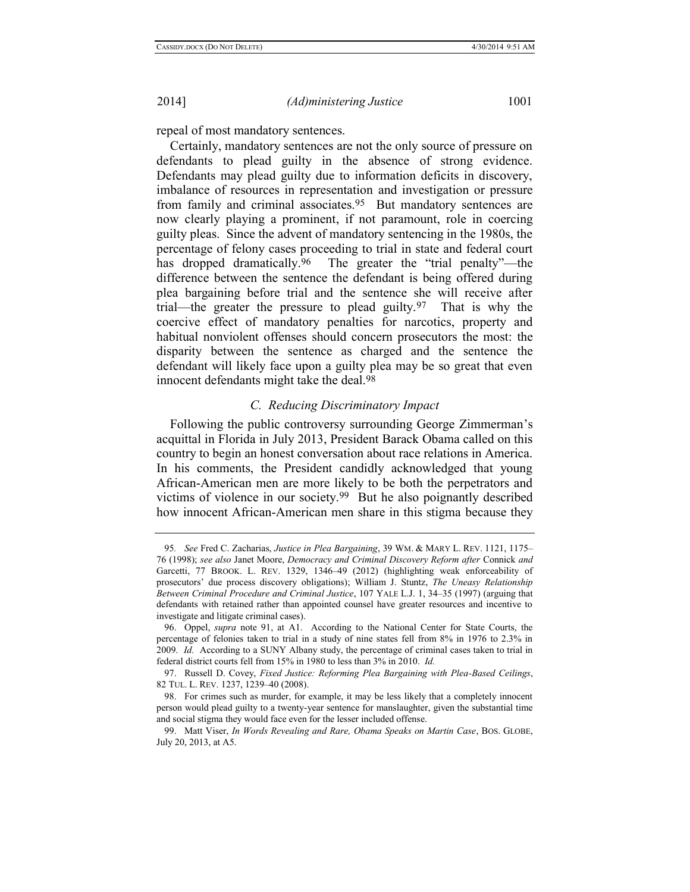repeal of most mandatory sentences.

Certainly, mandatory sentences are not the only source of pressure on defendants to plead guilty in the absence of strong evidence. Defendants may plead guilty due to information deficits in discovery, imbalance of resources in representation and investigation or pressure from family and criminal associates.95 But mandatory sentences are now clearly playing a prominent, if not paramount, role in coercing guilty pleas. Since the advent of mandatory sentencing in the 1980s, the percentage of felony cases proceeding to trial in state and federal court has dropped dramatically.<sup>96</sup> The greater the "trial penalty"—the difference between the sentence the defendant is being offered during plea bargaining before trial and the sentence she will receive after trial—the greater the pressure to plead guilty.97 That is why the coercive effect of mandatory penalties for narcotics, property and habitual nonviolent offenses should concern prosecutors the most: the disparity between the sentence as charged and the sentence the defendant will likely face upon a guilty plea may be so great that even innocent defendants might take the deal.<sup>98</sup>

# <span id="page-20-0"></span>*C. Reducing Discriminatory Impact*

Following the public controversy surrounding George Zimmerman's acquittal in Florida in July 2013, President Barack Obama called on this country to begin an honest conversation about race relations in America. In his comments, the President candidly acknowledged that young African-American men are more likely to be both the perpetrators and victims of violence in our society.99 But he also poignantly described how innocent African-American men share in this stigma because they

<sup>95</sup>*. See* Fred C. Zacharias, *Justice in Plea Bargaining*, 39 WM. & MARY L. REV. 1121, 1175– 76 (1998); *see also* Janet Moore, *Democracy and Criminal Discovery Reform after* Connick *and*  Garcetti, 77 BROOK. L. REV. 1329, 1346–49 (2012) (highlighting weak enforceability of prosecutors' due process discovery obligations); William J. Stuntz, *The Uneasy Relationship Between Criminal Procedure and Criminal Justice*, 107 YALE L.J. 1, 34–35 (1997) (arguing that defendants with retained rather than appointed counsel have greater resources and incentive to investigate and litigate criminal cases).

<sup>96.</sup> Oppel, *supra* note [91,](#page-19-0) at A1. According to the National Center for State Courts, the percentage of felonies taken to trial in a study of nine states fell from 8% in 1976 to 2.3% in 2009. *Id.* According to a SUNY Albany study, the percentage of criminal cases taken to trial in federal district courts fell from 15% in 1980 to less than 3% in 2010. *Id.*

<sup>97.</sup> Russell D. Covey, *Fixed Justice: Reforming Plea Bargaining with Plea-Based Ceilings*, 82 TUL. L. REV. 1237, 1239–40 (2008).

<sup>98.</sup> For crimes such as murder, for example, it may be less likely that a completely innocent person would plead guilty to a twenty-year sentence for manslaughter, given the substantial time and social stigma they would face even for the lesser included offense.

<sup>99.</sup> Matt Viser, *In Words Revealing and Rare, Obama Speaks on Martin Case*, BOS. GLOBE, July 20, 2013, at A5.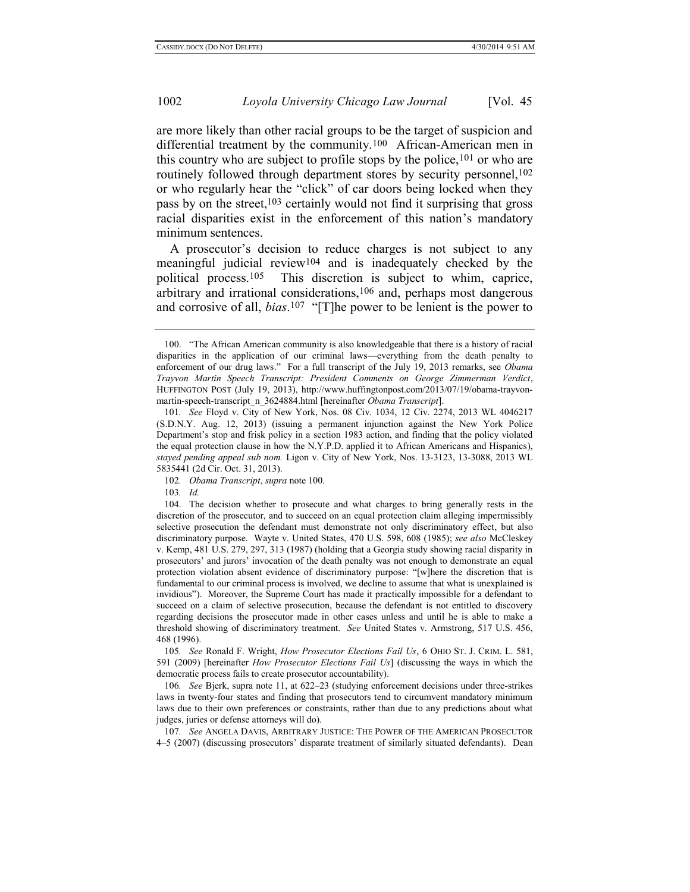<span id="page-21-0"></span>are more likely than other racial groups to be the target of suspicion and differential treatment by the community.100 African-American men in this country who are subject to profile stops by the police,  $101$  or who are routinely followed through department stores by security personnel,<sup>102</sup> or who regularly hear the "click" of car doors being locked when they pass by on the street, $103$  certainly would not find it surprising that gross racial disparities exist in the enforcement of this nation's mandatory minimum sentences.

<span id="page-21-1"></span>A prosecutor's decision to reduce charges is not subject to any meaningful judicial review104 and is inadequately checked by the political process.105This discretion is subject to whim, caprice, arbitrary and irrational considerations,106 and, perhaps most dangerous and corrosive of all, *bias*. 107 "[T]he power to be lenient is the power to

105*. See* Ronald F. Wright, *How Prosecutor Elections Fail Us*, 6 OHIO ST. J. CRIM. L. 581, 591 (2009) [hereinafter *How Prosecutor Elections Fail Us*] (discussing the ways in which the democratic process fails to create prosecutor accountability).

106*. See* Bjerk, supra note [11,](#page-5-1) at 622–23 (studying enforcement decisions under three-strikes laws in twenty-four states and finding that prosecutors tend to circumvent mandatory minimum laws due to their own preferences or constraints, rather than due to any predictions about what judges, juries or defense attorneys will do).

107*. See* ANGELA DAVIS, ARBITRARY JUSTICE: THE POWER OF THE AMERICAN PROSECUTOR 4–5 (2007) (discussing prosecutors' disparate treatment of similarly situated defendants). Dean

<sup>100.</sup> "The African American community is also knowledgeable that there is a history of racial disparities in the application of our criminal laws—everything from the death penalty to enforcement of our drug laws." For a full transcript of the July 19, 2013 remarks, see *Obama Trayvon Martin Speech Transcript: President Comments on George Zimmerman Verdict*, HUFFINGTON POST (July 19, 2013), [http://www.huffingtonpost.com/2013/07/19/obama-trayvon](http://www.huffingtonpost.com/2013/07/19/obama-trayvon-martin-speech-transcript_n_3624884.html)[martin-speech-transcript\\_n\\_3624884.html](http://www.huffingtonpost.com/2013/07/19/obama-trayvon-martin-speech-transcript_n_3624884.html) [hereinafter *Obama Transcript*].

<sup>101</sup>*. See* Floyd v. City of New York, Nos. 08 Civ. 1034, 12 Civ. 2274, 2013 WL 4046217 (S.D.N.Y. Aug. 12, 2013) (issuing a permanent injunction against the New York Police Department's stop and frisk policy in a section 1983 action, and finding that the policy violated the equal protection clause in how the N.Y.P.D. applied it to African Americans and Hispanics), *stayed pending appeal sub nom.* Ligon v. City of New York, Nos. 13-3123, 13-3088, 2013 WL 5835441 (2d Cir. Oct. 31, 2013).

<sup>102</sup>*. Obama Transcript*, *supra* not[e 100.](#page-21-0)

<sup>103</sup>*. Id.*

<sup>104.</sup> The decision whether to prosecute and what charges to bring generally rests in the discretion of the prosecutor, and to succeed on an equal protection claim alleging impermissibly selective prosecution the defendant must demonstrate not only discriminatory effect, but also discriminatory purpose. Wayte v. United States, 470 U.S. 598, 608 (1985); *see also* McCleskey v. Kemp, 481 U.S. 279, 297, 313 (1987) (holding that a Georgia study showing racial disparity in prosecutors' and jurors' invocation of the death penalty was not enough to demonstrate an equal protection violation absent evidence of discriminatory purpose: "[w]here the discretion that is fundamental to our criminal process is involved, we decline to assume that what is unexplained is invidious"). Moreover, the Supreme Court has made it practically impossible for a defendant to succeed on a claim of selective prosecution, because the defendant is not entitled to discovery regarding decisions the prosecutor made in other cases unless and until he is able to make a threshold showing of discriminatory treatment. *See* United States v. Armstrong, 517 U.S. 456, 468 (1996).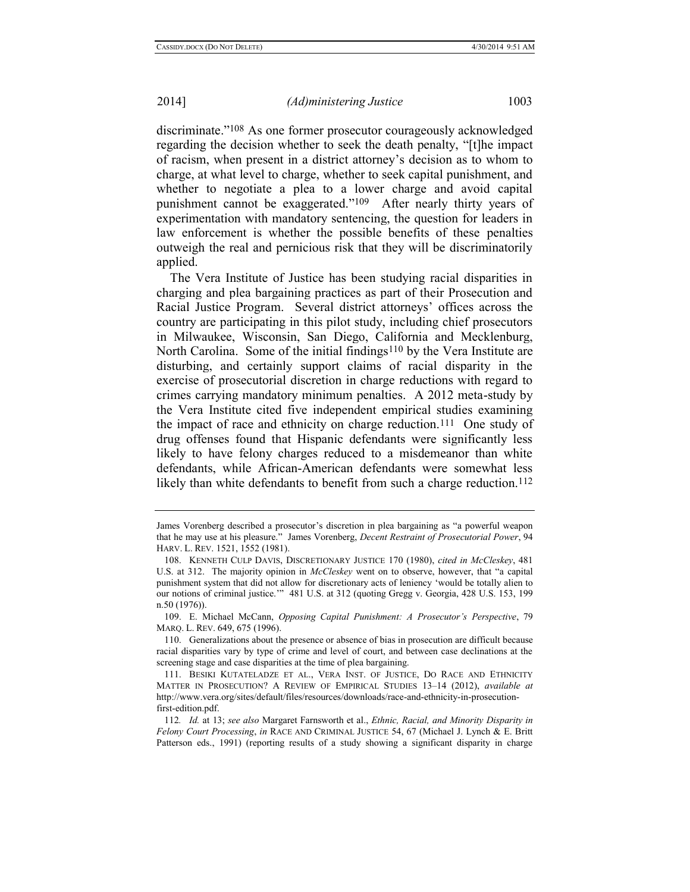discriminate."108 As one former prosecutor courageously acknowledged regarding the decision whether to seek the death penalty, "[t]he impact of racism, when present in a district attorney's decision as to whom to charge, at what level to charge, whether to seek capital punishment, and whether to negotiate a plea to a lower charge and avoid capital punishment cannot be exaggerated."109 After nearly thirty years of experimentation with mandatory sentencing, the question for leaders in law enforcement is whether the possible benefits of these penalties outweigh the real and pernicious risk that they will be discriminatorily applied.

The Vera Institute of Justice has been studying racial disparities in charging and plea bargaining practices as part of their Prosecution and Racial Justice Program. Several district attorneys' offices across the country are participating in this pilot study, including chief prosecutors in Milwaukee, Wisconsin, San Diego, California and Mecklenburg, North Carolina. Some of the initial findings<sup>110</sup> by the Vera Institute are disturbing, and certainly support claims of racial disparity in the exercise of prosecutorial discretion in charge reductions with regard to crimes carrying mandatory minimum penalties. A 2012 meta-study by the Vera Institute cited five independent empirical studies examining the impact of race and ethnicity on charge reduction.111 One study of drug offenses found that Hispanic defendants were significantly less likely to have felony charges reduced to a misdemeanor than white defendants, while African-American defendants were somewhat less likely than white defendants to benefit from such a charge reduction.<sup>112</sup>

<span id="page-22-0"></span>James Vorenberg described a prosecutor's discretion in plea bargaining as "a powerful weapon that he may use at his pleasure." James Vorenberg, *Decent Restraint of Prosecutorial Power*, 94 HARV. L. REV. 1521, 1552 (1981).

<sup>108.</sup> KENNETH CULP DAVIS, DISCRETIONARY JUSTICE 170 (1980), *cited in McCleskey*, 481 U.S. at 312. The majority opinion in *McCleskey* went on to observe, however, that "a capital punishment system that did not allow for discretionary acts of leniency 'would be totally alien to our notions of criminal justice.'" 481 U.S. at 312 (quoting Gregg v. Georgia, 428 U.S. 153, 199 n.50 (1976)).

<sup>109.</sup> E. Michael McCann, *Opposing Capital Punishment: A Prosecutor's Perspective*, 79 MARQ. L. REV. 649, 675 (1996).

<sup>110.</sup> Generalizations about the presence or absence of bias in prosecution are difficult because racial disparities vary by type of crime and level of court, and between case declinations at the screening stage and case disparities at the time of plea bargaining.

<sup>111.</sup> BESIKI KUTATELADZE ET AL., VERA INST. OF JUSTICE, DO RACE AND ETHNICITY MATTER IN PROSECUTION? A REVIEW OF EMPIRICAL STUDIES 13–14 (2012), *available at* http://www.vera.org/sites/default/files/resources/downloads/race-and-ethnicity-in-prosecutionfirst-edition.pdf.

<sup>112</sup>*. Id.* at 13; *see also* Margaret Farnsworth et al., *Ethnic, Racial, and Minority Disparity in Felony Court Processing*, *in* RACE AND CRIMINAL JUSTICE 54, 67 (Michael J. Lynch & E. Britt Patterson eds., 1991) (reporting results of a study showing a significant disparity in charge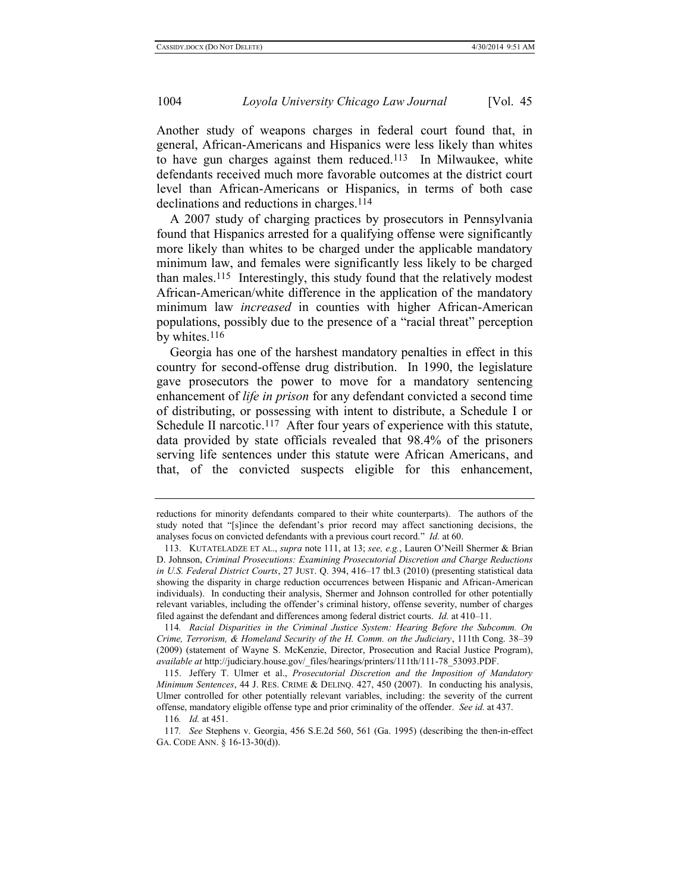Another study of weapons charges in federal court found that, in general, African-Americans and Hispanics were less likely than whites to have gun charges against them reduced.113 In Milwaukee, white defendants received much more favorable outcomes at the district court level than African-Americans or Hispanics, in terms of both case declinations and reductions in charges.114

A 2007 study of charging practices by prosecutors in Pennsylvania found that Hispanics arrested for a qualifying offense were significantly more likely than whites to be charged under the applicable mandatory minimum law, and females were significantly less likely to be charged than males.115 Interestingly, this study found that the relatively modest African-American/white difference in the application of the mandatory minimum law *increased* in counties with higher African-American populations, possibly due to the presence of a "racial threat" perception by whites.116

Georgia has one of the harshest mandatory penalties in effect in this country for second-offense drug distribution. In 1990, the legislature gave prosecutors the power to move for a mandatory sentencing enhancement of *life in prison* for any defendant convicted a second time of distributing, or possessing with intent to distribute, a Schedule I or Schedule II narcotic.<sup>117</sup> After four years of experience with this statute, data provided by state officials revealed that 98.4% of the prisoners serving life sentences under this statute were African Americans, and that, of the convicted suspects eligible for this enhancement,

reductions for minority defendants compared to their white counterparts). The authors of the study noted that "[s]ince the defendant's prior record may affect sanctioning decisions, the analyses focus on convicted defendants with a previous court record." *Id.* at 60.

<sup>113.</sup> KUTATELADZE ET AL., *supra* not[e 111,](#page-22-0) at 13; *see, e.g.*, Lauren O'Neill Shermer & Brian D. Johnson, *Criminal Prosecutions: Examining Prosecutorial Discretion and Charge Reductions in U.S. Federal District Courts*, 27 JUST. Q. 394, 416–17 tbl.3 (2010) (presenting statistical data showing the disparity in charge reduction occurrences between Hispanic and African-American individuals). In conducting their analysis, Shermer and Johnson controlled for other potentially relevant variables, including the offender's criminal history, offense severity, number of charges filed against the defendant and differences among federal district courts. *Id.* at 410–11.

<sup>114</sup>*. Racial Disparities in the Criminal Justice System: Hearing Before the Subcomm. On Crime, Terrorism, & Homeland Security of the H. Comm. on the Judiciary*, 111th Cong. 38–39 (2009) (statement of Wayne S. McKenzie, Director, Prosecution and Racial Justice Program), *available at* http://judiciary.house.gov/\_files/hearings/printers/111th/111-78\_53093.PDF.

<sup>115.</sup> Jeffery T. Ulmer et al., *Prosecutorial Discretion and the Imposition of Mandatory Minimum Sentences*, 44 J. RES. CRIME & DELINQ. 427, 450 (2007). In conducting his analysis, Ulmer controlled for other potentially relevant variables, including: the severity of the current offense, mandatory eligible offense type and prior criminality of the offender. *See id.* at 437.

<sup>116</sup>*. Id.* at 451.

<sup>117</sup>*. See* Stephens v. Georgia, 456 S.E.2d 560, 561 (Ga. 1995) (describing the then-in-effect GA. CODE ANN. § 16-13-30(d)).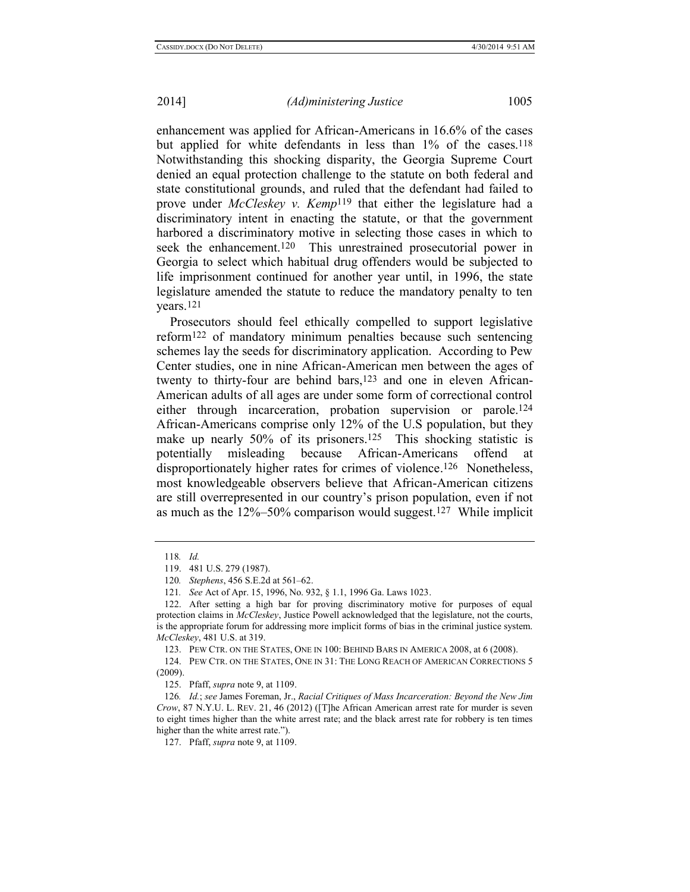enhancement was applied for African-Americans in 16.6% of the cases but applied for white defendants in less than 1% of the cases.<sup>118</sup> Notwithstanding this shocking disparity, the Georgia Supreme Court denied an equal protection challenge to the statute on both federal and state constitutional grounds, and ruled that the defendant had failed to prove under *McCleskey v. Kemp*119 that either the legislature had a discriminatory intent in enacting the statute, or that the government harbored a discriminatory motive in selecting those cases in which to seek the enhancement.<sup>120</sup> This unrestrained prosecutorial power in Georgia to select which habitual drug offenders would be subjected to life imprisonment continued for another year until, in 1996, the state legislature amended the statute to reduce the mandatory penalty to ten years.121

Prosecutors should feel ethically compelled to support legislative reform122 of mandatory minimum penalties because such sentencing schemes lay the seeds for discriminatory application. According to Pew Center studies, one in nine African-American men between the ages of twenty to thirty-four are behind bars,<sup>123</sup> and one in eleven African-American adults of all ages are under some form of correctional control either through incarceration, probation supervision or parole.124 African-Americans comprise only 12% of the U.S population, but they make up nearly 50% of its prisoners.<sup>125</sup> This shocking statistic is potentially misleading because African-Americans offend at disproportionately higher rates for crimes of violence. 126 Nonetheless, most knowledgeable observers believe that African-American citizens are still overrepresented in our country's prison population, even if not as much as the 12%–50% comparison would suggest.127 While implicit

123. PEW CTR. ON THE STATES, ONE IN 100: BEHIND BARS IN AMERICA 2008, at 6 (2008).

124. PEW CTR. ON THE STATES, ONE IN 31: THE LONG REACH OF AMERICAN CORRECTIONS 5 (2009).

125. Pfaff, *supra* not[e 9,](#page-5-0) at 1109.

126*. Id.*; *see* James Foreman, Jr., *Racial Critiques of Mass Incarceration: Beyond the New Jim Crow*, 87 N.Y.U. L. REV. 21, 46 (2012) ([T]he African American arrest rate for murder is seven to eight times higher than the white arrest rate; and the black arrest rate for robbery is ten times higher than the white arrest rate.").

127. Pfaff, *supra* not[e 9,](#page-5-0) at 1109.

<sup>118</sup>*. Id.*

<sup>119.</sup> 481 U.S. 279 (1987).

<sup>120</sup>*. Stephens*, 456 S.E.2d at 561–62.

<sup>121</sup>*. See* Act of Apr. 15, 1996, No. 932, § 1.1, 1996 Ga. Laws 1023.

<sup>122.</sup> After setting a high bar for proving discriminatory motive for purposes of equal protection claims in *McCleskey*, Justice Powell acknowledged that the legislature, not the courts, is the appropriate forum for addressing more implicit forms of bias in the criminal justice system. *McCleskey*, 481 U.S. at 319.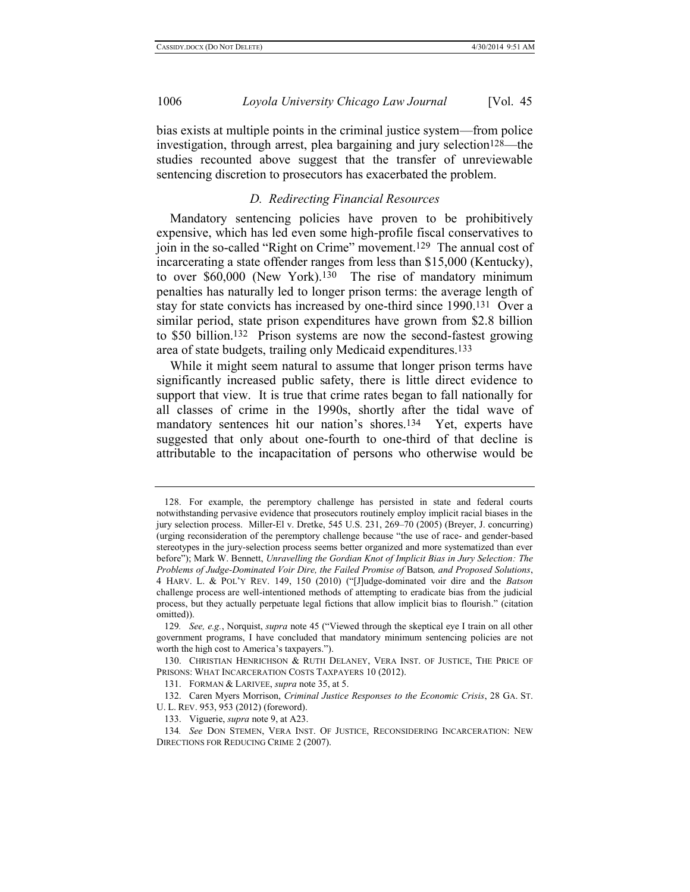bias exists at multiple points in the criminal justice system—from police investigation, through arrest, plea bargaining and jury selection<sup>128—the</sup> studies recounted above suggest that the transfer of unreviewable sentencing discretion to prosecutors has exacerbated the problem.

#### *D. Redirecting Financial Resources*

Mandatory sentencing policies have proven to be prohibitively expensive, which has led even some high-profile fiscal conservatives to join in the so-called "Right on Crime" movement.129 The annual cost of incarcerating a state offender ranges from less than \$15,000 (Kentucky), to over \$60,000 (New York).130 The rise of mandatory minimum penalties has naturally led to longer prison terms: the average length of stay for state convicts has increased by one-third since 1990.131 Over a similar period, state prison expenditures have grown from \$2.8 billion to \$50 billion.132 Prison systems are now the second-fastest growing area of state budgets, trailing only Medicaid expenditures.133

While it might seem natural to assume that longer prison terms have significantly increased public safety, there is little direct evidence to support that view. It is true that crime rates began to fall nationally for all classes of crime in the 1990s, shortly after the tidal wave of mandatory sentences hit our nation's shores.<sup>134</sup> Yet, experts have suggested that only about one-fourth to one-third of that decline is attributable to the incapacitation of persons who otherwise would be

<sup>128.</sup> For example, the peremptory challenge has persisted in state and federal courts notwithstanding pervasive evidence that prosecutors routinely employ implicit racial biases in the jury selection process. Miller-El v. Dretke, 545 U.S. 231, 269–70 (2005) (Breyer, J. concurring) (urging reconsideration of the peremptory challenge because "the use of race- and gender-based stereotypes in the jury-selection process seems better organized and more systematized than ever before"); Mark W. Bennett, *Unravelling the Gordian Knot of Implicit Bias in Jury Selection: The Problems of Judge-Dominated Voir Dire, the Failed Promise of* Batson*, and Proposed Solutions*, 4 HARV. L. & POL'Y REV. 149, 150 (2010) ("[J]udge-dominated voir dire and the *Batson* challenge process are well-intentioned methods of attempting to eradicate bias from the judicial process, but they actually perpetuate legal fictions that allow implicit bias to flourish." (citation omitted)).

<sup>129</sup>*. See, e.g.*, Norquist, *supra* not[e 45](#page-8-0) ("Viewed through the skeptical eye I train on all other government programs, I have concluded that mandatory minimum sentencing policies are not worth the high cost to America's taxpayers.").

<sup>130.</sup> CHRISTIAN HENRICHSON & RUTH DELANEY, VERA INST. OF JUSTICE, THE PRICE OF PRISONS: WHAT INCARCERATION COSTS TAXPAYERS 10 (2012).

<sup>131.</sup> FORMAN & LARIVEE, *supra* not[e 35,](#page-7-1) at 5.

<sup>132.</sup> Caren Myers Morrison, *Criminal Justice Responses to the Economic Crisis*, 28 GA. ST. U. L. REV. 953, 953 (2012) (foreword).

<sup>133.</sup> Viguerie, *supra* not[e 9,](#page-5-0) at A23.

<sup>134</sup>*. See* DON STEMEN, VERA INST. OF JUSTICE, RECONSIDERING INCARCERATION: NEW DIRECTIONS FOR REDUCING CRIME 2 (2007).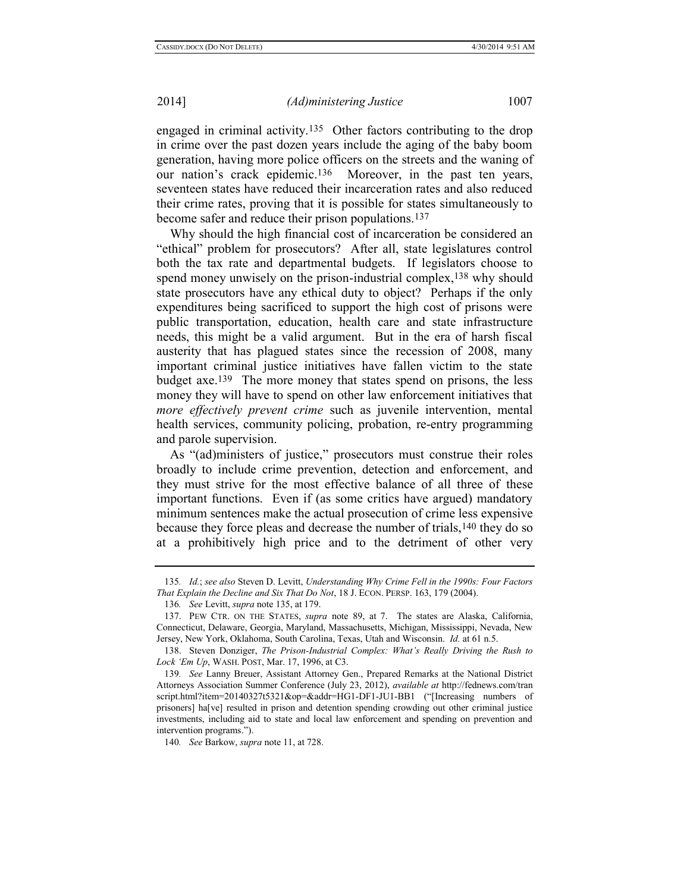<span id="page-26-1"></span><span id="page-26-0"></span>engaged in criminal activity.135 Other factors contributing to the drop in crime over the past dozen years include the aging of the baby boom generation, having more police officers on the streets and the waning of our nation's crack epidemic.136 Moreover, in the past ten years, seventeen states have reduced their incarceration rates and also reduced their crime rates, proving that it is possible for states simultaneously to become safer and reduce their prison populations.<sup>137</sup>

Why should the high financial cost of incarceration be considered an "ethical" problem for prosecutors? After all, state legislatures control both the tax rate and departmental budgets. If legislators choose to spend money unwisely on the prison-industrial complex,<sup>138</sup> why should state prosecutors have any ethical duty to object? Perhaps if the only expenditures being sacrificed to support the high cost of prisons were public transportation, education, health care and state infrastructure needs, this might be a valid argument. But in the era of harsh fiscal austerity that has plagued states since the recession of 2008, many important criminal justice initiatives have fallen victim to the state budget axe.139 The more money that states spend on prisons, the less money they will have to spend on other law enforcement initiatives that *more effectively prevent crime* such as juvenile intervention, mental health services, community policing, probation, re-entry programming and parole supervision.

As "(ad)ministers of justice," prosecutors must construe their roles broadly to include crime prevention, detection and enforcement, and they must strive for the most effective balance of all three of these important functions. Even if (as some critics have argued) mandatory minimum sentences make the actual prosecution of crime less expensive because they force pleas and decrease the number of trials,140 they do so at a prohibitively high price and to the detriment of other very

140*. See* Barkow, *supra* not[e 11,](#page-5-1) at 728.

<sup>135</sup>*. Id.*; *see also* Steven D. Levitt, *Understanding Why Crime Fell in the 1990s: Four Factors That Explain the Decline and Six That Do Not*, 18 J. ECON. PERSP. 163, 179 (2004).

<sup>136</sup>*. See* Levitt, *supra* not[e 135,](#page-26-0) at 179.

<sup>137.</sup> PEW CTR. ON THE STATES, *supra* note [89,](#page-18-0) at 7. The states are Alaska, California, Connecticut, Delaware, Georgia, Maryland, Massachusetts, Michigan, Mississippi, Nevada, New Jersey, New York, Oklahoma, South Carolina, Texas, Utah and Wisconsin. *Id.* at 61 n.5.

<sup>138.</sup> Steven Donziger, *The Prison-Industrial Complex: What's Really Driving the Rush to Lock 'Em Up*, WASH. POST, Mar. 17, 1996, at C3.

<sup>139</sup>*. See* Lanny Breuer, Assistant Attorney Gen., Prepared Remarks at the National District Attorneys Association Summer Conference (July 23, 2012), *available at* http://fednews.com/tran script.html?item=20140327t5321&op=&addr=HG1-DF1-JU1-BB1 ("[Increasing numbers of prisoners] ha[ve] resulted in prison and detention spending crowding out other criminal justice investments, including aid to state and local law enforcement and spending on prevention and intervention programs.").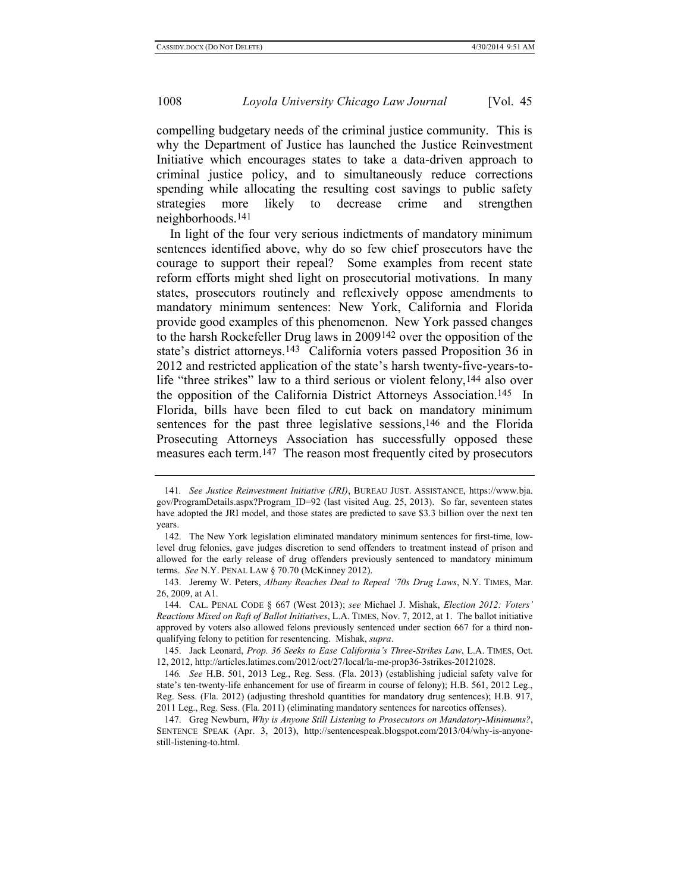compelling budgetary needs of the criminal justice community. This is why the Department of Justice has launched the Justice Reinvestment Initiative which encourages states to take a data-driven approach to criminal justice policy, and to simultaneously reduce corrections spending while allocating the resulting cost savings to public safety strategies more likely to decrease crime and strengthen neighborhoods.141

<span id="page-27-0"></span>In light of the four very serious indictments of mandatory minimum sentences identified above, why do so few chief prosecutors have the courage to support their repeal? Some examples from recent state reform efforts might shed light on prosecutorial motivations. In many states, prosecutors routinely and reflexively oppose amendments to mandatory minimum sentences: New York, California and Florida provide good examples of this phenomenon. New York passed changes to the harsh Rockefeller Drug laws in 2009142 over the opposition of the state's district attorneys.143 California voters passed Proposition 36 in 2012 and restricted application of the state's harsh twenty-five-years-tolife "three strikes" law to a third serious or violent felony,144 also over the opposition of the California District Attorneys Association.145 In Florida, bills have been filed to cut back on mandatory minimum sentences for the past three legislative sessions,<sup>146</sup> and the Florida Prosecuting Attorneys Association has successfully opposed these measures each term.147 The reason most frequently cited by prosecutors

<span id="page-27-1"></span><sup>141</sup>*. See Justice Reinvestment Initiative (JRI)*, BUREAU JUST. ASSISTANCE, https://www.bja. gov/ProgramDetails.aspx?Program\_ID=92 (last visited Aug. 25, 2013). So far, seventeen states have adopted the JRI model, and those states are predicted to save \$3.3 billion over the next ten years.

<sup>142.</sup> The New York legislation eliminated mandatory minimum sentences for first-time, lowlevel drug felonies, gave judges discretion to send offenders to treatment instead of prison and allowed for the early release of drug offenders previously sentenced to mandatory minimum terms. *See* N.Y. PENAL LAW § 70.70 (McKinney 2012).

<sup>143.</sup> Jeremy W. Peters, *Albany Reaches Deal to Repeal '70s Drug Laws*, N.Y. TIMES, Mar. 26, 2009, at A1.

<sup>144.</sup> CAL. PENAL CODE § 667 (West 2013); *see* Michael J. Mishak, *Election 2012: Voters' Reactions Mixed on Raft of Ballot Initiatives*, L.A. TIMES, Nov. 7, 2012, at 1. The ballot initiative approved by voters also allowed felons previously sentenced under section 667 for a third nonqualifying felony to petition for resentencing. Mishak, *supra*.

<sup>145.</sup> Jack Leonard, *Prop. 36 Seeks to Ease California's Three-Strikes Law*, L.A. TIMES, Oct. 12, 2012, http://articles.latimes.com/2012/oct/27/local/la-me-prop36-3strikes-20121028.

<sup>146</sup>*. See* H.B. 501, 2013 Leg., Reg. Sess. (Fla. 2013) (establishing judicial safety valve for state's ten-twenty-life enhancement for use of firearm in course of felony); H.B. 561, 2012 Leg., Reg. Sess. (Fla. 2012) (adjusting threshold quantities for mandatory drug sentences); H.B. 917, 2011 Leg., Reg. Sess. (Fla. 2011) (eliminating mandatory sentences for narcotics offenses).

<sup>147.</sup> Greg Newburn, *Why is Anyone Still Listening to Prosecutors on Mandatory-Minimums?*, SENTENCE SPEAK (Apr. 3, 2013), [http://sentencespeak.blogspot.com/2013/04/why-is-anyone](http://sentencespeak.blogspot.com/2013/04/why-is-anyone-still-listening-to.html)[still-listening-to.html.](http://sentencespeak.blogspot.com/2013/04/why-is-anyone-still-listening-to.html)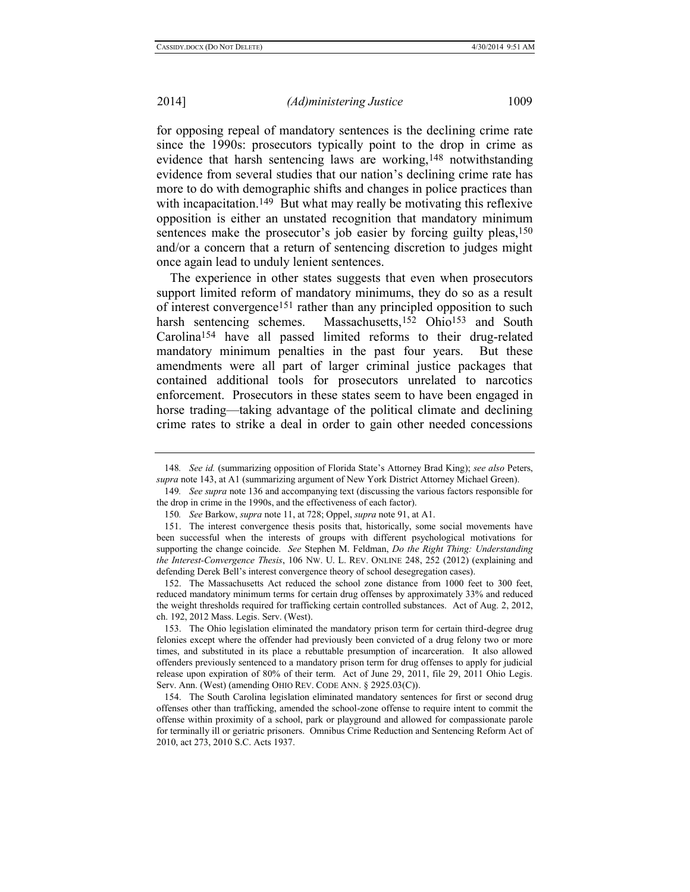for opposing repeal of mandatory sentences is the declining crime rate since the 1990s: prosecutors typically point to the drop in crime as evidence that harsh sentencing laws are working,148 notwithstanding evidence from several studies that our nation's declining crime rate has more to do with demographic shifts and changes in police practices than with incapacitation.<sup>149</sup> But what may really be motivating this reflexive opposition is either an unstated recognition that mandatory minimum sentences make the prosecutor's job easier by forcing guilty pleas,<sup>150</sup> and/or a concern that a return of sentencing discretion to judges might once again lead to unduly lenient sentences.

The experience in other states suggests that even when prosecutors support limited reform of mandatory minimums, they do so as a result of interest convergence151 rather than any principled opposition to such harsh sentencing schemes. Massachusetts,<sup>152</sup> Ohio<sup>153</sup> and South Carolina154 have all passed limited reforms to their drug-related mandatory minimum penalties in the past four years. But these amendments were all part of larger criminal justice packages that contained additional tools for prosecutors unrelated to narcotics enforcement. Prosecutors in these states seem to have been engaged in horse trading—taking advantage of the political climate and declining crime rates to strike a deal in order to gain other needed concessions

<sup>148</sup>*. See id.* (summarizing opposition of Florida State's Attorney Brad King); *see also* Peters, *supra* not[e 143,](#page-27-0) at A1 (summarizing argument of New York District Attorney Michael Green).

<sup>149</sup>*. See supra* not[e 136](#page-26-1) and accompanying text (discussing the various factors responsible for the drop in crime in the 1990s, and the effectiveness of each factor).

<sup>150</sup>*. See* Barkow, *supra* not[e 11,](#page-5-1) at 728; Oppel, *supra* not[e 91,](#page-19-0) at A1.

<sup>151.</sup> The interest convergence thesis posits that, historically, some social movements have been successful when the interests of groups with different psychological motivations for supporting the change coincide. *See* Stephen M. Feldman, *Do the Right Thing: Understanding the Interest-Convergence Thesis*, 106 NW. U. L. REV. ONLINE 248, 252 (2012) (explaining and defending Derek Bell's interest convergence theory of school desegregation cases).

<sup>152.</sup> The Massachusetts Act reduced the school zone distance from 1000 feet to 300 feet, reduced mandatory minimum terms for certain drug offenses by approximately 33% and reduced the weight thresholds required for trafficking certain controlled substances. Act of Aug. 2, 2012, ch. 192, 2012 Mass. Legis. Serv. (West).

<sup>153.</sup> The Ohio legislation eliminated the mandatory prison term for certain third-degree drug felonies except where the offender had previously been convicted of a drug felony two or more times, and substituted in its place a rebuttable presumption of incarceration. It also allowed offenders previously sentenced to a mandatory prison term for drug offenses to apply for judicial release upon expiration of 80% of their term. Act of June 29, 2011, file 29, 2011 Ohio Legis. Serv. Ann. (West) (amending OHIO REV. CODE ANN. § 2925.03(C)).

<sup>154.</sup> The South Carolina legislation eliminated mandatory sentences for first or second drug offenses other than trafficking, amended the school-zone offense to require intent to commit the offense within proximity of a school, park or playground and allowed for compassionate parole for terminally ill or geriatric prisoners. Omnibus Crime Reduction and Sentencing Reform Act of 2010, act 273, 2010 S.C. Acts 1937.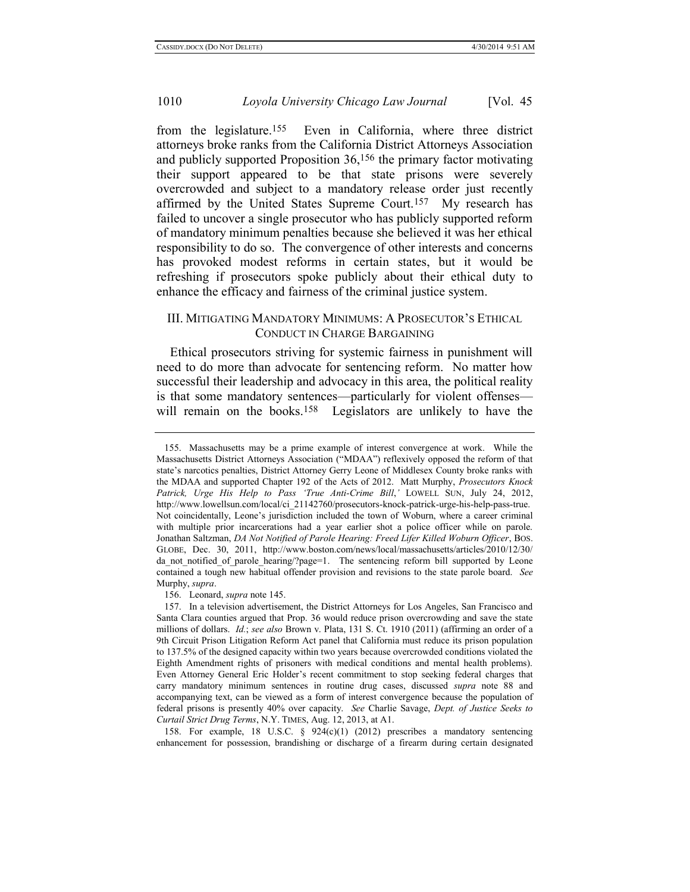from the legislature.155 Even in California, where three district attorneys broke ranks from the California District Attorneys Association and publicly supported Proposition 36,156 the primary factor motivating their support appeared to be that state prisons were severely overcrowded and subject to a mandatory release order just recently affirmed by the United States Supreme Court.157 My research has failed to uncover a single prosecutor who has publicly supported reform of mandatory minimum penalties because she believed it was her ethical responsibility to do so. The convergence of other interests and concerns has provoked modest reforms in certain states, but it would be refreshing if prosecutors spoke publicly about their ethical duty to enhance the efficacy and fairness of the criminal justice system.

## III. MITIGATING MANDATORY MINIMUMS: A PROSECUTOR'S ETHICAL CONDUCT IN CHARGE BARGAINING

Ethical prosecutors striving for systemic fairness in punishment will need to do more than advocate for sentencing reform. No matter how successful their leadership and advocacy in this area, the political reality is that some mandatory sentences—particularly for violent offenses will remain on the books.<sup>158</sup> Legislators are unlikely to have the

158. For example, 18 U.S.C. § 924(c)(1) (2012) prescribes a mandatory sentencing enhancement for possession, brandishing or discharge of a firearm during certain designated

<sup>155.</sup> Massachusetts may be a prime example of interest convergence at work. While the Massachusetts District Attorneys Association ("MDAA") reflexively opposed the reform of that state's narcotics penalties, District Attorney Gerry Leone of Middlesex County broke ranks with the MDAA and supported Chapter 192 of the Acts of 2012. Matt Murphy, *Prosecutors Knock Patrick, Urge His Help to Pass 'True Anti-Crime Bill*,*'* LOWELL SUN, July 24, 2012, http://www.lowellsun.com/local/ci\_21142760/prosecutors-knock-patrick-urge-his-help-pass-true. Not coincidentally, Leone's jurisdiction included the town of Woburn, where a career criminal with multiple prior incarcerations had a year earlier shot a police officer while on parole. Jonathan Saltzman, *DA Not Notified of Parole Hearing: Freed Lifer Killed Woburn Officer*, BOS. GLOBE, Dec. 30, 2011, http://www.boston.com/news/local/massachusetts/articles/2010/12/30/ da not notified of parole hearing/?page=1. The sentencing reform bill supported by Leone contained a tough new habitual offender provision and revisions to the state parole board. *See*  Murphy, *supra*.

<sup>156.</sup> Leonard, *supra* not[e 145.](#page-27-1)

<sup>157.</sup> In a television advertisement, the District Attorneys for Los Angeles, San Francisco and Santa Clara counties argued that Prop. 36 would reduce prison overcrowding and save the state millions of dollars. *Id.*; *see also* Brown v. Plata, 131 S. Ct. 1910 (2011) (affirming an order of a 9th Circuit Prison Litigation Reform Act panel that California must reduce its prison population to 137.5% of the designed capacity within two years because overcrowded conditions violated the Eighth Amendment rights of prisoners with medical conditions and mental health problems). Even Attorney General Eric Holder's recent commitment to stop seeking federal charges that carry mandatory minimum sentences in routine drug cases, discussed *supra* note [88](#page-18-1) and accompanying text, can be viewed as a form of interest convergence because the population of federal prisons is presently 40% over capacity. *See* Charlie Savage, *Dept. of Justice Seeks to Curtail Strict Drug Terms*, N.Y. TIMES, Aug. 12, 2013, at A1.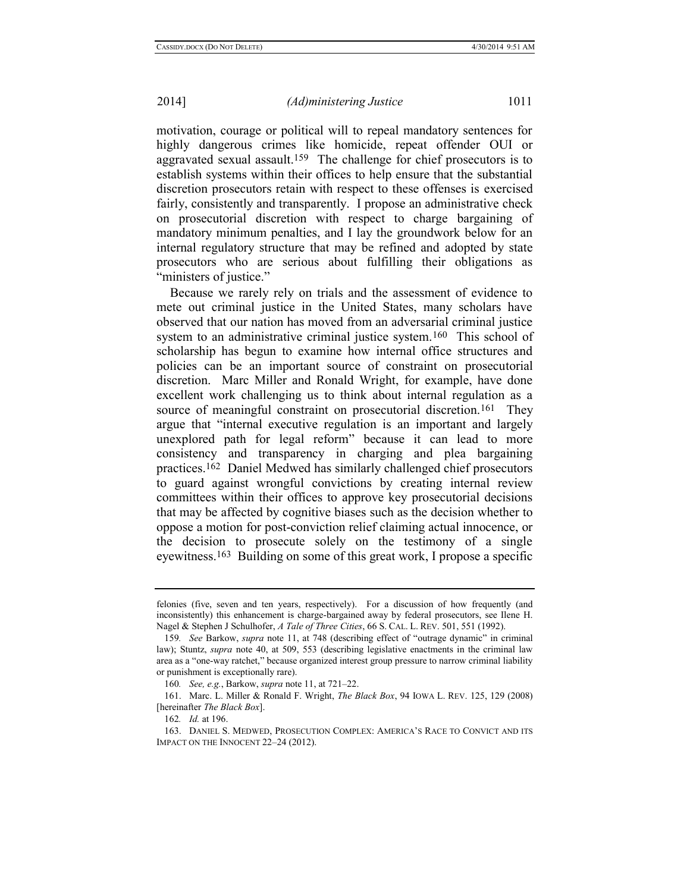motivation, courage or political will to repeal mandatory sentences for highly dangerous crimes like homicide, repeat offender OUI or aggravated sexual assault.159 The challenge for chief prosecutors is to establish systems within their offices to help ensure that the substantial discretion prosecutors retain with respect to these offenses is exercised fairly, consistently and transparently. I propose an administrative check on prosecutorial discretion with respect to charge bargaining of mandatory minimum penalties, and I lay the groundwork below for an internal regulatory structure that may be refined and adopted by state prosecutors who are serious about fulfilling their obligations as "ministers of justice."

<span id="page-30-0"></span>Because we rarely rely on trials and the assessment of evidence to mete out criminal justice in the United States, many scholars have observed that our nation has moved from an adversarial criminal justice system to an administrative criminal justice system.<sup>160</sup> This school of scholarship has begun to examine how internal office structures and policies can be an important source of constraint on prosecutorial discretion. Marc Miller and Ronald Wright, for example, have done excellent work challenging us to think about internal regulation as a source of meaningful constraint on prosecutorial discretion.<sup>161</sup> They argue that "internal executive regulation is an important and largely unexplored path for legal reform" because it can lead to more consistency and transparency in charging and plea bargaining practices.162 Daniel Medwed has similarly challenged chief prosecutors to guard against wrongful convictions by creating internal review committees within their offices to approve key prosecutorial decisions that may be affected by cognitive biases such as the decision whether to oppose a motion for post-conviction relief claiming actual innocence, or the decision to prosecute solely on the testimony of a single eyewitness.163 Building on some of this great work, I propose a specific

felonies (five, seven and ten years, respectively). For a discussion of how frequently (and inconsistently) this enhancement is charge-bargained away by federal prosecutors, see Ilene H. Nagel & Stephen J Schulhofer, *A Tale of Three Cities*, 66 S. CAL. L. REV. 501, 551 (1992).

<sup>159</sup>*. See* Barkow, *supra* note [11,](#page-5-1) at 748 (describing effect of "outrage dynamic" in criminal law); Stuntz, *supra* note [40,](#page-7-0) at 509, 553 (describing legislative enactments in the criminal law area as a "one-way ratchet," because organized interest group pressure to narrow criminal liability or punishment is exceptionally rare).

<sup>160</sup>*. See, e.g.*, Barkow, *supra* note [11,](#page-5-1) at 721–22.

<sup>161.</sup> Marc. L. Miller & Ronald F. Wright, *The Black Box*, 94 IOWA L. REV. 125, 129 (2008) [hereinafter *The Black Box*].

<sup>162</sup>*. Id.* at 196.

<sup>163.</sup> DANIEL S. MEDWED, PROSECUTION COMPLEX: AMERICA'S RACE TO CONVICT AND ITS IMPACT ON THE INNOCENT 22–24 (2012).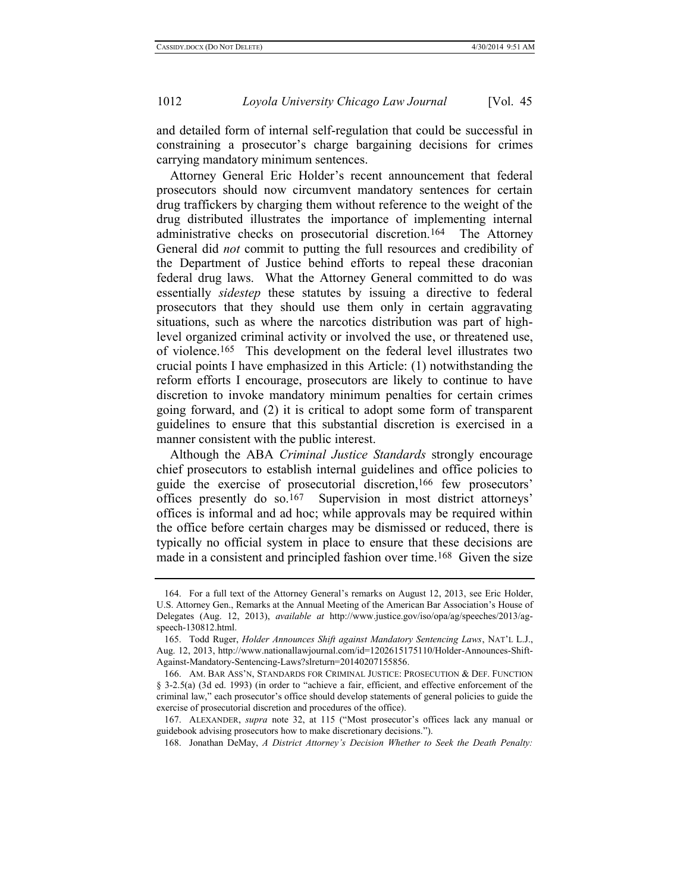and detailed form of internal self-regulation that could be successful in constraining a prosecutor's charge bargaining decisions for crimes carrying mandatory minimum sentences.

Attorney General Eric Holder's recent announcement that federal prosecutors should now circumvent mandatory sentences for certain drug traffickers by charging them without reference to the weight of the drug distributed illustrates the importance of implementing internal administrative checks on prosecutorial discretion.164 The Attorney General did *not* commit to putting the full resources and credibility of the Department of Justice behind efforts to repeal these draconian federal drug laws. What the Attorney General committed to do was essentially *sidestep* these statutes by issuing a directive to federal prosecutors that they should use them only in certain aggravating situations, such as where the narcotics distribution was part of highlevel organized criminal activity or involved the use, or threatened use, of violence.165 This development on the federal level illustrates two crucial points I have emphasized in this Article: (1) notwithstanding the reform efforts I encourage, prosecutors are likely to continue to have discretion to invoke mandatory minimum penalties for certain crimes going forward, and (2) it is critical to adopt some form of transparent guidelines to ensure that this substantial discretion is exercised in a manner consistent with the public interest.

Although the ABA *Criminal Justice Standards* strongly encourage chief prosecutors to establish internal guidelines and office policies to guide the exercise of prosecutorial discretion,166 few prosecutors' offices presently do so.167 Supervision in most district attorneys' offices is informal and ad hoc; while approvals may be required within the office before certain charges may be dismissed or reduced, there is typically no official system in place to ensure that these decisions are made in a consistent and principled fashion over time.<sup>168</sup> Given the size

167. ALEXANDER, *supra* note [32,](#page-6-0) at 115 ("Most prosecutor's offices lack any manual or guidebook advising prosecutors how to make discretionary decisions.").

168. Jonathan DeMay, *A District Attorney's Decision Whether to Seek the Death Penalty:* 

<span id="page-31-0"></span><sup>164.</sup> For a full text of the Attorney General's remarks on August 12, 2013, see Eric Holder, U.S. Attorney Gen., Remarks at the Annual Meeting of the American Bar Association's House of Delegates (Aug. 12, 2013), *available at* http://www.justice.gov/iso/opa/ag/speeches/2013/agspeech-130812.html.

<sup>165.</sup> Todd Ruger, *Holder Announces Shift against Mandatory Sentencing Laws*, NAT'L L.J., Aug. 12, 2013, http://www.nationallawjournal.com/id=1202615175110/Holder-Announces-Shift-Against-Mandatory-Sentencing-Laws?slreturn=20140207155856.

<sup>166.</sup> AM. BAR ASS'N, STANDARDS FOR CRIMINAL JUSTICE: PROSECUTION & DEF. FUNCTION § 3-2.5(a) (3d ed. 1993) (in order to "achieve a fair, efficient, and effective enforcement of the criminal law," each prosecutor's office should develop statements of general policies to guide the exercise of prosecutorial discretion and procedures of the office).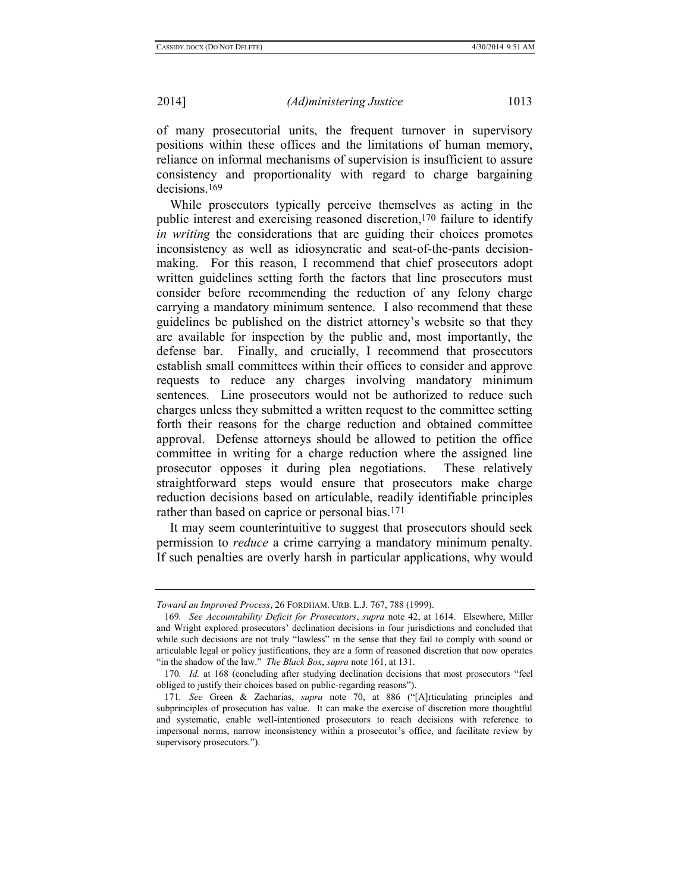of many prosecutorial units, the frequent turnover in supervisory positions within these offices and the limitations of human memory, reliance on informal mechanisms of supervision is insufficient to assure consistency and proportionality with regard to charge bargaining decisions.169

While prosecutors typically perceive themselves as acting in the public interest and exercising reasoned discretion,170 failure to identify *in writing* the considerations that are guiding their choices promotes inconsistency as well as idiosyncratic and seat-of-the-pants decisionmaking. For this reason, I recommend that chief prosecutors adopt written guidelines setting forth the factors that line prosecutors must consider before recommending the reduction of any felony charge carrying a mandatory minimum sentence. I also recommend that these guidelines be published on the district attorney's website so that they are available for inspection by the public and, most importantly, the defense bar. Finally, and crucially, I recommend that prosecutors establish small committees within their offices to consider and approve requests to reduce any charges involving mandatory minimum sentences. Line prosecutors would not be authorized to reduce such charges unless they submitted a written request to the committee setting forth their reasons for the charge reduction and obtained committee approval. Defense attorneys should be allowed to petition the office committee in writing for a charge reduction where the assigned line prosecutor opposes it during plea negotiations. These relatively straightforward steps would ensure that prosecutors make charge reduction decisions based on articulable, readily identifiable principles rather than based on caprice or personal bias.171

It may seem counterintuitive to suggest that prosecutors should seek permission to *reduce* a crime carrying a mandatory minimum penalty. If such penalties are overly harsh in particular applications, why would

*Toward an Improved Process*, 26 FORDHAM. URB. L.J. 767, 788 (1999).

<sup>169</sup>*. See Accountability Deficit for Prosecutors*, *supra* note [42,](#page-8-1) at 1614. Elsewhere, Miller and Wright explored prosecutors' declination decisions in four jurisdictions and concluded that while such decisions are not truly "lawless" in the sense that they fail to comply with sound or articulable legal or policy justifications, they are a form of reasoned discretion that now operates "in the shadow of the law." *The Black Box*, *supra* not[e 161,](#page-30-0) at 131.

<sup>170</sup>*. Id.* at 168 (concluding after studying declination decisions that most prosecutors "feel obliged to justify their choices based on public-regarding reasons").

<sup>171</sup>*. See* Green & Zacharias, *supra* note [70,](#page-13-0) at 886 ("[A]rticulating principles and subprinciples of prosecution has value. It can make the exercise of discretion more thoughtful and systematic, enable well-intentioned prosecutors to reach decisions with reference to impersonal norms, narrow inconsistency within a prosecutor's office, and facilitate review by supervisory prosecutors.").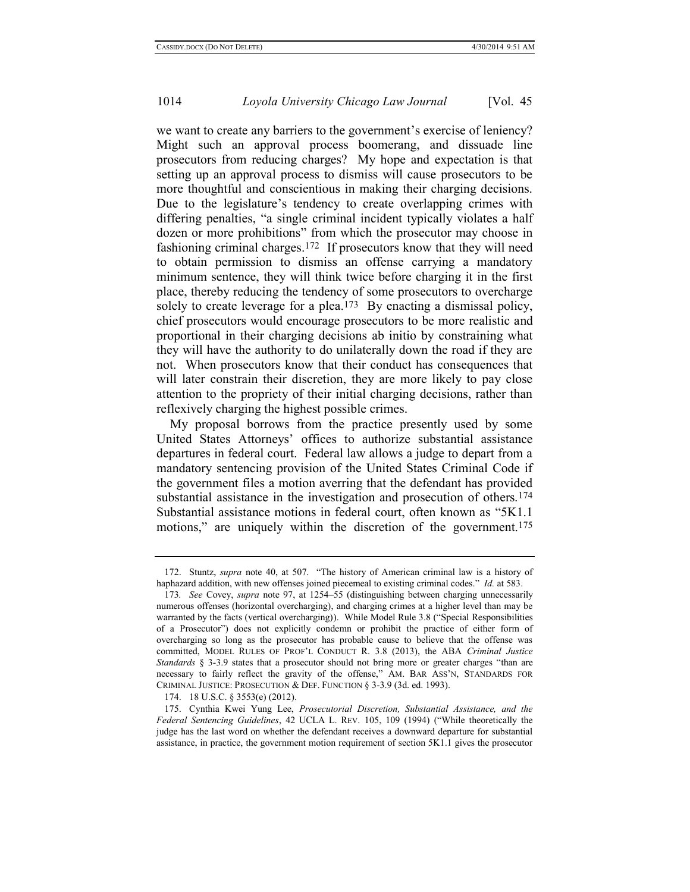we want to create any barriers to the government's exercise of leniency? Might such an approval process boomerang, and dissuade line prosecutors from reducing charges? My hope and expectation is that setting up an approval process to dismiss will cause prosecutors to be more thoughtful and conscientious in making their charging decisions. Due to the legislature's tendency to create overlapping crimes with differing penalties, "a single criminal incident typically violates a half dozen or more prohibitions" from which the prosecutor may choose in fashioning criminal charges. 172 If prosecutors know that they will need to obtain permission to dismiss an offense carrying a mandatory minimum sentence, they will think twice before charging it in the first place, thereby reducing the tendency of some prosecutors to overcharge solely to create leverage for a plea.<sup>173</sup> By enacting a dismissal policy, chief prosecutors would encourage prosecutors to be more realistic and proportional in their charging decisions ab initio by constraining what they will have the authority to do unilaterally down the road if they are not. When prosecutors know that their conduct has consequences that will later constrain their discretion, they are more likely to pay close attention to the propriety of their initial charging decisions, rather than reflexively charging the highest possible crimes.

My proposal borrows from the practice presently used by some United States Attorneys' offices to authorize substantial assistance departures in federal court. Federal law allows a judge to depart from a mandatory sentencing provision of the United States Criminal Code if the government files a motion averring that the defendant has provided substantial assistance in the investigation and prosecution of others.<sup>174</sup> Substantial assistance motions in federal court, often known as "5K1.1 motions," are uniquely within the discretion of the government.<sup>175</sup>

<span id="page-33-0"></span><sup>172.</sup> Stuntz, *supra* note [40,](#page-7-0) at 507. "The history of American criminal law is a history of haphazard addition, with new offenses joined piecemeal to existing criminal codes." *Id.* at 583.

<sup>173</sup>*. See* Covey, *supra* note [97,](#page-20-0) at 1254–55 (distinguishing between charging unnecessarily numerous offenses (horizontal overcharging), and charging crimes at a higher level than may be warranted by the facts (vertical overcharging)). While Model Rule 3.8 ("Special Responsibilities of a Prosecutor") does not explicitly condemn or prohibit the practice of either form of overcharging so long as the prosecutor has probable cause to believe that the offense was committed, MODEL RULES OF PROF'L CONDUCT R. 3.8 (2013), the ABA *Criminal Justice Standards* § 3-3.9 states that a prosecutor should not bring more or greater charges "than are necessary to fairly reflect the gravity of the offense," AM. BAR ASS'N, STANDARDS FOR CRIMINAL JUSTICE: PROSECUTION & DEF. FUNCTION § 3-3.9 (3d. ed. 1993).

<sup>174.</sup> 18 U.S.C. § 3553(e) (2012).

<sup>175.</sup> Cynthia Kwei Yung Lee, *Prosecutorial Discretion, Substantial Assistance, and the Federal Sentencing Guidelines*, 42 UCLA L. REV. 105, 109 (1994) ("While theoretically the judge has the last word on whether the defendant receives a downward departure for substantial assistance, in practice, the government motion requirement of section 5K1.1 gives the prosecutor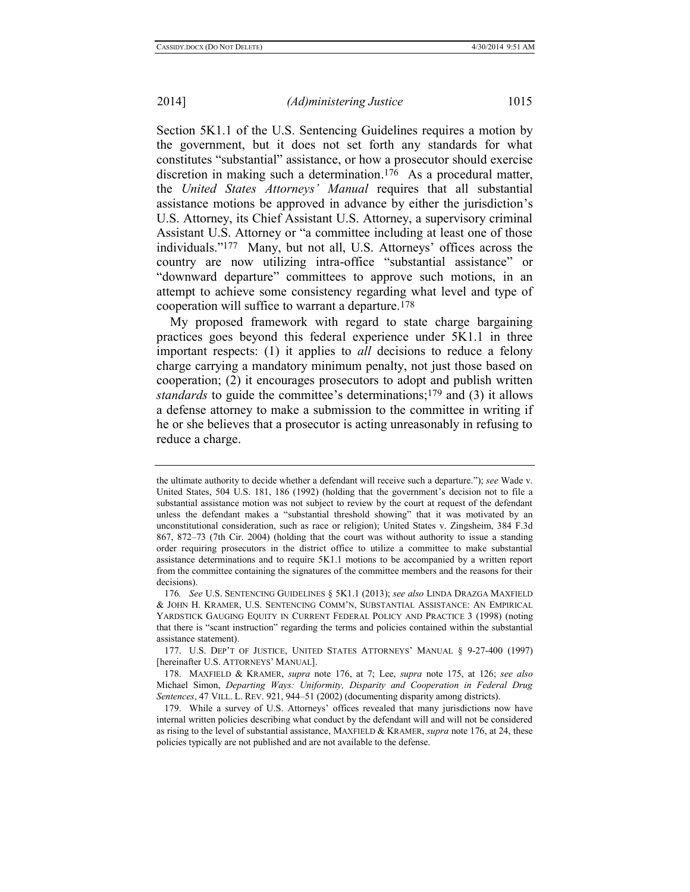<span id="page-34-0"></span>Section 5K1.1 of the U.S. Sentencing Guidelines requires a motion by the government, but it does not set forth any standards for what constitutes "substantial" assistance, or how a prosecutor should exercise discretion in making such a determination. 176 As a procedural matter, the *United States Attorneys' Manual* requires that all substantial assistance motions be approved in advance by either the jurisdiction's U.S. Attorney, its Chief Assistant U.S. Attorney, a supervisory criminal Assistant U.S. Attorney or "a committee including at least one of those individuals."177 Many, but not all, U.S. Attorneys' offices across the country are now utilizing intra-office "substantial assistance" or "downward departure" committees to approve such motions, in an attempt to achieve some consistency regarding what level and type of cooperation will suffice to warrant a departure.178

<span id="page-34-1"></span>My proposed framework with regard to state charge bargaining practices goes beyond this federal experience under 5K1.1 in three important respects: (1) it applies to *all* decisions to reduce a felony charge carrying a mandatory minimum penalty, not just those based on cooperation; (2) it encourages prosecutors to adopt and publish written *standards* to guide the committee's determinations;179 and (3) it allows a defense attorney to make a submission to the committee in writing if he or she believes that a prosecutor is acting unreasonably in refusing to reduce a charge.

the ultimate authority to decide whether a defendant will receive such a departure."); *see* Wade v. United States, 504 U.S. 181, 186 (1992) (holding that the government's decision not to file a substantial assistance motion was not subject to review by the court at request of the defendant unless the defendant makes a "substantial threshold showing" that it was motivated by an unconstitutional consideration, such as race or religion); United States v. Zingsheim, 384 F.3d 867, 872–73 (7th Cir. 2004) (holding that the court was without authority to issue a standing order requiring prosecutors in the district office to utilize a committee to make substantial assistance determinations and to require 5K1.1 motions to be accompanied by a written report from the committee containing the signatures of the committee members and the reasons for their decisions).

<sup>176</sup>*. See* U.S. SENTENCING GUIDELINES § 5K1.1 (2013); *see also* LINDA DRAZGA MAXFIELD & JOHN H. KRAMER, U.S. SENTENCING COMM'N, SUBSTANTIAL ASSISTANCE: AN EMPIRICAL YARDSTICK GAUGING EQUITY IN CURRENT FEDERAL POLICY AND PRACTICE 3 (1998) (noting that there is "scant instruction" regarding the terms and policies contained within the substantial assistance statement).

<sup>177.</sup> U.S. DEP'T OF JUSTICE, UNITED STATES ATTORNEYS' MANUAL § 9-27-400 (1997) [hereinafter U.S. ATTORNEYS' MANUAL].

<sup>178.</sup> MAXFIELD & KRAMER, *supra* note [176,](#page-34-0) at 7; Lee, *supra* note [175,](#page-33-0) at 126; *see also*  Michael Simon, *Departing Ways: Uniformity, Disparity and Cooperation in Federal Drug Sentences*, 47 VILL. L. REV. 921, 944–51 (2002) (documenting disparity among districts).

<sup>179.</sup> While a survey of U.S. Attorneys' offices revealed that many jurisdictions now have internal written policies describing what conduct by the defendant will and will not be considered as rising to the level of substantial assistance, MAXFIELD & KRAMER, *supra* not[e 176,](#page-34-0) at 24, these policies typically are not published and are not available to the defense.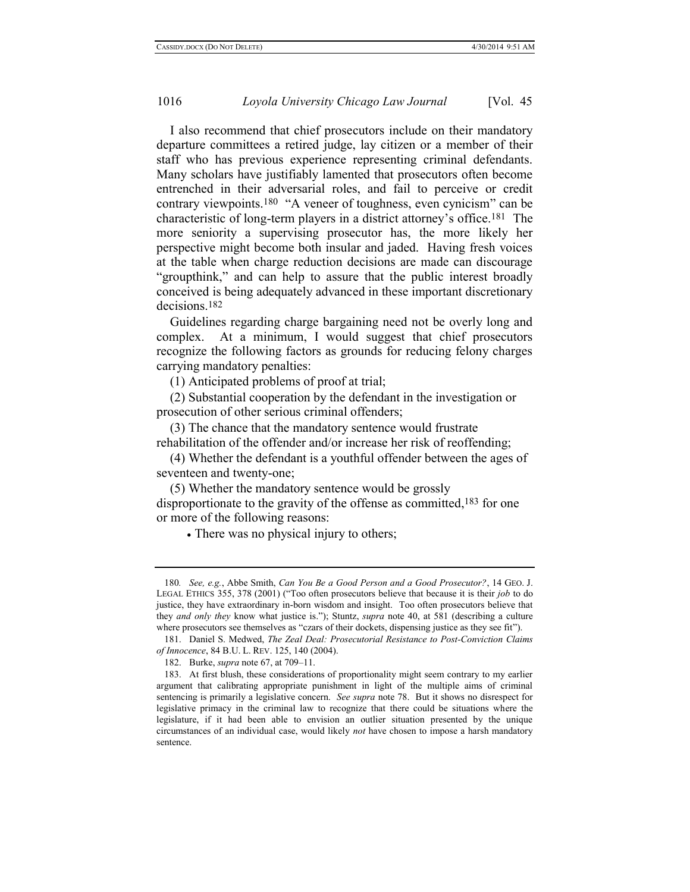I also recommend that chief prosecutors include on their mandatory departure committees a retired judge, lay citizen or a member of their staff who has previous experience representing criminal defendants. Many scholars have justifiably lamented that prosecutors often become entrenched in their adversarial roles, and fail to perceive or credit contrary viewpoints.180 "A veneer of toughness, even cynicism" can be characteristic of long-term players in a district attorney's office.181 The more seniority a supervising prosecutor has, the more likely her perspective might become both insular and jaded. Having fresh voices at the table when charge reduction decisions are made can discourage "groupthink," and can help to assure that the public interest broadly conceived is being adequately advanced in these important discretionary decisions.182

Guidelines regarding charge bargaining need not be overly long and complex. At a minimum, I would suggest that chief prosecutors recognize the following factors as grounds for reducing felony charges carrying mandatory penalties:

(1) Anticipated problems of proof at trial;

(2) Substantial cooperation by the defendant in the investigation or prosecution of other serious criminal offenders;

(3) The chance that the mandatory sentence would frustrate rehabilitation of the offender and/or increase her risk of reoffending;

(4) Whether the defendant is a youthful offender between the ages of seventeen and twenty-one;

(5) Whether the mandatory sentence would be grossly disproportionate to the gravity of the offense as committed, 183 for one or more of the following reasons:

• There was no physical injury to others;

<sup>180</sup>*. See, e.g.*, Abbe Smith, *Can You Be a Good Person and a Good Prosecutor?*, 14 GEO. J. LEGAL ETHICS 355, 378 (2001) ("Too often prosecutors believe that because it is their *job* to do justice, they have extraordinary in-born wisdom and insight. Too often prosecutors believe that they *and only they* know what justice is."); Stuntz, *supra* note [40,](#page-7-0) at 581 (describing a culture where prosecutors see themselves as "czars of their dockets, dispensing justice as they see fit").

<sup>181.</sup> Daniel S. Medwed, *The Zeal Deal: Prosecutorial Resistance to Post-Conviction Claims of Innocence*, 84 B.U. L. REV. 125, 140 (2004).

<sup>182.</sup> Burke, *supra* not[e 67,](#page-12-0) at 709–11.

<sup>183.</sup> At first blush, these considerations of proportionality might seem contrary to my earlier argument that calibrating appropriate punishment in light of the multiple aims of criminal sentencing is primarily a legislative concern. *See supra* note [78.](#page-15-0) But it shows no disrespect for legislative primacy in the criminal law to recognize that there could be situations where the legislature, if it had been able to envision an outlier situation presented by the unique circumstances of an individual case, would likely *not* have chosen to impose a harsh mandatory sentence.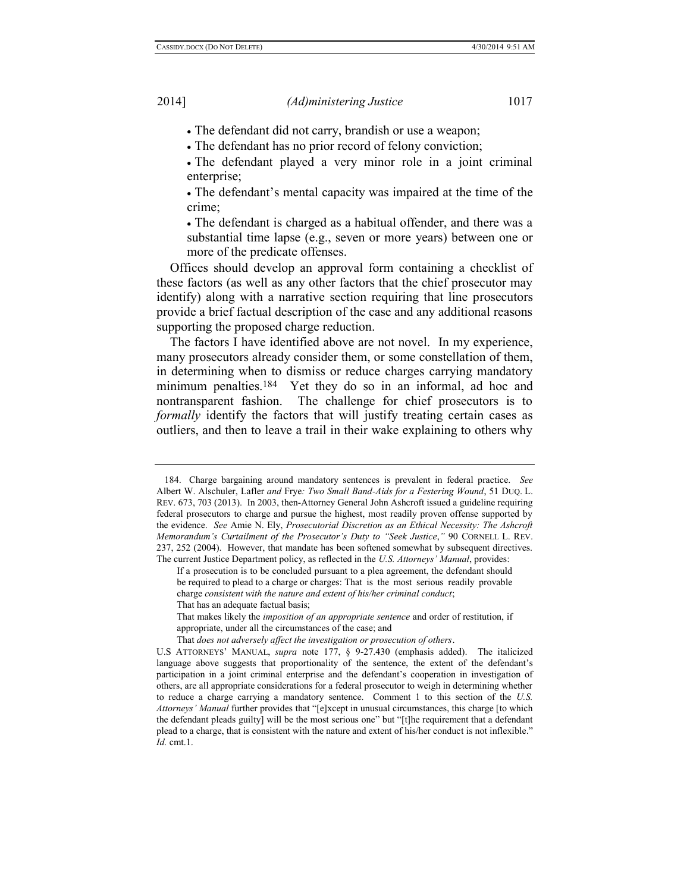The defendant did not carry, brandish or use a weapon;

The defendant has no prior record of felony conviction;

 The defendant played a very minor role in a joint criminal enterprise;

 The defendant's mental capacity was impaired at the time of the crime;

 The defendant is charged as a habitual offender, and there was a substantial time lapse (e.g., seven or more years) between one or more of the predicate offenses.

Offices should develop an approval form containing a checklist of these factors (as well as any other factors that the chief prosecutor may identify) along with a narrative section requiring that line prosecutors provide a brief factual description of the case and any additional reasons supporting the proposed charge reduction.

The factors I have identified above are not novel. In my experience, many prosecutors already consider them, or some constellation of them, in determining when to dismiss or reduce charges carrying mandatory minimum penalties.<sup>184</sup> Yet they do so in an informal, ad hoc and nontransparent fashion. The challenge for chief prosecutors is to *formally* identify the factors that will justify treating certain cases as outliers, and then to leave a trail in their wake explaining to others why

That *does not adversely affect the investigation or prosecution of others*.

<sup>184.</sup> Charge bargaining around mandatory sentences is prevalent in federal practice. *See* Albert W. Alschuler, Lafler *and* Frye*: Two Small Band-Aids for a Festering Wound*, 51 DUQ. L. REV. 673, 703 (2013). In 2003, then-Attorney General John Ashcroft issued a guideline requiring federal prosecutors to charge and pursue the highest, most readily proven offense supported by the evidence. *See* Amie N. Ely, *Prosecutorial Discretion as an Ethical Necessity: The Ashcroft Memorandum's Curtailment of the Prosecutor's Duty to "Seek Justice*,*"* 90 CORNELL L. REV. 237, 252 (2004). However, that mandate has been softened somewhat by subsequent directives. The current Justice Department policy, as reflected in the *U.S. Attorneys' Manual*, provides:

If a prosecution is to be concluded pursuant to a plea agreement, the defendant should be required to plead to a charge or charges: That is the most serious readily provable charge *consistent with the nature and extent of his/her criminal conduct*; That has an adequate factual basis;

That makes likely the *imposition of an appropriate sentence* and order of restitution, if appropriate, under all the circumstances of the case; and

U.S ATTORNEYS' MANUAL, *supra* note [177,](#page-34-1) § 9-27.430 (emphasis added). The italicized language above suggests that proportionality of the sentence, the extent of the defendant's participation in a joint criminal enterprise and the defendant's cooperation in investigation of others, are all appropriate considerations for a federal prosecutor to weigh in determining whether to reduce a charge carrying a mandatory sentence. Comment 1 to this section of the *U.S. Attorneys' Manual* further provides that "[e]xcept in unusual circumstances, this charge [to which the defendant pleads guilty] will be the most serious one" but "[t]he requirement that a defendant plead to a charge, that is consistent with the nature and extent of his/her conduct is not inflexible." *Id.* cmt.1.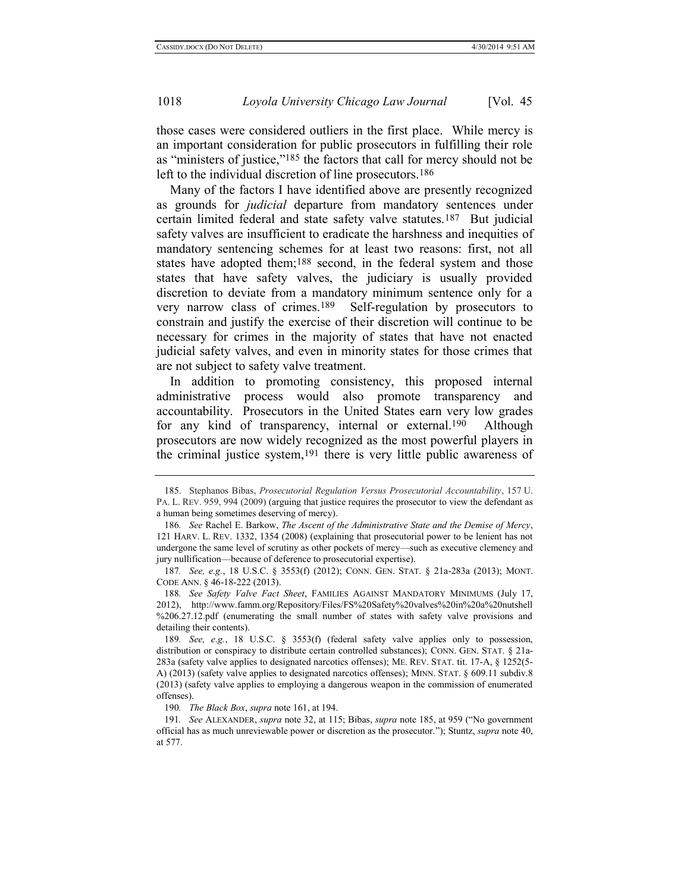<span id="page-37-0"></span>those cases were considered outliers in the first place. While mercy is an important consideration for public prosecutors in fulfilling their role as "ministers of justice,"185 the factors that call for mercy should not be left to the individual discretion of line prosecutors.<sup>186</sup>

Many of the factors I have identified above are presently recognized as grounds for *judicial* departure from mandatory sentences under certain limited federal and state safety valve statutes.187 But judicial safety valves are insufficient to eradicate the harshness and inequities of mandatory sentencing schemes for at least two reasons: first, not all states have adopted them;<sup>188</sup> second, in the federal system and those states that have safety valves, the judiciary is usually provided discretion to deviate from a mandatory minimum sentence only for a very narrow class of crimes.189 Self-regulation by prosecutors to constrain and justify the exercise of their discretion will continue to be necessary for crimes in the majority of states that have not enacted judicial safety valves, and even in minority states for those crimes that are not subject to safety valve treatment.

In addition to promoting consistency, this proposed internal administrative process would also promote transparency and accountability. Prosecutors in the United States earn very low grades for any kind of transparency, internal or external.190 Although prosecutors are now widely recognized as the most powerful players in the criminal justice system,191 there is very little public awareness of

<sup>185.</sup> Stephanos Bibas, *Prosecutorial Regulation Versus Prosecutorial Accountability*, 157 U. PA. L. REV. 959, 994 (2009) (arguing that justice requires the prosecutor to view the defendant as a human being sometimes deserving of mercy).

<sup>186</sup>*. See* Rachel E. Barkow, *The Ascent of the Administrative State and the Demise of Mercy*, 121 HARV. L. REV. 1332, 1354 (2008) (explaining that prosecutorial power to be lenient has not undergone the same level of scrutiny as other pockets of mercy—such as executive clemency and jury nullification—because of deference to prosecutorial expertise).

<sup>187</sup>*. See, e.g.*, 18 U.S.C. § 3553(f) (2012); CONN. GEN. STAT. § 21a-283a (2013); MONT. CODE ANN. § 46-18-222 (2013).

<sup>188</sup>*. See Safety Valve Fact Sheet*, FAMILIES AGAINST MANDATORY MINIMUMS (July 17, 2012), http://www.famm.org/Repository/Files/FS%20Safety%20valves%20in%20a%20nutshell %206.27.12.pdf (enumerating the small number of states with safety valve provisions and detailing their contents).

<sup>189</sup>*. See, e.g.*, 18 U.S.C. § 3553(f) (federal safety valve applies only to possession, distribution or conspiracy to distribute certain controlled substances); CONN. GEN. STAT. § 21a-283a (safety valve applies to designated narcotics offenses); ME. REV. STAT. tit. 17-A, § 1252(5- A) (2013) (safety valve applies to designated narcotics offenses); MINN. STAT. § 609.11 subdiv.8 (2013) (safety valve applies to employing a dangerous weapon in the commission of enumerated offenses).

<sup>190</sup>*. The Black Box*, *supra* note [161,](#page-30-0) at 194.

<sup>191</sup>*. See* ALEXANDER, *supra* not[e 32,](#page-6-0) at 115; Bibas, *supra* note [185,](#page-37-0) at 959 ("No government official has as much unreviewable power or discretion as the prosecutor."); Stuntz, *supra* not[e 40,](#page-7-0) at 577.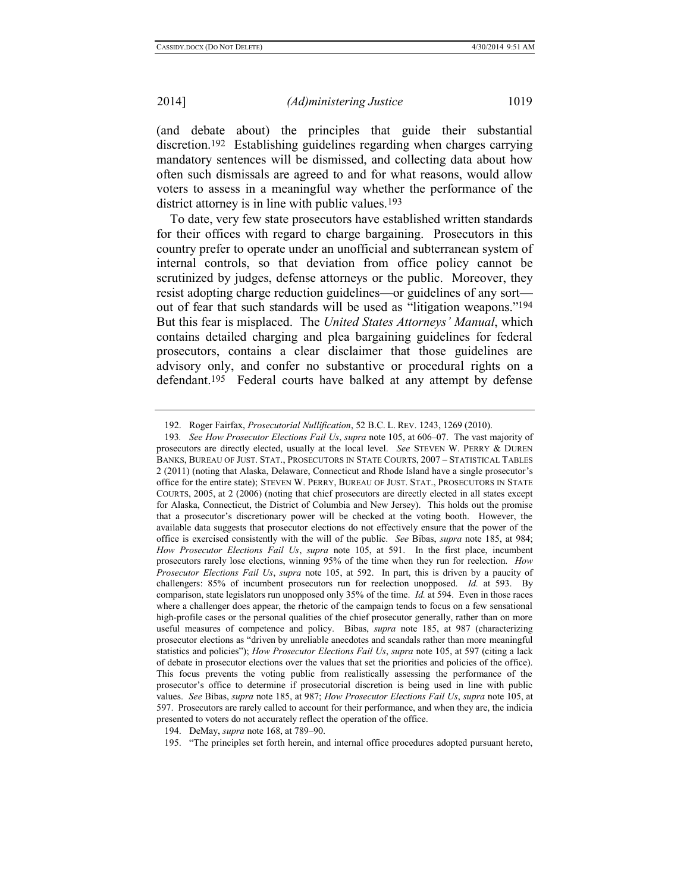(and debate about) the principles that guide their substantial discretion.192 Establishing guidelines regarding when charges carrying mandatory sentences will be dismissed, and collecting data about how often such dismissals are agreed to and for what reasons, would allow voters to assess in a meaningful way whether the performance of the district attorney is in line with public values.<sup>193</sup>

To date, very few state prosecutors have established written standards for their offices with regard to charge bargaining. Prosecutors in this country prefer to operate under an unofficial and subterranean system of internal controls, so that deviation from office policy cannot be scrutinized by judges, defense attorneys or the public. Moreover, they resist adopting charge reduction guidelines—or guidelines of any sort out of fear that such standards will be used as "litigation weapons."194 But this fear is misplaced. The *United States Attorneys' Manual*, which contains detailed charging and plea bargaining guidelines for federal prosecutors, contains a clear disclaimer that those guidelines are advisory only, and confer no substantive or procedural rights on a defendant.195 Federal courts have balked at any attempt by defense

194. DeMay, *supra* note [168,](#page-31-0) at 789–90.

<sup>192.</sup> Roger Fairfax, *Prosecutorial Nullification*, 52 B.C. L. REV. 1243, 1269 (2010).

<sup>193</sup>*. See How Prosecutor Elections Fail Us*, *supra* not[e 105,](#page-21-1) at 606–07. The vast majority of prosecutors are directly elected, usually at the local level. *See* STEVEN W. PERRY & DUREN BANKS, BUREAU OF JUST. STAT., PROSECUTORS IN STATE COURTS, 2007 – STATISTICAL TABLES 2 (2011) (noting that Alaska, Delaware, Connecticut and Rhode Island have a single prosecutor's office for the entire state); STEVEN W. PERRY, BUREAU OF JUST. STAT., PROSECUTORS IN STATE COURTS, 2005, at 2 (2006) (noting that chief prosecutors are directly elected in all states except for Alaska, Connecticut, the District of Columbia and New Jersey). This holds out the promise that a prosecutor's discretionary power will be checked at the voting booth. However, the available data suggests that prosecutor elections do not effectively ensure that the power of the office is exercised consistently with the will of the public. *See* Bibas, *supra* note [185,](#page-37-0) at 984; *How Prosecutor Elections Fail Us*, *supra* note [105,](#page-21-1) at 591. In the first place, incumbent prosecutors rarely lose elections, winning 95% of the time when they run for reelection. *How Prosecutor Elections Fail Us*, *supra* note [105,](#page-21-1) at 592. In part, this is driven by a paucity of challengers: 85% of incumbent prosecutors run for reelection unopposed. *Id.* at 593. By comparison, state legislators run unopposed only 35% of the time. *Id.* at 594. Even in those races where a challenger does appear, the rhetoric of the campaign tends to focus on a few sensational high-profile cases or the personal qualities of the chief prosecutor generally, rather than on more useful measures of competence and policy. Bibas, *supra* note [185,](#page-37-0) at 987 (characterizing prosecutor elections as "driven by unreliable anecdotes and scandals rather than more meaningful statistics and policies"); *How Prosecutor Elections Fail Us*, *supra* note [105,](#page-21-1) at 597 (citing a lack of debate in prosecutor elections over the values that set the priorities and policies of the office). This focus prevents the voting public from realistically assessing the performance of the prosecutor's office to determine if prosecutorial discretion is being used in line with public values. *See* Bibas, *supra* not[e 185,](#page-37-0) at 987; *How Prosecutor Elections Fail Us*, *supra* not[e 105,](#page-21-1) at 597. Prosecutors are rarely called to account for their performance, and when they are, the indicia presented to voters do not accurately reflect the operation of the office.

<sup>195.</sup> "The principles set forth herein, and internal office procedures adopted pursuant hereto,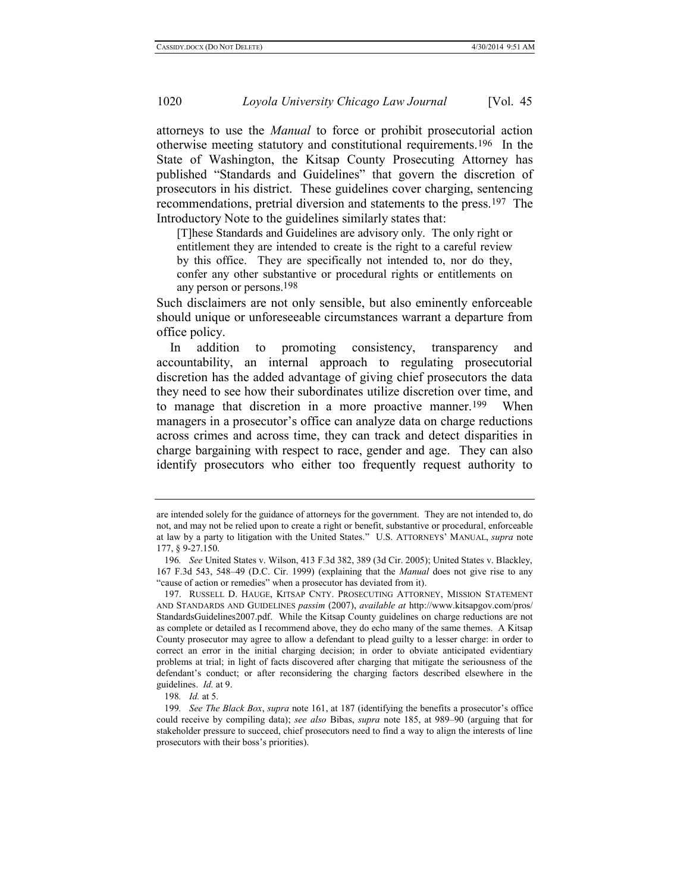attorneys to use the *Manual* to force or prohibit prosecutorial action otherwise meeting statutory and constitutional requirements.196 In the State of Washington, the Kitsap County Prosecuting Attorney has published "Standards and Guidelines" that govern the discretion of prosecutors in his district. These guidelines cover charging, sentencing recommendations, pretrial diversion and statements to the press.197 The Introductory Note to the guidelines similarly states that:

[T]hese Standards and Guidelines are advisory only. The only right or entitlement they are intended to create is the right to a careful review by this office. They are specifically not intended to, nor do they, confer any other substantive or procedural rights or entitlements on any person or persons.198

Such disclaimers are not only sensible, but also eminently enforceable should unique or unforeseeable circumstances warrant a departure from office policy.

In addition to promoting consistency, transparency and accountability, an internal approach to regulating prosecutorial discretion has the added advantage of giving chief prosecutors the data they need to see how their subordinates utilize discretion over time, and to manage that discretion in a more proactive manner.199 When managers in a prosecutor's office can analyze data on charge reductions across crimes and across time, they can track and detect disparities in charge bargaining with respect to race, gender and age. They can also identify prosecutors who either too frequently request authority to

are intended solely for the guidance of attorneys for the government. They are not intended to, do not, and may not be relied upon to create a right or benefit, substantive or procedural, enforceable at law by a party to litigation with the United States." U.S. ATTORNEYS' MANUAL, *supra* note [177,](#page-34-1) § 9-27.150.

<sup>196</sup>*. See* United States v. Wilson, 413 F.3d 382, 389 (3d Cir. 2005); United States v. Blackley, 167 F.3d 543, 548–49 (D.C. Cir. 1999) (explaining that the *Manual* does not give rise to any "cause of action or remedies" when a prosecutor has deviated from it).

<sup>197.</sup> RUSSELL D. HAUGE, KITSAP CNTY. PROSECUTING ATTORNEY, MISSION STATEMENT AND STANDARDS AND GUIDELINES *passim* (2007), *available at* http://www.kitsapgov.com/pros/ StandardsGuidelines2007.pdf. While the Kitsap County guidelines on charge reductions are not as complete or detailed as I recommend above, they do echo many of the same themes. A Kitsap County prosecutor may agree to allow a defendant to plead guilty to a lesser charge: in order to correct an error in the initial charging decision; in order to obviate anticipated evidentiary problems at trial; in light of facts discovered after charging that mitigate the seriousness of the defendant's conduct; or after reconsidering the charging factors described elsewhere in the guidelines. *Id.* at 9.

<sup>198</sup>*. Id.* at 5.

<sup>199</sup>*. See The Black Box*, *supra* note [161,](#page-30-0) at 187 (identifying the benefits a prosecutor's office could receive by compiling data); *see also* Bibas, *supra* note [185,](#page-37-0) at 989–90 (arguing that for stakeholder pressure to succeed, chief prosecutors need to find a way to align the interests of line prosecutors with their boss's priorities).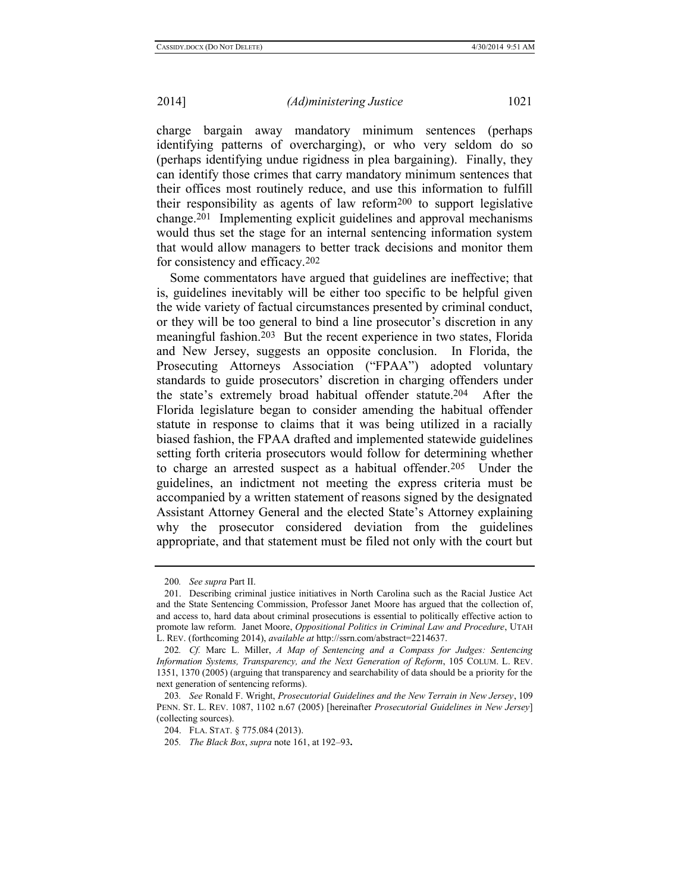charge bargain away mandatory minimum sentences (perhaps identifying patterns of overcharging), or who very seldom do so (perhaps identifying undue rigidness in plea bargaining). Finally, they can identify those crimes that carry mandatory minimum sentences that their offices most routinely reduce, and use this information to fulfill their responsibility as agents of law reform200 to support legislative change.201 Implementing explicit guidelines and approval mechanisms would thus set the stage for an internal sentencing information system that would allow managers to better track decisions and monitor them for consistency and efficacy.202

<span id="page-40-0"></span>Some commentators have argued that guidelines are ineffective; that is, guidelines inevitably will be either too specific to be helpful given the wide variety of factual circumstances presented by criminal conduct, or they will be too general to bind a line prosecutor's discretion in any meaningful fashion.203 But the recent experience in two states, Florida and New Jersey, suggests an opposite conclusion. In Florida, the Prosecuting Attorneys Association ("FPAA") adopted voluntary standards to guide prosecutors' discretion in charging offenders under the state's extremely broad habitual offender statute. 204 After the Florida legislature began to consider amending the habitual offender statute in response to claims that it was being utilized in a racially biased fashion, the FPAA drafted and implemented statewide guidelines setting forth criteria prosecutors would follow for determining whether to charge an arrested suspect as a habitual offender.<sup>205</sup> Under the guidelines, an indictment not meeting the express criteria must be accompanied by a written statement of reasons signed by the designated Assistant Attorney General and the elected State's Attorney explaining why the prosecutor considered deviation from the guidelines appropriate, and that statement must be filed not only with the court but

<sup>200</sup>*. See supra* Part II.

<sup>201.</sup> Describing criminal justice initiatives in North Carolina such as the Racial Justice Act and the State Sentencing Commission, Professor Janet Moore has argued that the collection of, and access to, hard data about criminal prosecutions is essential to politically effective action to promote law reform. Janet Moore, *Oppositional Politics in Criminal Law and Procedure*, UTAH L. REV. (forthcoming 2014), *available at* http://ssrn.com/abstract=2214637.

<sup>202</sup>*. Cf.* Marc L. Miller, *A Map of Sentencing and a Compass for Judges: Sentencing Information Systems, Transparency, and the Next Generation of Reform*, 105 COLUM. L. REV. 1351, 1370 (2005) (arguing that transparency and searchability of data should be a priority for the next generation of sentencing reforms).

<sup>203</sup>*. See* Ronald F. Wright, *Prosecutorial Guidelines and the New Terrain in New Jersey*, 109 PENN. ST. L. REV. 1087, 1102 n.67 (2005) [hereinafter *Prosecutorial Guidelines in New Jersey*] (collecting sources).

<sup>204.</sup> FLA. STAT. § 775.084 (2013).

<sup>205</sup>*. The Black Box*, *supra* note [161,](#page-30-0) at 192–93**.**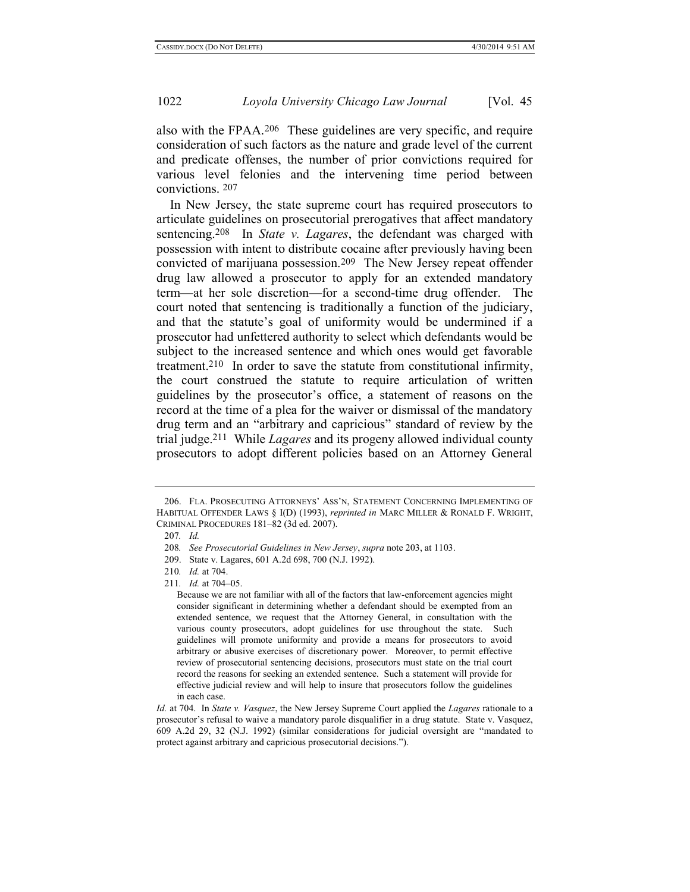also with the FPAA.206 These guidelines are very specific, and require consideration of such factors as the nature and grade level of the current and predicate offenses, the number of prior convictions required for various level felonies and the intervening time period between convictions. 207

In New Jersey, the state supreme court has required prosecutors to articulate guidelines on prosecutorial prerogatives that affect mandatory sentencing.208 In *State v. Lagares*, the defendant was charged with possession with intent to distribute cocaine after previously having been convicted of marijuana possession.209 The New Jersey repeat offender drug law allowed a prosecutor to apply for an extended mandatory term—at her sole discretion—for a second-time drug offender. The court noted that sentencing is traditionally a function of the judiciary, and that the statute's goal of uniformity would be undermined if a prosecutor had unfettered authority to select which defendants would be subject to the increased sentence and which ones would get favorable treatment. 210 In order to save the statute from constitutional infirmity, the court construed the statute to require articulation of written guidelines by the prosecutor's office, a statement of reasons on the record at the time of a plea for the waiver or dismissal of the mandatory drug term and an "arbitrary and capricious" standard of review by the trial judge.211 While *Lagares* and its progeny allowed individual county prosecutors to adopt different policies based on an Attorney General

<sup>206.</sup> FLA. PROSECUTING ATTORNEYS' ASS'N, STATEMENT CONCERNING IMPLEMENTING OF HABITUAL OFFENDER LAWS § I(D) (1993), *reprinted in* MARC MILLER & RONALD F. WRIGHT, CRIMINAL PROCEDURES 181–82 (3d ed. 2007).

<sup>207</sup>*. Id.*

<sup>208</sup>*. See Prosecutorial Guidelines in New Jersey*, *supra* note [203,](#page-40-0) at 1103.

<sup>209.</sup> State v. Lagares, 601 A.2d 698, 700 (N.J. 1992).

<sup>210</sup>*. Id.* at 704.

<sup>211</sup>*. Id.* at 704–05.

Because we are not familiar with all of the factors that law-enforcement agencies might consider significant in determining whether a defendant should be exempted from an extended sentence, we request that the Attorney General, in consultation with the various county prosecutors, adopt guidelines for use throughout the state. Such guidelines will promote uniformity and provide a means for prosecutors to avoid arbitrary or abusive exercises of discretionary power. Moreover, to permit effective review of prosecutorial sentencing decisions, prosecutors must state on the trial court record the reasons for seeking an extended sentence. Such a statement will provide for effective judicial review and will help to insure that prosecutors follow the guidelines in each case.

*Id.* at 704. In *State v. Vasquez*, the New Jersey Supreme Court applied the *Lagares* rationale to a prosecutor's refusal to waive a mandatory parole disqualifier in a drug statute. State v. Vasquez, 609 A.2d 29, 32 (N.J. 1992) (similar considerations for judicial oversight are "mandated to protect against arbitrary and capricious prosecutorial decisions.").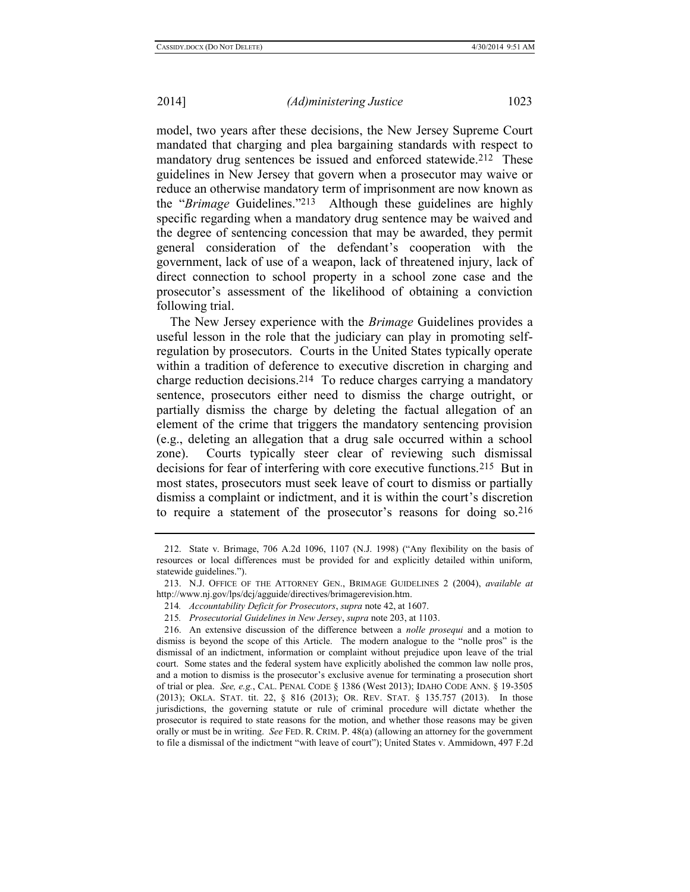model, two years after these decisions, the New Jersey Supreme Court mandated that charging and plea bargaining standards with respect to mandatory drug sentences be issued and enforced statewide.212 These guidelines in New Jersey that govern when a prosecutor may waive or reduce an otherwise mandatory term of imprisonment are now known as the "*Brimage* Guidelines."213 Although these guidelines are highly specific regarding when a mandatory drug sentence may be waived and the degree of sentencing concession that may be awarded, they permit general consideration of the defendant's cooperation with the government, lack of use of a weapon, lack of threatened injury, lack of direct connection to school property in a school zone case and the prosecutor's assessment of the likelihood of obtaining a conviction following trial.

The New Jersey experience with the *Brimage* Guidelines provides a useful lesson in the role that the judiciary can play in promoting selfregulation by prosecutors. Courts in the United States typically operate within a tradition of deference to executive discretion in charging and charge reduction decisions.214 To reduce charges carrying a mandatory sentence, prosecutors either need to dismiss the charge outright, or partially dismiss the charge by deleting the factual allegation of an element of the crime that triggers the mandatory sentencing provision (e.g., deleting an allegation that a drug sale occurred within a school zone). Courts typically steer clear of reviewing such dismissal decisions for fear of interfering with core executive functions.215 But in most states, prosecutors must seek leave of court to dismiss or partially dismiss a complaint or indictment, and it is within the court's discretion to require a statement of the prosecutor's reasons for doing so.216

<sup>212.</sup> State v. Brimage, 706 A.2d 1096, 1107 (N.J. 1998) ("Any flexibility on the basis of resources or local differences must be provided for and explicitly detailed within uniform, statewide guidelines.").

<sup>213.</sup> N.J. OFFICE OF THE ATTORNEY GEN., BRIMAGE GUIDELINES 2 (2004), *available at* http://www.nj.gov/lps/dcj/agguide/directives/brimagerevision.htm.

<sup>214</sup>*. Accountability Deficit for Prosecutors*, *supra* not[e 42,](#page-8-1) at 1607.

<sup>215</sup>*. Prosecutorial Guidelines in New Jersey*, *supra* not[e 203,](#page-40-0) at 1103.

<sup>216.</sup> An extensive discussion of the difference between a *nolle prosequi* and a motion to dismiss is beyond the scope of this Article. The modern analogue to the "nolle pros" is the dismissal of an indictment, information or complaint without prejudice upon leave of the trial court. Some states and the federal system have explicitly abolished the common law nolle pros, and a motion to dismiss is the prosecutor's exclusive avenue for terminating a prosecution short of trial or plea. *See, e.g.*, CAL. PENAL CODE § 1386 (West 2013); IDAHO CODE ANN. § 19-3505 (2013); OKLA. STAT. tit. 22, § 816 (2013); OR. REV. STAT. § 135.757 (2013). In those jurisdictions, the governing statute or rule of criminal procedure will dictate whether the prosecutor is required to state reasons for the motion, and whether those reasons may be given orally or must be in writing. *See* FED. R. CRIM. P. 48(a) (allowing an attorney for the government to file a dismissal of the indictment "with leave of court"); United States v. Ammidown, 497 F.2d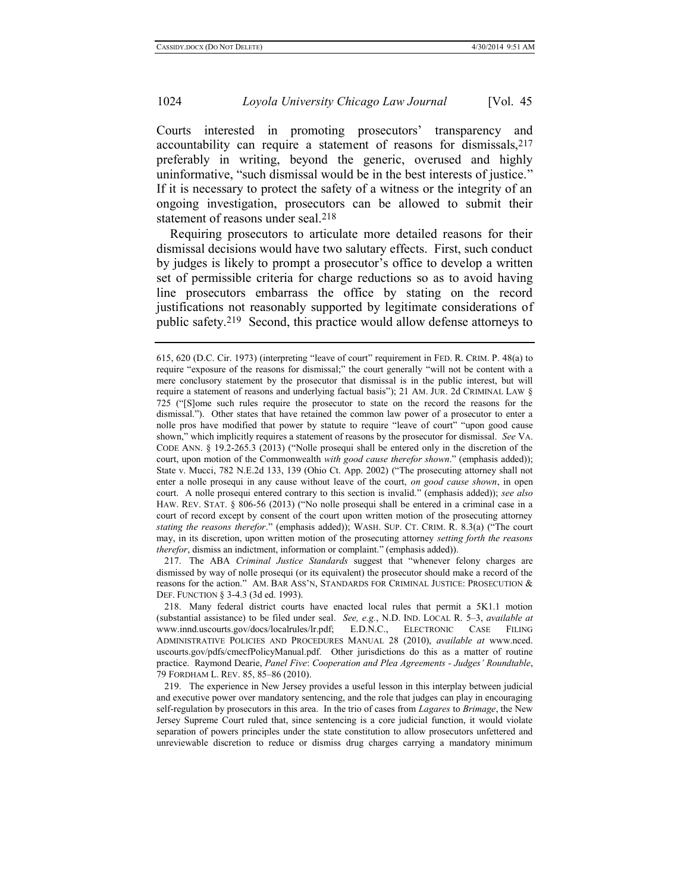Courts interested in promoting prosecutors' transparency and accountability can require a statement of reasons for dismissals,217 preferably in writing, beyond the generic, overused and highly uninformative, "such dismissal would be in the best interests of justice." If it is necessary to protect the safety of a witness or the integrity of an ongoing investigation, prosecutors can be allowed to submit their statement of reasons under seal.<sup>218</sup>

Requiring prosecutors to articulate more detailed reasons for their dismissal decisions would have two salutary effects. First, such conduct by judges is likely to prompt a prosecutor's office to develop a written set of permissible criteria for charge reductions so as to avoid having line prosecutors embarrass the office by stating on the record justifications not reasonably supported by legitimate considerations of public safety.219 Second, this practice would allow defense attorneys to

217. The ABA *Criminal Justice Standards* suggest that "whenever felony charges are dismissed by way of nolle prosequi (or its equivalent) the prosecutor should make a record of the reasons for the action." AM. BAR ASS'N, STANDARDS FOR CRIMINAL JUSTICE: PROSECUTION & DEF. FUNCTION § 3-4.3 (3d ed. 1993).

218. Many federal district courts have enacted local rules that permit a 5K1.1 motion (substantial assistance) to be filed under seal. *See, e.g.*, N.D. IND. LOCAL R. 5–3, *available at*  www.innd.uscourts.gov/docs/localrules/lr.pdf; E.D.N.C., ELECTRONIC CASE FILING ADMINISTRATIVE POLICIES AND PROCEDURES MANUAL 28 (2010), *available at* www.nced. uscourts.gov/pdfs/cmecfPolicyManual.pdf. Other jurisdictions do this as a matter of routine practice. Raymond Dearie, *Panel Five*: *Cooperation and Plea Agreements - Judges' Roundtable*, 79 FORDHAM L. REV. 85, 85–86 (2010).

219. The experience in New Jersey provides a useful lesson in this interplay between judicial and executive power over mandatory sentencing, and the role that judges can play in encouraging self-regulation by prosecutors in this area. In the trio of cases from *Lagares* to *Brimage*, the New Jersey Supreme Court ruled that, since sentencing is a core judicial function, it would violate separation of powers principles under the state constitution to allow prosecutors unfettered and unreviewable discretion to reduce or dismiss drug charges carrying a mandatory minimum

<sup>615, 620 (</sup>D.C. Cir. 1973) (interpreting "leave of court" requirement in FED. R. CRIM. P. 48(a) to require "exposure of the reasons for dismissal;" the court generally "will not be content with a mere conclusory statement by the prosecutor that dismissal is in the public interest, but will require a statement of reasons and underlying factual basis"); 21 AM. JUR. 2d CRIMINAL LAW § 725 ("[S]ome such rules require the prosecutor to state on the record the reasons for the dismissal."). Other states that have retained the common law power of a prosecutor to enter a nolle pros have modified that power by statute to require "leave of court" "upon good cause shown," which implicitly requires a statement of reasons by the prosecutor for dismissal. *See* VA. CODE ANN. § 19.2-265.3 (2013) ("Nolle prosequi shall be entered only in the discretion of the court, upon motion of the Commonwealth *with good cause therefor shown*." (emphasis added)); State v. Mucci, 782 N.E.2d 133, 139 (Ohio Ct. App. 2002) ("The prosecuting attorney shall not enter a nolle prosequi in any cause without leave of the court, *on good cause shown*, in open court. A nolle prosequi entered contrary to this section is invalid." (emphasis added)); *see also* HAW. REV. STAT. § 806-56 (2013) ("No nolle prosequi shall be entered in a criminal case in a court of record except by consent of the court upon written motion of the prosecuting attorney *stating the reasons therefor*." (emphasis added)); WASH. SUP. CT. CRIM. R. 8.3(a) ("The court may, in its discretion, upon written motion of the prosecuting attorney *setting forth the reasons therefor*, dismiss an indictment, information or complaint." (emphasis added)).